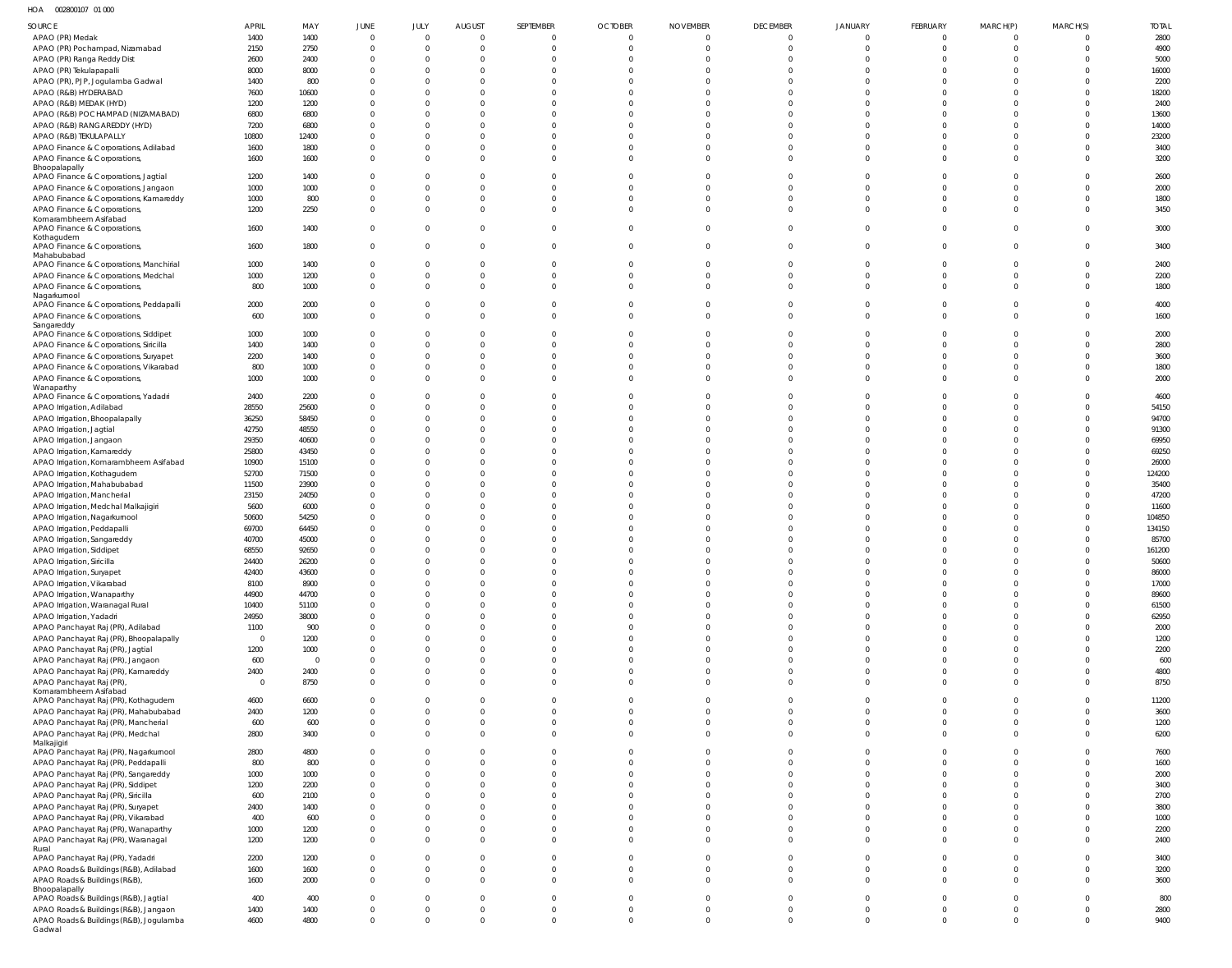HOA 002800107 01 000

| $11 \cup 7$ 002000107 01000                         |             |          |             |                |                |             |                |                 |                 |             |             |          |                |              |
|-----------------------------------------------------|-------------|----------|-------------|----------------|----------------|-------------|----------------|-----------------|-----------------|-------------|-------------|----------|----------------|--------------|
| SOURCE                                              | APRIL       | MAY      | JUNE        | JULY           | <b>AUGUST</b>  | SEPTEMBER   | <b>OCTOBER</b> | <b>NOVEMBER</b> | <b>DECEMBER</b> | JANUARY     | FEBRUARY    | MARCH(P) | MARCH(S)       | <b>TOTAL</b> |
| APAO (PR) Medak                                     | 1400        | 1400     | $\mathbf 0$ | $\overline{0}$ | $\mathbf 0$    | $\Omega$    | $\overline{0}$ | $\Omega$        | $\overline{0}$  | $\Omega$    | 0           |          | $\Omega$       | 2800         |
| APAO (PR) Pochampad, Nizamabad                      | 2150        | 2750     | $\mathbf 0$ | $\overline{0}$ | $\mathbf 0$    | $\Omega$    | $\overline{0}$ | $\Omega$        | $\overline{0}$  | $\Omega$    | $\Omega$    | $\Omega$ | $\mathbf 0$    | 4900         |
| APAO (PR) Ranga Reddy Dist                          | 2600        | 2400     | $\Omega$    | $\overline{0}$ | $\Omega$       | $\Omega$    | $\Omega$       | $\Omega$        | $\Omega$        |             |             | $\Omega$ | $\Omega$       | 5000         |
| APAO (PR) Tekulapapalli                             | 8000        | 8000     | $\Omega$    | $\overline{0}$ | $\Omega$       |             | $\Omega$       | $\Omega$        | $\Omega$        |             |             |          | $\Omega$       | 16000        |
| APAO (PR), PJP, Jogulamba Gadwal                    | 1400        | 800      |             | $\Omega$       | $\Omega$       |             | $\Omega$       | $\Omega$        | $\Omega$        |             |             |          | $\Omega$       | 2200         |
| APAO (R&B) HYDERABAD                                |             |          |             | $\Omega$       | $\Omega$       |             | $\Omega$       | $\Omega$        | $\Omega$        |             |             |          | $\Omega$       | 18200        |
|                                                     | 7600        | 10600    |             |                |                |             |                |                 |                 |             |             |          |                |              |
| APAO (R&B) MEDAK (HYD)                              | 1200        | 1200     |             | $\mathbf{0}$   | $\Omega$       |             | $\Omega$       | $\Omega$        | $\Omega$        |             |             | $\Omega$ | $\Omega$       | 2400         |
| APAO (R&B) POCHAMPAD (NIZAMABAD)                    | 6800        | 6800     |             | $\Omega$       | $\Omega$       |             | $\Omega$       | $\Omega$        | $\Omega$        |             |             |          | $\Omega$       | 13600        |
| APAO (R&B) RANGAREDDY (HYD)                         | 7200        | 6800     | $\Omega$    | $\Omega$       | $\Omega$       |             | $\Omega$       | $\Omega$        | $\Omega$        |             |             |          | $\Omega$       | 14000        |
| APAO (R&B) TEKULAPALLY                              | 10800       | 12400    |             | $\mathbf{0}$   | $\Omega$       |             | $\Omega$       | $\Omega$        | $\Omega$        |             |             |          | $\Omega$       | 23200        |
| APAO Finance & Corporations, Adilabad               | 1600        | 1800     | $\Omega$    | $\overline{0}$ | $\Omega$       | $\Omega$    | $\Omega$       | $\Omega$        | $\Omega$        | $\Omega$    |             | $\Omega$ | $\Omega$       | 3400         |
| APAO Finance & Corporations,                        | 1600        | 1600     | $\Omega$    | $\Omega$       | $\Omega$       | $\Omega$    | $\Omega$       | $\Omega$        | $\Omega$        | $\Omega$    | $\Omega$    |          | $\Omega$       | 3200         |
| Bhoopalapally                                       |             |          |             |                |                |             |                |                 |                 |             |             |          |                |              |
| APAO Finance & Corporations, Jagtial                | 1200        | 1400     | $\Omega$    | $\Omega$       | $\Omega$       | $\Omega$    | $\Omega$       | $\Omega$        | $\Omega$        | $\Omega$    |             |          | $\Omega$       | 2600         |
| APAO Finance & Corporations, Jangaon                | 1000        | 1000     |             | $\overline{0}$ | $\Omega$       |             | $\Omega$       | $\Omega$        | $\Omega$        |             |             |          | $\Omega$       | 2000         |
| APAO Finance & Corporations, Kamareddy              | 1000        | 800      | $\Omega$    | $\Omega$       | $\Omega$       | $\Omega$    | $\Omega$       | $\Omega$        | $\Omega$        | $\Omega$    | $\Omega$    | $\cap$   | $\Omega$       | 1800         |
| APAO Finance & Corporations,                        | 1200        | 2250     | $\Omega$    | $\Omega$       | $\Omega$       | $\Omega$    | $\Omega$       | $\Omega$        | $\Omega$        | $\Omega$    | $\Omega$    | $\Omega$ | $\overline{0}$ | 3450         |
| Komarambheem Asifabad                               |             |          |             |                |                |             |                |                 |                 |             |             |          |                |              |
| APAO Finance & Corporations,                        | 1600        | 1400     | $\mathbf 0$ | $\overline{0}$ | $\mathbf 0$    | $\Omega$    | $\overline{0}$ | $\Omega$        | $\overline{0}$  | $\Omega$    | $\Omega$    | $\Omega$ | $\Omega$       | 3000         |
| Kothagudem                                          |             |          |             |                |                |             |                |                 |                 |             |             |          |                |              |
| APAO Finance & Corporations,                        | 1600        | 1800     | $\mathbf 0$ | $\mathbf{0}$   | $\mathbf 0$    | $\Omega$    | $\overline{0}$ | $\Omega$        | $\overline{0}$  | $\Omega$    | $\Omega$    |          | $\Omega$       | 3400         |
| Mahabubabad                                         |             |          |             |                |                |             |                |                 |                 |             |             |          |                |              |
| APAO Finance & Corporations, Manchirial             | 1000        | 1400     | $\mathbf 0$ | $\overline{0}$ | $\mathbf 0$    | $\Omega$    | $\overline{0}$ | $\Omega$        | $\Omega$        | $\Omega$    | $\Omega$    |          | $\Omega$       | 2400         |
| APAO Finance & Corporations, Medchal                | 1000        | 1200     | 0           | $\overline{0}$ | $\mathbf 0$    | $\Omega$    | $\overline{0}$ | $\Omega$        | $\overline{0}$  | $\Omega$    |             | $\Omega$ | $\mathbf 0$    | 2200         |
| APAO Finance & Corporations,                        | 800         | 1000     | $\Omega$    | $\Omega$       | $\Omega$       | $\Omega$    | $\Omega$       | $\Omega$        | $\Omega$        | $\Omega$    | $\Omega$    | $\Omega$ | $\Omega$       | 1800         |
| Nagarkurnool                                        |             |          |             |                |                |             |                |                 |                 |             |             |          |                |              |
| APAO Finance & Corporations, Peddapalli             | 2000        | 2000     | $\Omega$    | 0              | $\overline{0}$ | $\Omega$    | $\overline{0}$ | $\Omega$        | $\Omega$        | $\Omega$    |             |          | $\mathbf 0$    | 4000         |
| APAO Finance & Corporations,                        | 600         | 1000     | $\mathbf 0$ | $\overline{0}$ | $\Omega$       | $\Omega$    | $\Omega$       | $\Omega$        | $\Omega$        | $\Omega$    | $\Omega$    | $\Omega$ | $\Omega$       | 1600         |
| Sangareddy<br>APAO Finance & Corporations, Siddipet | 1000        | 1000     |             | 0              | $\Omega$       |             | $\Omega$       | $\Omega$        | $\Omega$        |             |             |          | $\Omega$       | 2000         |
|                                                     |             |          |             |                |                |             |                |                 |                 |             |             |          |                |              |
| APAO Finance & Corporations, Siricilla              | 1400        | 1400     | $\Omega$    | $\Omega$       | $\Omega$       | $\Omega$    | $\Omega$       | $\Omega$        | $\Omega$        |             |             |          | $\Omega$       | 2800         |
| APAO Finance & Corporations, Suryapet               | 2200        | 1400     | $\Omega$    | $\overline{0}$ | $\Omega$       | $\Omega$    | $\Omega$       | $\Omega$        | $\Omega$        |             |             | $\Omega$ | $\mathbf 0$    | 3600         |
| APAO Finance & Corporations, Vikarabad              | 800         | 1000     | $\Omega$    | $\overline{0}$ | $\Omega$       | $\Omega$    | $\Omega$       | $\Omega$        | $\Omega$        | $\Omega$    | $\Omega$    | $\Omega$ | $\Omega$       | 1800         |
| APAO Finance & Corporations,                        | 1000        | 1000     | $\Omega$    | $\Omega$       | $\Omega$       |             | $\Omega$       | $\Omega$        | $\Omega$        | $\Omega$    | $\Omega$    |          | $\Omega$       | 2000         |
| Wanaparthy                                          |             |          |             |                |                |             |                |                 |                 |             |             |          |                |              |
| APAO Finance & Corporations, Yadadri                | 2400        | 2200     | $\Omega$    | $\Omega$       | $\Omega$       |             | $\Omega$       | $\Omega$        | $\Omega$        | $\Omega$    |             |          | $\Omega$       | 4600         |
| APAO Irrigation, Adilabad                           | 28550       | 25600    |             | $\overline{0}$ | $\Omega$       |             | $\Omega$       | $\Omega$        | $\Omega$        |             |             |          | $\Omega$       | 54150        |
| APAO Irrigation, Bhoopalapally                      | 36250       | 58450    | $\Omega$    | $\Omega$       | $\Omega$       |             | $\Omega$       | $\Omega$        | $\Omega$        |             |             | $\Omega$ | $\Omega$       | 94700        |
| APAO Irrigation, Jagtial                            | 42750       | 48550    | $\Omega$    | $\Omega$       | $\Omega$       |             | $\Omega$       | $\Omega$        | $\Omega$        |             |             |          | $\Omega$       | 91300        |
| APAO Irrigation, Jangaon                            | 29350       | 40600    | $\Omega$    | $\Omega$       | $\Omega$       |             | $\Omega$       | $\Omega$        | $\Omega$        |             |             | $\cap$   | $\Omega$       | 69950        |
| APAO Irrigation, Kamareddy                          | 25800       | 43450    |             | $\Omega$       | $\Omega$       |             | $\Omega$       | $\Omega$        | $\Omega$        |             |             |          | $\Omega$       | 69250        |
| APAO Irrigation, Komarambheem Asifabad              | 10900       | 15100    | $\Omega$    | $\Omega$       | $\Omega$       |             | $\Omega$       | $\Omega$        | $\Omega$        |             |             |          | $\Omega$       | 26000        |
| APAO Irrigation, Kothagudem                         | 52700       | 71500    |             | $\mathbf{0}$   | $\Omega$       |             | $\Omega$       | $\Omega$        | $\Omega$        |             |             |          | $\Omega$       | 124200       |
| APAO Irrigation, Mahabubabad                        | 11500       | 23900    |             | $\Omega$       | $\Omega$       |             | $\Omega$       | $\Omega$        | $\Omega$        |             |             |          | $\Omega$       | 35400        |
|                                                     |             |          |             |                |                |             |                |                 |                 |             |             |          |                |              |
| APAO Irrigation, Mancherial                         | 23150       | 24050    |             | $\Omega$       | $\Omega$       |             | $\Omega$       | $\Omega$        | $\Omega$        |             |             |          | $\Omega$       | 47200        |
| APAO Irrigation, Medchal Malkajigiri                | 5600        | 6000     |             | $\Omega$       | $\Omega$       |             | $\Omega$       | $\Omega$        | $\Omega$        |             |             |          | $\Omega$       | 11600        |
| APAO Irrigation, Nagarkurnool                       | 50600       | 54250    |             | $\Omega$       | $\Omega$       |             | $\Omega$       | $\Omega$        | $\Omega$        |             |             |          | $\Omega$       | 104850       |
| APAO Irrigation, Peddapalli                         | 69700       | 64450    |             | $\overline{0}$ | $\Omega$       |             | $\Omega$       | $\Omega$        | $\Omega$        |             |             |          |                | 134150       |
| APAO Irrigation, Sangareddy                         | 40700       | 45000    |             | $\Omega$       | $\Omega$       |             | $\Omega$       | $\Omega$        | $\Omega$        |             |             |          |                | 85700        |
| APAO Irrigation, Siddipet                           | 68550       | 92650    | $\Omega$    | $\Omega$       | $\Omega$       |             | $\Omega$       | $\cap$          | $\Omega$        | $\cap$      |             |          | $\Omega$       | 161200       |
| APAO Irrigation, Siricilla                          | 24400       | 26200    |             |                |                |             |                |                 |                 |             |             |          |                | 50600        |
| APAO Irrigation, Suryapet                           | 42400       | 43600    |             | $\Omega$       | $\Omega$       |             | $\Omega$       |                 | $\Omega$        |             |             |          |                | 86000        |
| APAO Irrigation, Vikarabad                          | 8100        | 8900     | $\mathbf 0$ | $\mathbf 0$    | $\mathbf 0$    | $\Omega$    | $\mathbf{0}$   | $\Omega$        | $\Omega$        | $\Omega$    |             | $\cap$   | $\Omega$       | 17000        |
| APAO Irrigation, Wanaparthy                         | 44900       | 44700    | $\Omega$    | $\Omega$       | $\Omega$       | $\Omega$    | $\Omega$       | $\Omega$        | $\Omega$        | $\cap$      |             | $\Omega$ | $\Omega$       | 89600        |
| APAO Irrigation, Waranagal Rural                    | 10400       | 51100    | $\Omega$    | $\Omega$       | $\Omega$       | $\Omega$    | $\Omega$       | $\Omega$        | $\Omega$        |             |             | $\cap$   | $\Omega$       | 61500        |
|                                                     |             |          | $\Omega$    | $\Omega$       | $\Omega$       | $\Omega$    | $\Omega$       | $\Omega$        | $\Omega$        | $\Omega$    |             | $\Omega$ | $\Omega$       |              |
| APAO Irrigation, Yadadri                            | 24950       | 38000    | $\Omega$    | $\Omega$       | $\Omega$       | $\Omega$    | $\Omega$       | $\Omega$        | $\Omega$        | $\Omega$    |             | $\Omega$ | $\Omega$       | 62950        |
| APAO Panchayat Raj (PR), Adilabad                   | 1100        | 900      |             |                |                |             |                |                 |                 |             |             |          |                | 2000         |
| APAO Panchayat Raj (PR), Bhoopalapally              | $\mathbf 0$ | 1200     | $\Omega$    | $\overline{0}$ | $\Omega$       | $\Omega$    | $\Omega$       | $\overline{0}$  | $\Omega$        | $\Omega$    |             | $\Omega$ | $\Omega$       | 1200         |
| APAO Panchayat Raj (PR), Jagtial                    | 1200        | 1000     | $\Omega$    | $\Omega$       | $\Omega$       | $\Omega$    | $\Omega$       | $\Omega$        | $\Omega$        | $\Omega$    |             | $\Omega$ | $\Omega$       | 2200         |
| APAO Panchayat Raj (PR), Jangaon                    | 600         | $\Omega$ | $\Omega$    | $\Omega$       | $\Omega$       | $\Omega$    | $\Omega$       | $\overline{0}$  | $\Omega$        | $\Omega$    |             | $\Omega$ | $\Omega$       | 600          |
| APAO Panchayat Raj (PR), Kamareddy                  | 2400        | 2400     | 0           | $\mathbf 0$    | $\mathbf 0$    | $\Omega$    | $\Omega$       | $\overline{0}$  | $\Omega$        | $\Omega$    | $\Omega$    | $\Omega$ | $\Omega$       | 4800         |
| APAO Panchayat Raj (PR),                            | $\mathbf 0$ | 8750     | $\mathbf 0$ | $\overline{0}$ | $\Omega$       | $\Omega$    | $\Omega$       | $\overline{0}$  | $\Omega$        | $\Omega$    | $\Omega$    | $\Omega$ | $\Omega$       | 8750         |
| Komarambheem Asifabad                               |             |          |             |                |                |             |                |                 |                 |             |             |          |                |              |
| APAO Panchayat Raj (PR), Kothagudem                 | 4600        | 6600     | $\Omega$    | $\Omega$       | $\Omega$       | $\Omega$    | $\Omega$       | $\Omega$        | $\Omega$        | $\Omega$    |             |          | $\Omega$       | 11200        |
| APAO Panchayat Raj (PR), Mahabubabad                | 2400        | 1200     | $\Omega$    | $\Omega$       | $\Omega$       | $\Omega$    | $\Omega$       | $\Omega$        | $\Omega$        | $\Omega$    | $\Omega$    | $\Omega$ | $\Omega$       | 3600         |
| APAO Panchayat Raj (PR), Mancherial                 | 600         | 600      | $\mathbf 0$ | $\overline{0}$ | $\mathbf 0$    | $\Omega$    | $\Omega$       | $\overline{0}$  | $\Omega$        | $\Omega$    | $\Omega$    | $\Omega$ | $\Omega$       | 1200         |
| APAO Panchayat Raj (PR), Medchal                    | 2800        | 3400     | $\mathbf 0$ | $\Omega$       | $\Omega$       | $\Omega$    | $\Omega$       | $\Omega$        | $\Omega$        | $\Omega$    | $\Omega$    | $\Omega$ | $\Omega$       | 6200         |
| Malkajigiri                                         |             |          |             |                |                |             |                |                 |                 |             |             |          |                |              |
| APAO Panchayat Raj (PR), Nagarkurnool               | 2800        | 4800     | $\Omega$    | $\Omega$       | $\Omega$       | $\Omega$    | $\Omega$       | $\Omega$        | $\Omega$        | $\Omega$    |             |          | $\Omega$       | 7600         |
| APAO Panchayat Raj (PR), Peddapalli                 | 800         | 800      | $\Omega$    | $\Omega$       | $\Omega$       | $\Omega$    | $\Omega$       | $\Omega$        | $\Omega$        | $\Omega$    |             | $\Omega$ | $\Omega$       | 1600         |
| APAO Panchayat Raj (PR), Sangareddy                 | 1000        | 1000     | $\Omega$    | $\Omega$       | $\Omega$       | $\Omega$    | $\Omega$       | $\Omega$        | $\Omega$        | $\Omega$    |             | $\Omega$ | $\Omega$       | 2000         |
| APAO Panchayat Raj (PR), Siddipet                   | 1200        | 2200     | $\Omega$    | $\Omega$       | $\Omega$       | $\Omega$    | $\Omega$       | $\Omega$        | $\Omega$        | $\Omega$    |             | $\Omega$ | $\Omega$       | 3400         |
| APAO Panchayat Raj (PR), Siricilla                  | 600         | 2100     | $\Omega$    | $\Omega$       | $\Omega$       | $\Omega$    | $\Omega$       | $\Omega$        | $\Omega$        | $\Omega$    |             |          | $\Omega$       | 2700         |
| APAO Panchayat Raj (PR), Suryapet                   | 2400        | 1400     | $\Omega$    | $\Omega$       | $\Omega$       | $\Omega$    | $\Omega$       | $\Omega$        | $\Omega$        | $\Omega$    |             |          | $\Omega$       | 3800         |
| APAO Panchayat Raj (PR), Vikarabad                  | 400         | 600      | $\Omega$    | $\Omega$       | $\Omega$       | $\Omega$    | $\Omega$       | $\Omega$        | $\Omega$        | $\Omega$    | $\Omega$    | $\Omega$ | $\Omega$       | 1000         |
| APAO Panchayat Raj (PR), Wanaparthy                 | 1000        | 1200     | $\Omega$    | $\Omega$       | $\Omega$       | $\Omega$    | $\Omega$       | $\Omega$        | $\Omega$        | $\Omega$    | $\Omega$    | $\Omega$ | $\Omega$       | 2200         |
| APAO Panchayat Raj (PR), Waranagal                  | 1200        | 1200     | $\mathbf 0$ | $\Omega$       | $\Omega$       | $\Omega$    | $\Omega$       | $\Omega$        | $\Omega$        | $\Omega$    | $\Omega$    | $\Omega$ | $\Omega$       | 2400         |
| Rural                                               |             |          |             |                |                |             |                |                 |                 |             |             |          |                |              |
| APAO Panchayat Raj (PR), Yadadri                    | 2200        | 1200     | $\Omega$    | $\Omega$       | $\Omega$       | $\Omega$    | $\Omega$       | $\Omega$        | $\Omega$        | $\Omega$    | $\Omega$    |          | $\Omega$       | 3400         |
| APAO Roads & Buildings (R&B), Adilabad              | 1600        | 1600     | $\mathbf 0$ | $\mathbf 0$    | $\mathbf 0$    | $\mathbf 0$ | $\mathbf{0}$   | $\overline{0}$  | $\overline{0}$  | $\Omega$    | $\Omega$    | $\Omega$ | $\mathbf 0$    | 3200         |
| APAO Roads & Buildings (R&B),                       | 1600        | 2000     | $\mathbf 0$ | $\Omega$       | $\Omega$       | $\Omega$    | $\Omega$       | $\Omega$        | $\Omega$        | $\Omega$    | $\Omega$    | $\Omega$ | $\Omega$       | 3600         |
| Bhoopalapally                                       |             |          |             |                |                |             |                |                 |                 |             |             |          |                |              |
| APAO Roads & Buildings (R&B), Jagtial               | 400         | 400      | $\Omega$    | $\Omega$       | $\Omega$       | $\Omega$    | $\Omega$       | $\Omega$        | $\Omega$        | $\Omega$    | $\Omega$    |          | $\Omega$       | 800          |
| APAO Roads & Buildings (R&B), Jangaon               | 1400        | 1400     | $\mathbf 0$ | $\Omega$       | $\mathbf 0$    | $\mathbf 0$ | $\mathbf{0}$   | $\overline{0}$  | $\overline{0}$  | $\mathbf 0$ | 0           | $\Omega$ | $\Omega$       | 2800         |
| APAO Roads & Buildings (R&B), Jogulamba             | 4600        | 4800     | $\mathbf 0$ | $\Omega$       | $\Omega$       | $\Omega$    | $\mathbf{0}$   | $\overline{0}$  | $\mathbf 0$     | $\mathbf 0$ | $\mathbf 0$ | $\Omega$ | $\Omega$       | 9400         |
| Gadwal                                              |             |          |             |                |                |             |                |                 |                 |             |             |          |                |              |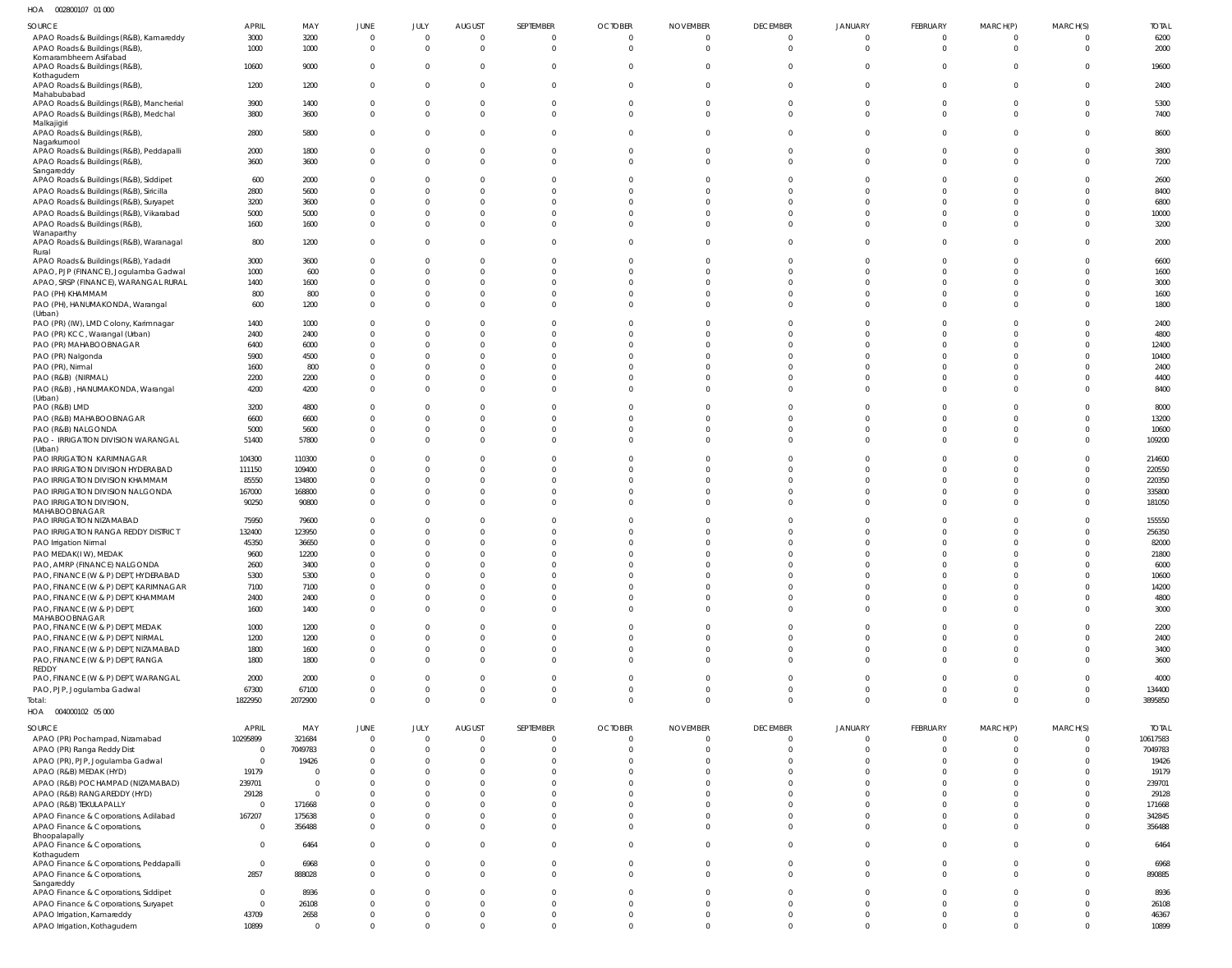| HOA   002800107   01   000                                |                |                  |                            |                            |                               |                            |                            |                             |                          |                              |                                |                              |                            |                |
|-----------------------------------------------------------|----------------|------------------|----------------------------|----------------------------|-------------------------------|----------------------------|----------------------------|-----------------------------|--------------------------|------------------------------|--------------------------------|------------------------------|----------------------------|----------------|
| SOURCE                                                    | <b>APRIL</b>   | MAY              | JUNE                       | JULY                       | <b>AUGUST</b>                 | SEPTEMBER                  | <b>OCTOBER</b>             | <b>NOVEMBER</b>             | <b>DECEMBER</b>          | <b>JANUARY</b>               | FEBRUARY                       | MARCH(P)                     | MARCH(S)                   | <b>TOTAL</b>   |
| APAO Roads & Buildings (R&B), Kamareddy                   | 3000           | 3200             | $\mathbf 0$                | $\mathbf 0$                | $\overline{0}$                | 0                          | $\mathbf{0}$               | $\Omega$                    | $\overline{0}$           | $\mathbf{0}$                 | $\overline{0}$                 | $\overline{0}$               | $\overline{0}$             | 6200           |
| APAO Roads & Buildings (R&B)                              | 1000           | 1000             | $\mathbf 0$                | $\mathbf 0$                | $\mathbf 0$                   | $\mathbf 0$                | $\mathbf 0$                | $\Omega$                    | $\mathbf 0$              | $\mathbf{0}$                 | $\mathbf 0$                    | $\overline{0}$               | $\mathbf{0}$               | 2000           |
| Komarambheem Asifabad                                     |                |                  |                            |                            |                               |                            |                            |                             |                          |                              |                                |                              |                            |                |
| APAO Roads & Buildings (R&B),                             | 10600          | 9000             | $\mathbf 0$                | 0                          | $\overline{0}$                | $\mathbf{0}$               | $\Omega$                   |                             | $\mathbf 0$              | $\mathbf{0}$                 | $\mathbf 0$                    | $\overline{0}$               | $\overline{0}$             | 19600          |
| Kothagudem                                                |                |                  |                            |                            |                               |                            |                            |                             |                          |                              |                                |                              |                            |                |
| APAO Roads & Buildings (R&B),                             | 1200           | 1200             | $\mathbf 0$                | $\mathbf 0$                | $\mathbf 0$                   | $\Omega$                   | $\Omega$                   |                             | $\mathbf{0}$             | $\mathbf 0$                  | $\mathbf{0}$                   | $\mathbf{0}$                 | $\overline{0}$             | 2400           |
| Mahabubabad<br>APAO Roads & Buildings (R&B), Mancherial   | 3900           | 1400             | $\mathbf 0$                | 0                          | $\mathbf 0$                   |                            | $\mathbf{0}$               |                             | $\mathbf 0$              | $\mathbf 0$                  | $\mathbf 0$                    | $\mathbf 0$                  | $\overline{0}$             | 5300           |
|                                                           | 3800           | 3600             | $\mathbf 0$                | $\mathbf 0$                | $\mathbf 0$                   | $\Omega$                   | $\Omega$                   | $\Omega$                    | $\Omega$                 | $\Omega$                     | $\Omega$                       | $\Omega$                     | $\Omega$                   | 7400           |
| APAO Roads & Buildings (R&B), Medchal<br>Malkajigiri      |                |                  |                            |                            |                               |                            |                            |                             |                          |                              |                                |                              |                            |                |
| APAO Roads & Buildings (R&B),                             | 2800           | 5800             | $\mathbf{0}$               | $\Omega$                   | $\overline{0}$                | $\Omega$                   | $\Omega$                   |                             | $\mathbf 0$              | $\mathbf 0$                  | $\Omega$                       | $\Omega$                     | $\overline{0}$             | 8600           |
| Nagarkurnool                                              |                |                  |                            |                            |                               |                            |                            |                             |                          |                              |                                |                              |                            |                |
| APAO Roads & Buildings (R&B), Peddapalli                  | 2000           | 1800             | $\mathbf 0$                | 0                          | $\mathbf 0$                   |                            | 0                          |                             | $\Omega$                 | $\Omega$                     | $\Omega$                       | $\Omega$                     | $\overline{0}$             | 3800           |
| APAO Roads & Buildings (R&B),                             | 3600           | 3600             | $\mathbf 0$                | $\Omega$                   | $\mathbf{0}$                  | $\Omega$                   | $\Omega$                   | $\Omega$                    | $\Omega$                 | $\mathbf 0$                  | $\Omega$                       | $\Omega$                     | $\overline{0}$             | 7200           |
| Sangareddy                                                |                |                  |                            |                            |                               |                            |                            |                             |                          |                              |                                |                              |                            |                |
| APAO Roads & Buildings (R&B), Siddipet                    | 600            | 2000             | $\mathbf 0$                | $\Omega$                   | $\mathbf 0$                   |                            |                            |                             | $\Omega$                 | $\Omega$                     | $\Omega$                       | $\Omega$                     | $\Omega$                   | 2600           |
| APAO Roads & Buildings (R&B), Siricilla                   | 2800           | 5600             | $\Omega$                   | $\Omega$                   | $\Omega$                      |                            |                            |                             | $\Omega$                 | $\Omega$                     | $\Omega$                       | $\Omega$                     | $\Omega$                   | 8400           |
| APAO Roads & Buildings (R&B), Suryapet                    | 3200           | 3600             | 0                          | $\Omega$                   | $\mathbf 0$                   |                            |                            |                             | $\Omega$                 | $\Omega$                     | $\Omega$                       | $\Omega$                     | $\Omega$                   | 6800           |
| APAO Roads & Buildings (R&B), Vikarabad                   | 5000           | 5000             | 0                          | $\Omega$                   | $\mathbf 0$                   |                            |                            |                             | $\Omega$                 | $\Omega$                     | $\Omega$                       | $\Omega$                     | $\Omega$                   | 10000          |
| APAO Roads & Buildings (R&B),                             | 1600           | 1600             | $\mathbf 0$                | $\Omega$                   | $\mathbf 0$                   |                            |                            |                             | $\Omega$                 | $\Omega$                     | $\Omega$                       | $\Omega$                     | $\Omega$                   | 3200           |
| Wanaparthy                                                |                |                  |                            |                            |                               |                            |                            |                             |                          |                              |                                |                              |                            |                |
| APAO Roads & Buildings (R&B), Waranagal                   | 800            | 1200             | $\mathbf 0$                | $\Omega$                   | $\mathbf 0$                   |                            | $\Omega$                   |                             | $\Omega$                 | $\mathbf 0$                  | $\Omega$                       | $\Omega$                     | $\overline{0}$             | 2000           |
| Rural<br>APAO Roads & Buildings (R&B), Yadadri            | 3000           | 3600             | $\Omega$                   | $\Omega$                   | $\Omega$                      |                            | $\Omega$                   |                             | $\Omega$                 | $\Omega$                     | $\Omega$                       | $\Omega$                     | $\Omega$                   | 6600           |
|                                                           | 1000           | 600              | $\Omega$                   | $\Omega$                   | $\Omega$                      |                            |                            |                             | $\Omega$                 | $\Omega$                     | $\Omega$                       | $\Omega$                     | $\Omega$                   | 1600           |
| APAO, PJP (FINANCE), Jogulamba Gadwal                     |                |                  | $\Omega$                   | $\Omega$                   | $\Omega$                      | <sup>0</sup>               | <sup>0</sup>               |                             | $\Omega$                 | $\Omega$                     | $\Omega$                       | $\Omega$                     | $\Omega$                   |                |
| APAO, SRSP (FINANCE), WARANGAL RURAL                      | 1400           | 1600             |                            |                            |                               |                            |                            |                             |                          |                              |                                |                              |                            | 3000           |
| PAO (PH) KHAMMAM                                          | 800            | 800              | $\Omega$                   | $\Omega$                   | $\Omega$                      |                            |                            |                             | $\Omega$                 | $\Omega$                     | $\Omega$                       | $\Omega$                     | $\Omega$                   | 1600           |
| PAO (PH), HANUMAKONDA, Warangal                           | 600            | 1200             | $\mathbf 0$                | $\Omega$                   | $\Omega$                      | $\Omega$                   |                            |                             | $\Omega$                 | $\Omega$                     | $\Omega$                       | $\Omega$                     | $\Omega$                   | 1800           |
| (Urban)<br>PAO (PR) (IW), LMD Colony, Karimnagar          | 1400           | 1000             | $\Omega$                   | $\Omega$                   | $\Omega$                      |                            |                            |                             | $\Omega$                 | $\Omega$                     | $\Omega$                       | $\Omega$                     | $\Omega$                   | 2400           |
| PAO (PR) KCC, Warangal (Urban)                            | 2400           | 2400             | $\Omega$                   | $\Omega$                   | $\Omega$                      |                            |                            |                             | $\Omega$                 | $\Omega$                     | $\Omega$                       | $\Omega$                     | $\Omega$                   | 4800           |
| PAO (PR) MAHABOOBNAGAR                                    | 6400           | 6000             | $\Omega$                   | $\Omega$                   | $\Omega$                      |                            |                            |                             | $\Omega$                 | $\Omega$                     | $\Omega$                       | $\Omega$                     | $\Omega$                   | 12400          |
|                                                           | 5900           | 4500             | $\Omega$                   | $\Omega$                   | $\Omega$                      |                            |                            |                             | $\Omega$                 | $\Omega$                     | $\Omega$                       | $\Omega$                     | $\Omega$                   | 10400          |
| PAO (PR) Nalgonda                                         |                |                  |                            |                            |                               |                            |                            |                             |                          |                              |                                |                              |                            |                |
| PAO (PR), Nirmal                                          | 1600           | 800              | $\Omega$                   | $\Omega$                   | $\Omega$                      |                            |                            |                             | $\Omega$                 | $\Omega$                     | $\Omega$                       | $\Omega$                     | $\Omega$                   | 2400           |
| PAO (R&B) (NIRMAL)                                        | 2200           | 2200             | $\Omega$                   | $\Omega$                   | $\Omega$                      | $\Omega$                   | <sup>0</sup>               |                             | $\Omega$                 | $\Omega$                     | $\Omega$                       | $\Omega$                     | $\Omega$                   | 4400           |
| PAO (R&B), HANUMAKONDA, Warangal                          | 4200           | 4200             | $\Omega$                   | $\Omega$                   | $\Omega$                      |                            |                            |                             | $\Omega$                 | $\Omega$                     | $\Omega$                       | $\Omega$                     | $\Omega$                   | 8400           |
| (Urban)<br>PAO (R&B) LMD                                  | 3200           | 4800             | $\Omega$                   | $\Omega$                   | $\Omega$                      |                            | <sup>0</sup>               |                             | $\Omega$                 | $\Omega$                     | $\Omega$                       | $\Omega$                     | $\Omega$                   | 8000           |
|                                                           | 6600           | 6600             | $\Omega$                   | $\Omega$                   | $\Omega$                      |                            |                            |                             | $\Omega$                 | $\Omega$                     | $\Omega$                       | $\Omega$                     | $\Omega$                   | 13200          |
| PAO (R&B) MAHABOOBNAGAR                                   |                |                  |                            |                            |                               |                            |                            |                             |                          | $\Omega$                     | $\Omega$                       |                              |                            |                |
| PAO (R&B) NALGONDA                                        | 5000           | 5600             | $\Omega$                   | $\Omega$                   | $\Omega$                      | <sup>0</sup>               | $\Omega$                   | $\Omega$                    | $\Omega$                 |                              |                                | $\Omega$                     | $\Omega$                   | 10600          |
| PAO - IRRIGATION DIVISION WARANGAL                        | 51400          | 57800            | $\Omega$                   | $\Omega$                   | $\Omega$                      | $\Omega$                   | $\Omega$                   |                             | $\Omega$                 | $\Omega$                     | $\Omega$                       | $\Omega$                     | $\Omega$                   | 109200         |
| (Urban)<br>PAO IRRIGATION KARIMNAGAR                      | 104300         | 110300           | $\Omega$                   | $\Omega$                   | $\Omega$                      |                            |                            |                             | $\Omega$                 | $\Omega$                     | $\Omega$                       | $\Omega$                     | $\Omega$                   | 214600         |
| PAO IRRIGATION DIVISION HYDERABAD                         | 111150         | 109400           | $\Omega$                   | $\Omega$                   | $\Omega$                      |                            |                            |                             | $\Omega$                 | $\Omega$                     | $\Omega$                       | $\Omega$                     | $\Omega$                   | 220550         |
| PAO IRRIGATION DIVISION KHAMMAM                           | 85550          | 134800           | $\Omega$                   | $\Omega$                   | $\Omega$                      | <sup>0</sup>               |                            |                             | $\Omega$                 | $\Omega$                     | $\Omega$                       | $\Omega$                     | $\Omega$                   | 220350         |
| PAO IRRIGATION DIVISION NALGONDA                          |                |                  | $\Omega$                   | $\Omega$                   | $\mathbf 0$                   | $\Omega$                   | $\Omega$                   |                             | $\Omega$                 | $\Omega$                     | $\Omega$                       | $\Omega$                     | $\Omega$                   | 335800         |
|                                                           | 167000         | 168800           |                            |                            |                               |                            |                            |                             |                          |                              |                                |                              |                            |                |
| PAO IRRIGATION DIVISION,<br>MAHABOOBNAGAR                 | 90250          | 90800            | $\Omega$                   | $\Omega$                   | $\Omega$                      |                            |                            |                             | $\Omega$                 | $\Omega$                     | $\Omega$                       | $\Omega$                     | $\Omega$                   | 181050         |
| PAO IRRIGATION NIZAMABAD                                  | 75950          | 79600            | <sup>0</sup>               | $\Omega$                   | $\Omega$                      |                            |                            |                             |                          |                              | -C                             |                              | - 0                        | 155550         |
| PAO IRRIGATION RANGA REDDY DISTRICT                       | 132400         | 123950           | <sup>0</sup>               | $\Omega$                   | $\Omega$                      |                            | $\Omega$                   |                             | $\Omega$                 |                              | $\Omega$                       | $\Omega$                     | $\Omega$                   | 256350         |
| PAO Irrigation Nirmal                                     | 45350          | 36650            | $\Omega$                   | $\Omega$                   | $\Omega$                      |                            | $\Omega$                   |                             | $\Omega$                 | $\Omega$                     | $\Omega$                       | $\Omega$                     | $\Omega$                   | 82000          |
| PAO MEDAK(IW), MEDAK                                      | 9600           | 12200            | $\Omega$                   | $\Omega$                   | $\Omega$                      |                            |                            |                             |                          | $\Omega$                     | $\Omega$                       | $\Omega$                     | $\Omega$                   | 21800          |
| PAO, AMRP (FINANCE) NALGONDA                              | 2600           | 3400             | $\Omega$                   | $\Omega$                   | $\Omega$                      |                            |                            |                             | $\Omega$                 | $\Omega$                     | $\Omega$                       | $\Omega$                     | $\Omega$                   | 6000           |
| PAO, FINANCE (W & P) DEPT, HYDERABAD                      | 5300           | 5300             | $\mathbf 0$                | $\mathbf 0$                | $\overline{0}$                | $\Omega$                   | $\mathbf 0$                | $\Omega$                    | $\Omega$                 | $\Omega$                     | $\Omega$                       | $\mathbf{0}$                 | $\overline{0}$             | 10600          |
|                                                           |                |                  |                            | $\Omega$                   | $\Omega$                      | $\Omega$                   | $\Omega$                   | $\Omega$                    | $\Omega$                 | $\Omega$                     | $\Omega$                       | $\Omega$                     | $\Omega$                   |                |
| PAO, FINANCE (W & P) DEPT, KARIMNAGAR                     | 7100           | 7100             | $\mathbf 0$                |                            |                               |                            |                            |                             |                          |                              |                                |                              |                            | 14200          |
| PAO, FINANCE (W & P) DEPT, KHAMMAM                        | 2400           | 2400             | $\mathbf 0$                | $\Omega$                   | $\Omega$                      | $\Omega$                   | $\Omega$                   | $\Omega$                    | $\Omega$                 | $\Omega$                     | $\Omega$                       | $\Omega$                     | $\Omega$                   | 4800           |
| PAO, FINANCE (W & P) DEPT,                                | 1600           | 1400             | $\mathbf 0$                | $\Omega$                   | $\Omega$                      | $\Omega$                   | $\Omega$                   | $\Omega$                    | $\Omega$                 | $\Omega$                     | $\Omega$                       | $\Omega$                     | $\Omega$                   | 3000           |
| MAHABOOBNAGAR<br>PAO, FINANCE (W & P) DEPT, MEDAK         | 1000           | 1200             | $\mathbf 0$                | $\Omega$                   | $\Omega$                      | $\Omega$                   | $\Omega$                   | $\Omega$                    | $\Omega$                 | $\Omega$                     | $\Omega$                       | $\overline{0}$               | $\Omega$                   | 2200           |
| PAO, FINANCE (W & P) DEPT, NIRMAL                         | 1200           | 1200             | $\Omega$                   | $\Omega$                   | $\Omega$                      | $\Omega$                   | $\Omega$                   | $\Omega$                    | $\Omega$                 | $\Omega$                     | $\Omega$                       | $\Omega$                     | $\Omega$                   | 2400           |
| PAO, FINANCE (W & P) DEPT, NIZAMABAD                      | 1800           | 1600             | $\mathbf 0$                | $\mathbf 0$                | $\overline{0}$                | $\mathbf 0$                | $\mathbf 0$                | $\Omega$                    |                          |                              |                                |                              |                            | 3400           |
| PAO, FINANCE (W & P) DEPT, RANGA                          | 1800           |                  |                            |                            |                               |                            |                            |                             |                          |                              |                                |                              |                            |                |
| REDDY                                                     |                |                  |                            |                            |                               |                            |                            |                             | $\Omega$                 | $\Omega$                     | $\Omega$                       | $\mathbf{0}$                 | $\Omega$                   |                |
| PAO, FINANCE (W & P) DEPT, WARANGAL                       |                | 1800             | $\mathbf 0$                | $\Omega$                   | $\Omega$                      | $\Omega$                   | $\Omega$                   | $\Omega$                    | $\Omega$                 | $\Omega$                     | $\Omega$                       | $\Omega$                     | $\Omega$                   | 3600           |
|                                                           | 2000           | 2000             | $\mathbf 0$                | $\Omega$                   | $\Omega$                      | $\Omega$                   | $\Omega$                   | $\Omega$                    | $\Omega$                 | $\Omega$                     | $\Omega$                       | $\overline{0}$               | $\Omega$                   | 4000           |
|                                                           | 67300          | 67100            | $\mathbf 0$                | $\mathbf 0$                | $\overline{0}$                | $\mathbf 0$                | $\mathbf 0$                | $\Omega$                    | $\overline{0}$           | $\mathbf 0$                  | $\overline{0}$                 | $\overline{0}$               | $\overline{0}$             | 134400         |
| PAO, PJP, Jogulamba Gadwal                                |                |                  | $\mathbf 0$                | $\Omega$                   | $\overline{0}$                | $\Omega$                   | $\Omega$                   | $\Omega$                    | $\Omega$                 | $\overline{0}$               | $\Omega$                       | $\Omega$                     | $\Omega$                   |                |
| Total:                                                    | 1822950        | 2072900          |                            |                            |                               |                            |                            |                             |                          |                              |                                |                              |                            | 3895850        |
| HOA   004000102   05   000                                |                |                  |                            |                            |                               |                            |                            |                             |                          |                              |                                |                              |                            |                |
| SOURCE                                                    | APRIL          | MAY              | JUNE                       | JULY                       | <b>AUGUST</b>                 | SEPTEMBER                  | <b>OCTOBER</b>             | <b>NOVEMBER</b>             | <b>DECEMBER</b>          | JANUARY                      | FEBRUARY                       | MARCH(P)                     | MARCH(S)                   | <b>TOTAL</b>   |
| APAO (PR) Pochampad, Nizamabad                            | 10295899       | 321684           | $\overline{0}$             | $\mathbf 0$                | $\mathbf 0$                   | $\mathbf 0$                | $\mathbf 0$                | $\mathbf 0$                 | $\mathbf{0}$             | $\mathbf 0$                  | $\mathbf 0$                    | $\overline{\mathbf{0}}$      | $\overline{0}$             | 10617583       |
| APAO (PR) Ranga Reddy Dist                                | $\overline{0}$ | 7049783          | $\mathbf{0}$               | $\mathbf 0$                | $\mathbf 0$                   | $\Omega$                   | $\Omega$                   | $\Omega$                    | $\mathbf 0$              | $\mathbf{0}$                 | $\mathbf 0$                    | $\Omega$                     | $\overline{0}$             | 7049783        |
| APAO (PR), PJP, Jogulamba Gadwal                          | $\overline{0}$ | 19426            | $\mathbf 0$                | $\mathbf 0$                | $\mathbf{0}$                  | $\Omega$                   | $\Omega$                   | $\Omega$                    | $\Omega$                 | $\Omega$                     | $\Omega$                       | $\overline{0}$               | $\overline{0}$             | 19426          |
| APAO (R&B) MEDAK (HYD)                                    | 19179          | $\Omega$         | $\mathbf 0$                | $\Omega$                   | $\mathbf 0$                   | $\Omega$                   | $\Omega$                   | $\Omega$                    | $\Omega$                 | $\mathbf{0}$                 | $\Omega$                       | $\overline{0}$               | $\Omega$                   | 19179          |
| APAO (R&B) POCHAMPAD (NIZAMABAD)                          | 239701         | $\Omega$         | $\mathbf 0$                | $\Omega$                   | $\mathbf 0$                   | $\Omega$                   | $\Omega$                   | $\Omega$                    | $\Omega$                 | $\Omega$                     | $\Omega$                       | $\Omega$                     | $\Omega$                   | 239701         |
| APAO (R&B) RANGAREDDY (HYD)                               | 29128          | $\Omega$         | $\mathbf 0$                | $\Omega$                   | $\mathbf 0$                   | $\Omega$                   | $\Omega$                   | $\Omega$                    | $\Omega$                 | $\Omega$                     | $\Omega$                       | $\Omega$                     | $\Omega$                   | 29128          |
| APAO (R&B) TEKULAPALLY                                    | $\overline{0}$ | 171668           | $\mathbf 0$                | $\Omega$                   | $\mathbf 0$                   | $\Omega$                   | $\Omega$                   | $\Omega$                    | $\Omega$                 | $\Omega$                     | $\Omega$                       | $\Omega$                     | $\Omega$                   | 171668         |
| APAO Finance & Corporations, Adilabad                     | 167207         | 175638           | $\mathbf 0$                | $\mathbf 0$                | $\mathbf 0$                   | $\Omega$                   | $\Omega$                   | $\Omega$                    | $\mathbf 0$              | $\mathbf 0$                  | $\mathbf{0}$                   | $\mathbf{0}$                 | $\overline{0}$             | 342845         |
| APAO Finance & Corporations,                              | $\mathbf{0}$   | 356488           | $\mathbf 0$                | $\mathbf 0$                | $\mathbf 0$                   | $\Omega$                   | $\Omega$                   | $\Omega$                    | $\Omega$                 | $\mathbf{0}$                 | $\mathbf{0}$                   | $\mathbf{0}$                 | $\overline{0}$             | 356488         |
| Bhoopalapally                                             |                |                  |                            |                            |                               |                            |                            |                             |                          |                              |                                |                              |                            |                |
| APAO Finance & Corporations,                              | $\overline{0}$ | 6464             | $\mathbf 0$                | $\Omega$                   | $\mathbf 0$                   | $\Omega$                   | $\Omega$                   | $\Omega$                    | $\overline{0}$           | $\mathbf{0}$                 | $\mathbf{0}$                   | $\mathbf{0}$                 | $\Omega$                   | 6464           |
| Kothagudem                                                |                |                  |                            |                            |                               |                            |                            |                             |                          |                              |                                |                              |                            |                |
| APAO Finance & Corporations, Peddapalli                   | $\mathbf 0$    | 6968             | $\mathbf{0}$               | $\mathbf 0$                | $\mathbf 0$                   | $\mathbf 0$                | $\mathbf 0$                | $\mathbf 0$                 | $\overline{0}$           | $\overline{0}$               | $\mathbf{0}$                   | $\mathbf{0}$                 | $\overline{0}$             | 6968           |
| APAO Finance & Corporations,                              | 2857           | 888028           | $\mathbf 0$                | $\mathbf 0$                | $\mathbf 0$                   | $\Omega$                   | $\Omega$                   | $\Omega$                    | $\mathbf{0}$             | $\mathbf{0}$                 | $\mathbf 0$                    | $\mathbf{0}$                 | $\Omega$                   | 890885         |
| Sangareddy                                                |                |                  |                            |                            |                               |                            |                            |                             |                          |                              |                                |                              |                            |                |
| APAO Finance & Corporations, Siddipet                     | $\mathbf{0}$   | 8936             | $\mathbf 0$                | $\mathbf 0$                | $\mathbf 0$                   | $\Omega$                   | $\Omega$                   | $\Omega$                    | $\Omega$                 | $\Omega$                     | $\Omega$                       | $\Omega$                     | $\Omega$                   | 8936           |
| APAO Finance & Corporations, Suryapet                     | $\overline{0}$ | 26108            | $\mathbf 0$                | $\mathbf 0$                | $\mathbf 0$                   | $\Omega$                   | $\Omega$                   | $\Omega$                    | $\mathbf 0$              | $\mathbf 0$                  | $\mathbf{0}$                   | $\overline{0}$               | $\Omega$                   | 26108          |
| APAO Irrigation, Kamareddy<br>APAO Irrigation, Kothagudem | 43709<br>10899 | 2658<br>$\Omega$ | $\mathbf 0$<br>$\mathbf 0$ | $\mathbf 0$<br>$\mathbf 0$ | $\overline{0}$<br>$\mathbf 0$ | $\mathbf 0$<br>$\mathbf 0$ | $\overline{0}$<br>$\Omega$ | $\mathbf 0$<br>$\mathbf{0}$ | $\mathbf{0}$<br>$\Omega$ | $\mathbf{0}$<br>$\mathbf{0}$ | $\mathbf{0}$<br>$\overline{0}$ | $\mathbf{0}$<br>$\mathbf{0}$ | $\overline{0}$<br>$\Omega$ | 46367<br>10899 |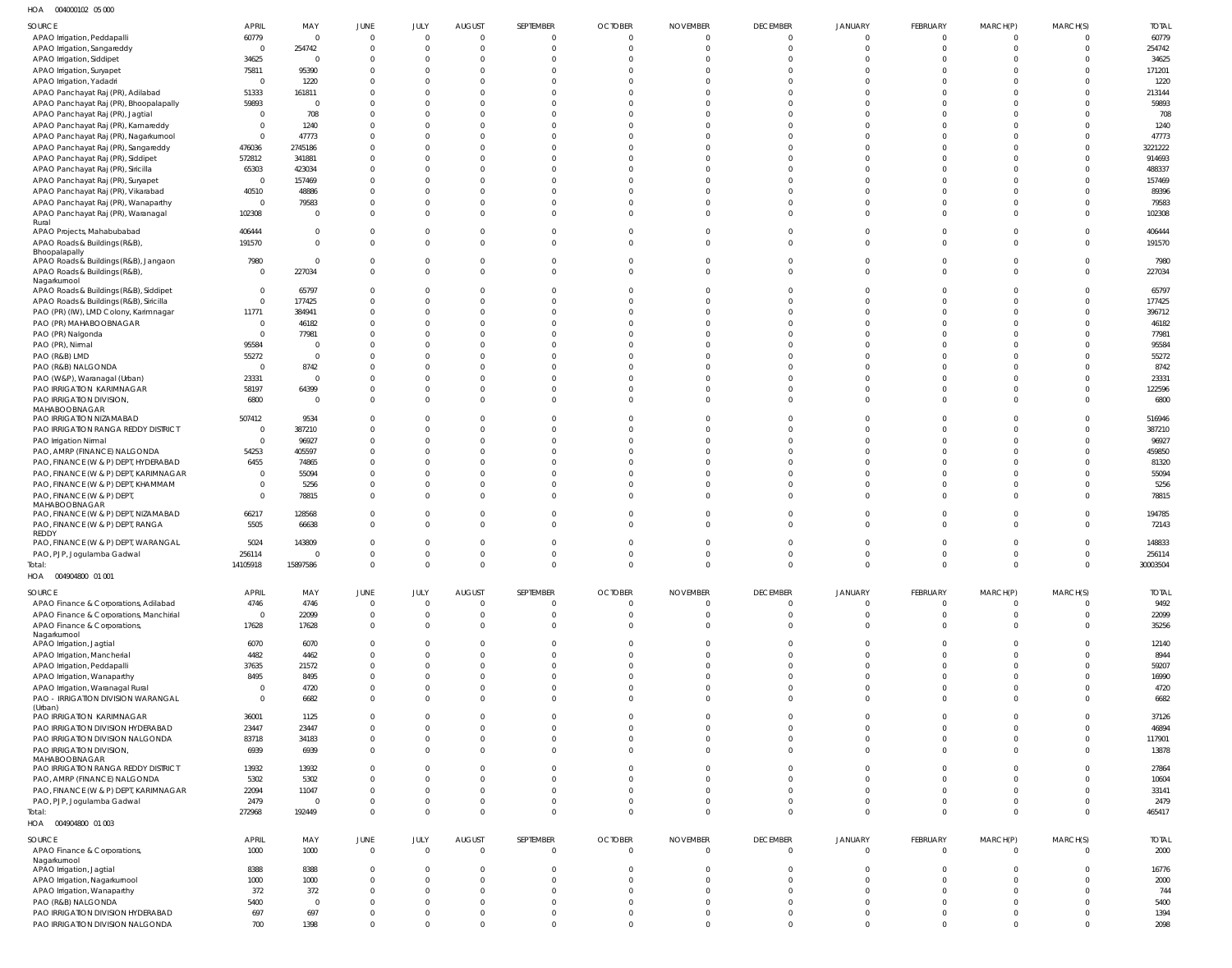004000102 05 000 HOA

| SOURCE                                                 | <b>APRIL</b>   | MAY            | JUNE           | JULY           | <b>AUGUST</b>           | SEPTEMBER      | <b>OCTOBER</b> | <b>NOVEMBER</b> | <b>DECEMBER</b> | <b>JANUARY</b> | FEBRUARY       | MARCH(P)       | MARCH(S) | <b>TOTAL</b> |
|--------------------------------------------------------|----------------|----------------|----------------|----------------|-------------------------|----------------|----------------|-----------------|-----------------|----------------|----------------|----------------|----------|--------------|
| APAO Irrigation, Peddapalli                            | 60779          | 0              | $\overline{0}$ |                | $\Omega$                | $\Omega$       | $\overline{0}$ | $\Omega$        |                 |                | $\Omega$       |                |          | 60779        |
| APAO Irrigation, Sangareddy                            | $\Omega$       | 254742         | $\Omega$       |                | $\Omega$                | $\Omega$       | $\Omega$       | $\Omega$        | $\Omega$        |                | $\Omega$       |                |          | 254742       |
| APAO Irrigation, Siddipet                              | 34625          | $\Omega$       | $\Omega$       |                | $\Omega$                |                | C              |                 |                 |                |                |                |          | 34625        |
|                                                        | 75811          | 95390          | $\Omega$       |                |                         |                |                |                 |                 |                |                |                |          | 171201       |
| APAO Irrigation, Suryapet                              | $\Omega$       |                | $\Omega$       |                |                         |                |                |                 |                 |                |                |                |          |              |
| APAO Irrigation, Yadadri                               |                | 1220           |                |                |                         |                |                |                 |                 |                |                |                |          | 1220         |
| APAO Panchayat Raj (PR), Adilabad                      | 51333          | 161811         | $\Omega$       |                |                         |                |                |                 |                 |                |                |                |          | 213144       |
| APAO Panchayat Raj (PR), Bhoopalapally                 | 59893          | 0              | $\Omega$       |                |                         |                |                |                 |                 |                |                |                |          | 59893        |
| APAO Panchayat Raj (PR), Jagtial                       | $\Omega$       | 708            | $\Omega$       |                |                         |                |                |                 |                 |                |                |                |          | 708          |
| APAO Panchayat Raj (PR), Kamareddy                     | 0              | 1240           | $\Omega$       |                |                         |                |                |                 |                 |                |                |                |          | 1240         |
| APAO Panchayat Raj (PR), Nagarkurnool                  | $\Omega$       | 47773          | $\Omega$       |                |                         |                |                |                 |                 |                |                |                |          | 47773        |
| APAO Panchayat Raj (PR), Sangareddy                    | 476036         | 2745186        | $\Omega$       |                |                         |                |                |                 |                 |                |                |                |          | 3221222      |
| APAO Panchayat Raj (PR), Siddipet                      | 572812         | 341881         | $\Omega$       |                |                         |                |                |                 |                 |                |                |                |          | 914693       |
| APAO Panchayat Raj (PR), Siricilla                     | 65303          | 423034         | $\Omega$       |                |                         |                |                |                 |                 |                |                |                |          | 488337       |
| APAO Panchayat Raj (PR), Suryapet                      | $\overline{0}$ | 157469         | $\Omega$       |                |                         |                |                |                 |                 |                |                |                |          | 157469       |
|                                                        | 40510          | 48886          | $\Omega$       |                |                         |                |                |                 |                 |                |                |                |          | 89396        |
| APAO Panchayat Raj (PR), Vikarabad                     |                |                |                |                |                         |                |                |                 |                 |                |                |                |          |              |
| APAO Panchayat Raj (PR), Wanaparthy                    | $\Omega$       | 79583          | $\Omega$       |                | 0                       | -C             | C              | $\Omega$        |                 |                |                |                |          | 79583        |
| APAO Panchayat Raj (PR), Waranagal                     | 102308         |                | $\Omega$       |                | $\Omega$                | $\Omega$       | $\Omega$       | $\Omega$        |                 |                |                |                |          | 102308       |
| Rural<br>APAO Projects, Mahabubabad                    | 406444         | 0              | $\Omega$       |                | $\Omega$                | $\Omega$       | $\Omega$       | $\Omega$        |                 |                |                |                |          | 406444       |
|                                                        |                |                | $\Omega$       | $\Omega$       |                         |                |                | $\Omega$        |                 |                |                |                |          |              |
| APAO Roads & Buildings (R&B),                          | 191570         | $\Omega$       |                |                | $\Omega$                | $\Omega$       | $\Omega$       |                 |                 |                | $\Omega$       |                |          | 191570       |
| Bhoopalapally<br>APAO Roads & Buildings (R&B), Jangaon | 7980           | $\Omega$       | $\Omega$       |                | $\Omega$                | $\Omega$       | $\Omega$       | $\Omega$        |                 |                |                |                |          | 7980         |
|                                                        | $\Omega$       |                | $\mathbf{0}$   | $\Omega$       | $\Omega$                | $\Omega$       | $\Omega$       | $\Omega$        | $\Omega$        |                | $\Omega$       |                |          | 227034       |
| APAO Roads & Buildings (R&B),<br>Nagarkurnool          |                | 227034         |                |                |                         |                |                |                 |                 |                |                |                |          |              |
| APAO Roads & Buildings (R&B), Siddipet                 | $\Omega$       | 65797          | $\Omega$       |                |                         |                | C              |                 |                 |                |                |                |          | 65797        |
| APAO Roads & Buildings (R&B), Siricilla                | $\Omega$       | 177425         | $\Omega$       |                | $\Omega$                |                | C              |                 |                 |                |                |                |          | 177425       |
|                                                        |                |                |                |                |                         |                |                |                 |                 |                |                |                |          |              |
| PAO (PR) (IW), LMD Colony, Karimnagar                  | 11771          | 384941         | $\Omega$       |                |                         |                | C              |                 |                 |                |                |                |          | 396712       |
| PAO (PR) MAHABOOBNAGAR                                 | $\Omega$       | 46182          | $\Omega$       |                | $\Omega$                |                |                |                 |                 |                |                |                |          | 46182        |
| PAO (PR) Nalgonda                                      | $\Omega$       | 77981          | $\Omega$       |                |                         |                |                |                 |                 |                |                |                |          | 77981        |
| PAO (PR), Nirmal                                       | 95584          |                | $\Omega$       |                |                         |                |                |                 |                 |                |                |                |          | 95584        |
| PAO (R&B) LMD                                          | 55272          | $\Omega$       | $\Omega$       |                |                         |                |                |                 |                 |                |                |                |          | 55272        |
| PAO (R&B) NALGONDA                                     |                | 8742           | $\Omega$       |                |                         |                |                |                 |                 |                |                |                |          | 8742         |
| PAO (W&P), Waranagal (Urban)                           | 23331          | $\Omega$       | $\Omega$       |                |                         |                |                |                 |                 |                |                |                |          | 23331        |
| PAO IRRIGATION KARIMNAGAR                              | 58197          | 64399          | $\Omega$       |                | <sup>0</sup>            | $\Omega$       | C              | $\Omega$        |                 |                |                |                |          | 122596       |
| PAO IRRIGATION DIVISION,                               | 6800           | $\Omega$       | $\Omega$       |                | $\Omega$                | $\Omega$       | $\Omega$       | $\Omega$        |                 |                |                |                |          | 6800         |
| MAHABOOBNAGAR                                          |                |                |                |                |                         |                |                |                 |                 |                |                |                |          |              |
| PAO IRRIGATION NIZAMABAD                               | 507412         | 9534           | $\Omega$       |                | $\Omega$                | -C             | C              | $\Omega$        |                 |                |                |                |          | 516946       |
| PAO IRRIGATION RANGA REDDY DISTRICT                    | $\overline{0}$ | 387210         | $\Omega$       |                | $\Omega$                |                | C              |                 |                 |                |                |                |          | 387210       |
|                                                        | $\Omega$       |                | $\Omega$       |                | $\Omega$                |                | C              |                 |                 |                |                |                |          | 96927        |
| PAO Irrigation Nirmal                                  |                | 96927          |                |                |                         |                |                |                 |                 |                |                |                |          |              |
| PAO, AMRP (FINANCE) NALGONDA                           | 54253          | 405597         | $\Omega$       |                |                         |                |                |                 |                 |                |                |                |          | 459850       |
| PAO, FINANCE (W & P) DEPT, HYDERABAD                   | 6455           | 74865          | $\Omega$       |                |                         |                |                |                 |                 |                |                |                |          | 81320        |
| PAO, FINANCE (W & P) DEPT, KARIMNAGAR                  | $\Omega$       | 55094          | $\Omega$       |                | <sup>0</sup>            |                |                |                 |                 |                |                |                |          | 55094        |
| PAO, FINANCE (W & P) DEPT, KHAMMAM                     | $\Omega$       | 5256           | $\Omega$       |                | <sup>0</sup>            | $\Omega$       | C              | $\Omega$        |                 |                |                |                |          | 5256         |
| PAO, FINANCE (W & P) DEPT,                             | $\Omega$       | 78815          | $\Omega$       |                | $\Omega$                |                |                |                 |                 |                |                |                |          | 78815        |
| MAHABOOBNAGAR                                          |                |                |                |                |                         |                |                |                 |                 |                |                |                |          |              |
| PAO, FINANCE (W & P) DEPT, NIZAMABAD                   | 66217          | 128568         | $\overline{0}$ |                | $\Omega$                | $\Omega$       | $\Omega$       | $\Omega$        |                 |                | $\Omega$       |                |          | 194785       |
| PAO, FINANCE (W & P) DEPT, RANGA                       | 5505           | 66638          | $\Omega$       |                | $\Omega$                | $\Omega$       | $\Omega$       | $\Omega$        | $\Omega$        |                | $\Omega$       |                |          | 72143        |
| REDDY                                                  |                |                |                |                |                         |                |                |                 |                 |                |                |                |          |              |
| PAO, FINANCE (W & P) DEPT, WARANGAL                    | 5024           | 143809         | $\Omega$       |                | $\Omega$                | $\Omega$       | $\Omega$       | $\Omega$        |                 |                | $\Omega$       |                |          | 148833       |
| PAO, PJP, Jogulamba Gadwal                             | 256114         | $\Omega$       | $\Omega$       | $\Omega$       | $\Omega$                | $\Omega$       | $\Omega$       | $\Omega$        | $\Omega$        | $\Omega$       | $\Omega$       | $\Omega$       |          | 256114       |
| Total:                                                 | 14105918       | 15897586       | $\overline{0}$ | $\overline{0}$ | $\overline{0}$          | $\mathbf 0$    | $\mathbf 0$    | $\overline{0}$  | $\Omega$        | $\Omega$       | $\mathbf{0}$   | 0              | $\Omega$ | 30003504     |
| HOA<br>004904800 01 001                                |                |                |                |                |                         |                |                |                 |                 |                |                |                |          |              |
|                                                        |                |                |                |                |                         |                |                |                 |                 |                |                |                |          |              |
| SOURCE                                                 | <b>APRIL</b>   | MAY            | JUNE           | JULY           | <b>AUGUST</b>           | SEPTEMBER      | <b>OCTOBER</b> | <b>NOVEMBER</b> | <b>DECEMBER</b> | JANUARY        | FEBRUARY       | MARCH(P)       | MARCH(S) | <b>TOTAL</b> |
| APAO Finance & Corporations, Adilabad                  | 4746           | 4746           | $\overline{0}$ | $\Omega$       | $\overline{0}$          | $\overline{0}$ | $\overline{0}$ | $\overline{0}$  | $\Omega$        | $\mathbf{0}$   | $\overline{0}$ | $\overline{0}$ | - 0      | 9492         |
| APAO Finance & Corporations, Manchirial                | $\overline{0}$ | 22099          | $\overline{0}$ | $\Omega$       | $\overline{0}$          | $\overline{0}$ | $\overline{0}$ | $\overline{0}$  | $\Omega$        | $\Omega$       | $\mathbf 0$    | $\overline{0}$ | $\Omega$ | 22099        |
| APAO Finance & Corporations,                           | 17628          | 17628          | $\overline{0}$ | $\Omega$       | $\overline{0}$          | $\overline{0}$ | $\Omega$       | $\overline{0}$  | $\Omega$        | $\Omega$       | $\Omega$       | $\Omega$       | $\Omega$ | 35256        |
| Nagarkurnool                                           |                |                |                |                |                         |                |                |                 |                 |                |                |                |          |              |
| APAO Irrigation, Jagtial                               | 6070           | 6070           | $\overline{0}$ | $\Omega$       | $\overline{0}$          | $\Omega$       | $\Omega$       | $\overline{0}$  | $\Omega$        | $\Omega$       | $\Omega$       | $\Omega$       | -C       | 12140        |
| APAO Irrigation, Mancherial                            | 4482           | 4462           | $\mathbf{0}$   | $\Omega$       | $\Omega$                | $\Omega$       | $\Omega$       | $\Omega$        | $\Omega$        | $\Omega$       | $\Omega$       | $\Omega$       | $\Omega$ | 8944         |
| APAO Irrigation, Peddapalli                            | 37635          | 21572          | $\overline{0}$ | $\Omega$       | $\Omega$                | $\Omega$       | $\Omega$       | $\Omega$        | $\Omega$        | $\Omega$       | $\Omega$       | $\Omega$       | $\Omega$ | 59207        |
| APAO Irrigation, Wanaparthy                            | 8495           | 8495           | $\mathbf{0}$   | $\Omega$       | $\Omega$                | $\Omega$       | $\Omega$       | $\Omega$        | $\Omega$        | $\Omega$       | $\Omega$       | $\Omega$       | $\Omega$ | 16990        |
| APAO Irrigation, Waranagal Rural                       | $\overline{0}$ | 4720           | $\mathbf 0$    | $\Omega$       | $\Omega$                | $\Omega$       | $\Omega$       | $\Omega$        | $\Omega$        | $\Omega$       | $\Omega$       | $\Omega$       | $\Omega$ | 4720         |
| PAO - IRRIGATION DIVISION WARANGAL                     | $\overline{0}$ | 6682           | $\overline{0}$ | $\Omega$       | $\Omega$                | $\Omega$       | $\Omega$       | $\overline{0}$  | $\Omega$        | $\Omega$       | $\Omega$       | $\Omega$       | $\Omega$ | 6682         |
| (Urban)                                                |                |                |                |                |                         |                |                |                 |                 |                |                |                |          |              |
| PAO IRRIGATION KARIMNAGAR                              | 36001          | 1125           | $\overline{0}$ | $\Omega$       | $\Omega$                | $\Omega$       | $\Omega$       | $\overline{0}$  | $\Omega$        | $\Omega$       | $\Omega$       | $\Omega$       | -C       | 37126        |
| PAO IRRIGATION DIVISION HYDERABAD                      | 23447          | 23447          | $\mathbf{0}$   | $\Omega$       | $\Omega$                | $\Omega$       | $\Omega$       | $\Omega$        | $\Omega$        | $\Omega$       | $\Omega$       | $\Omega$       | $\Omega$ | 46894        |
|                                                        |                |                |                | $\Omega$       | $\Omega$                | $\Omega$       | $\Omega$       | $\overline{0}$  | $\Omega$        | $\Omega$       | $\Omega$       | $\Omega$       |          |              |
| PAO IRRIGATION DIVISION NALGONDA                       | 83718          | 34183          | $\mathbf 0$    |                |                         |                |                |                 |                 |                |                |                | $\Omega$ | 117901       |
| PAO IRRIGATION DIVISION,<br>MAHABOOBNAGAR              | 6939           | 6939           | $\overline{0}$ | $\Omega$       | $\Omega$                | $\Omega$       | $\Omega$       | $\overline{0}$  | $\Omega$        | $\Omega$       | $\Omega$       | $\Omega$       | $\Omega$ | 13878        |
| PAO IRRIGATION RANGA REDDY DISTRICT                    | 13932          | 13932          | $\overline{0}$ |                | $\Omega$                | $\mathbf{0}$   | $\Omega$       | $\overline{0}$  | $\Omega$        | $\Omega$       | $\Omega$       | $\Omega$       | - 0      | 27864        |
|                                                        |                |                |                |                | $\Omega$                |                |                | $\Omega$        |                 |                |                |                |          |              |
| PAO, AMRP (FINANCE) NALGONDA                           | 5302           | 5302           | $\mathbf{0}$   | $\Omega$       |                         | $\Omega$       | $\Omega$       |                 | $\Omega$        | $\Omega$       | $\Omega$       | $\Omega$       | $\Omega$ | 10604        |
| PAO, FINANCE (W & P) DEPT, KARIMNAGAR                  | 22094          | 11047          | $\mathbf{0}$   | $\Omega$       | $\overline{0}$          | $\mathbf{0}$   | $\Omega$       | $\overline{0}$  | $\Omega$        | $\Omega$       | $\Omega$       | $\Omega$       | $\Omega$ | 33141        |
| PAO, PJP, Jogulamba Gadwal                             | 2479           | $\overline{0}$ | $\overline{0}$ | $\Omega$       | $\overline{0}$          | $\overline{0}$ | $\overline{0}$ | $\overline{0}$  | $\Omega$        | $\Omega$       | $\mathbf 0$    | $\overline{0}$ | $\Omega$ | 2479         |
| Total:                                                 | 272968         | 192449         | $\mathbf 0$    | $\Omega$       | $\Omega$                | $\mathbf{0}$   | $\Omega$       | $\overline{0}$  | $\Omega$        | $\mathbf 0$    | $\Omega$       | $\Omega$       | $\Omega$ | 465417       |
| HOA  004904800  01  003                                |                |                |                |                |                         |                |                |                 |                 |                |                |                |          |              |
|                                                        |                |                |                |                |                         |                |                |                 |                 |                |                |                |          |              |
| SOURCE                                                 | <b>APRIL</b>   | MAY            | JUNE           | JULY           | <b>AUGUST</b>           | SEPTEMBER      | <b>OCTOBER</b> | <b>NOVEMBER</b> | <b>DECEMBER</b> | JANUARY        | FEBRUARY       | MARCH(P)       | MARCH(S) | <b>TOTAL</b> |
| APAO Finance & Corporations,                           | 1000           | 1000           | $\mathbf 0$    | $\Omega$       | $\overline{0}$          | $\overline{0}$ | $\mathbf{0}$   | $\overline{0}$  | $\Omega$        | $\Omega$       | $\overline{0}$ | $\overline{0}$ | $\Omega$ | 2000         |
| Nagarkurnool                                           |                |                |                |                |                         |                |                |                 |                 |                |                |                |          |              |
| APAO Irrigation, Jagtial                               | 8388           | 8388           | $\mathbf{0}$   | $\Omega$       | $\overline{\mathbf{0}}$ | 0              | $\overline{0}$ | $\Omega$        | $\Omega$        | $\Omega$       | $\Omega$       | $\Omega$       | - 0      | 16776        |
| APAO Irrigation, Nagarkurnool                          | 1000           | 1000           | $\mathbf{0}$   | $\Omega$       | $\Omega$                | 0              | $\overline{0}$ | $\Omega$        | $\Omega$        |                | $\Omega$       | $\Omega$       |          | 2000         |
| APAO Irrigation, Wanaparthy                            | 372            | 372            | $\overline{0}$ | $\Omega$       | $\Omega$                | $\mathbf{0}$   | $\overline{0}$ | $\Omega$        | $\Omega$        |                | $\Omega$       | $\Omega$       |          | 744          |
| PAO (R&B) NALGONDA                                     | 5400           | $\overline{0}$ | $\overline{0}$ | $\Omega$       | $\overline{0}$          | $\Omega$       | $\Omega$       | $\Omega$        | $\Omega$        | $\Omega$       | $\Omega$       | $\Omega$       |          | 5400         |
| PAO IRRIGATION DIVISION HYDERABAD                      | 697            | 697            | $\mathbf{0}$   | $\Omega$       | $\overline{0}$          | $\mathbf{0}$   | $\overline{0}$ | $\overline{0}$  | $\Omega$        | $\Omega$       | $\mathbf 0$    | $\mathbf 0$    |          | 1394         |
| PAO IRRIGATION DIVISION NALGONDA                       | 700            | 1398           | $\mathbf 0$    | $\Omega$       | $\overline{0}$          | $\mathbf{0}$   | $\overline{0}$ | $\overline{0}$  | $\Omega$        | $\Omega$       | $\mathbf{0}$   | $\Omega$       | $\Omega$ | 2098         |
|                                                        |                |                |                |                |                         |                |                |                 |                 |                |                |                |          |              |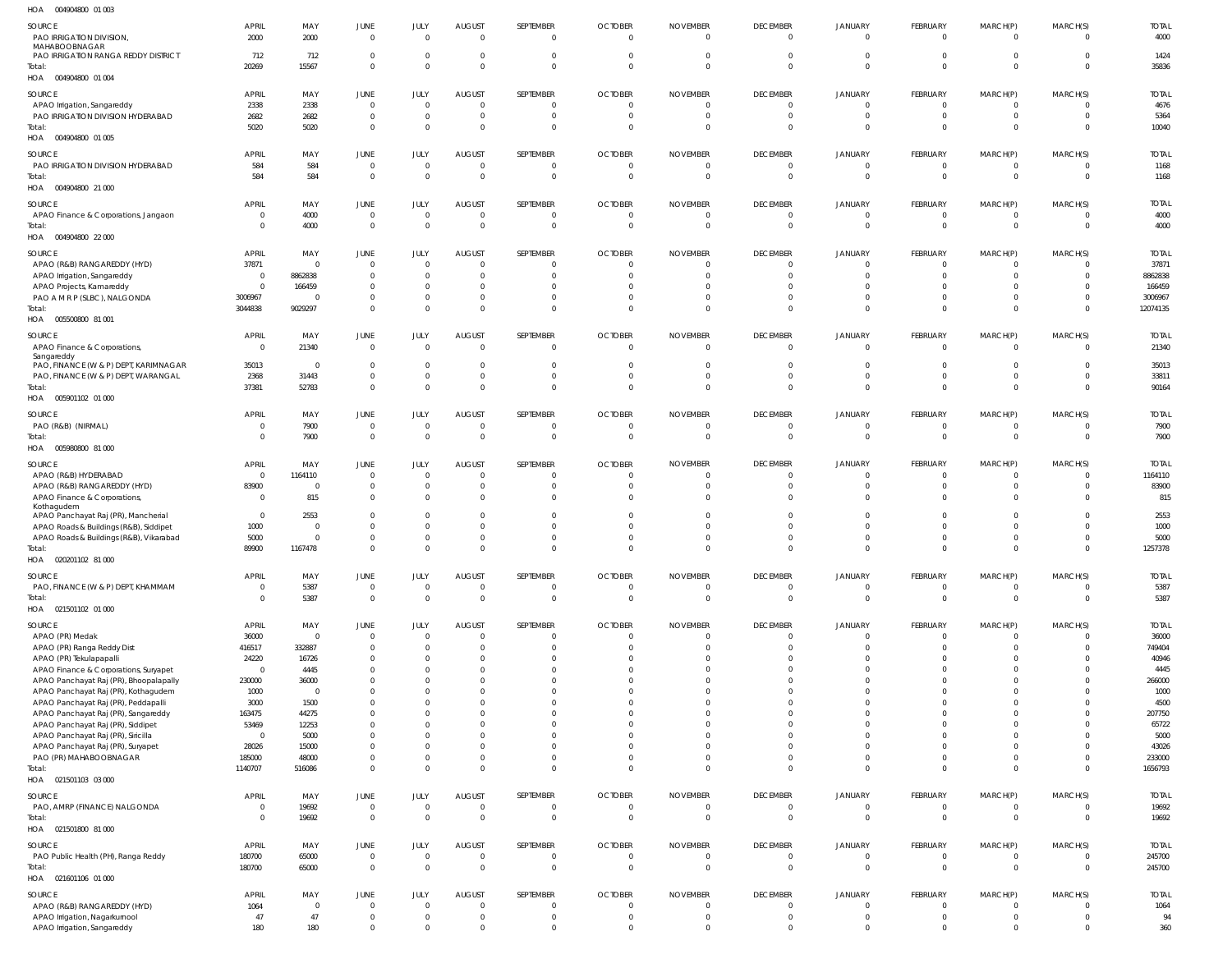| SOURCE<br>PAO IRRIGATION DIVISION<br>MAHABOOBNAGAR                                | <b>APRIL</b><br>2000           | MAY<br>2000               | <b>JUNE</b><br>$\overline{0}$    | JULY<br>$\mathbf{0}$           | <b>AUGUST</b><br>$\overline{0}$  | SEPTEMBER<br>$\overline{0}$   | <b>OCTOBER</b><br>$\mathbf 0$    | <b>NOVEMBER</b><br>$\mathbf 0$ | <b>DECEMBER</b><br>$\overline{0}$ | JANUARY<br>$\overline{0}$        | FEBRUARY<br>$\Omega$     | MARCH(P)<br>$\mathbf{0}$    | MARCH(S)<br>$\Omega$       | <b>TOTAL</b><br>4000   |
|-----------------------------------------------------------------------------------|--------------------------------|---------------------------|----------------------------------|--------------------------------|----------------------------------|-------------------------------|----------------------------------|--------------------------------|-----------------------------------|----------------------------------|--------------------------|-----------------------------|----------------------------|------------------------|
| PAO IRRIGATION RANGA REDDY DISTRICT<br>Total:<br>HOA  004904800  01 004           | 712<br>20269                   | 712<br>15567              | $\overline{0}$<br>$\overline{0}$ | $\mathbf 0$<br>$\Omega$        | 0<br>$\Omega$                    | $\Omega$<br>$\overline{0}$    | $\Omega$                         | $\Omega$                       | $\circ$<br>$\Omega$               | $\circ$<br>$\Omega$              | $\Omega$                 | $\mathbf{0}$<br>$\mathbf 0$ | $\Omega$<br>$\Omega$       | 1424<br>35836          |
| SOURCE<br>APAO Irrigation, Sangareddy                                             | <b>APRIL</b><br>2338           | MAY<br>2338               | JUNE<br>$\overline{0}$           | JULY<br>$\overline{0}$         | <b>AUGUST</b><br>$\overline{0}$  | SEPTEMBER<br>$\mathbf 0$      | <b>OCTOBER</b><br>$\overline{0}$ | <b>NOVEMBER</b><br>$\mathbf 0$ | <b>DECEMBER</b><br>$\overline{0}$ | <b>JANUARY</b><br>$\overline{0}$ | FEBRUARY<br>- 0          | MARCH(P)<br>$\mathbf{0}$    | MARCH(S)<br>$\Omega$       | <b>TOTAI</b><br>4676   |
| PAO IRRIGATION DIVISION HYDERABAD                                                 | 2682                           | 2682                      | $\overline{0}$                   | $\mathbf 0$                    | $\overline{0}$                   | $\mathbf 0$                   | $\mathbf 0$                      | 0                              | $\circ$                           | $\Omega$                         |                          | $\mathbf 0$                 | $\Omega$                   | 5364                   |
| Total:<br>HOA  004904800  01  005                                                 | 5020                           | 5020                      | $\overline{0}$                   | $\mathbf 0$                    | 0                                | $\mathbf 0$                   | $\Omega$                         | $\Omega$                       | $\Omega$                          | -0                               |                          | $\mathbf{0}$                | $\Omega$                   | 10040                  |
| SOURCE<br>PAO IRRIGATION DIVISION HYDERABAD                                       | <b>APRIL</b><br>584            | MAY<br>584                | JUNE<br>$\overline{0}$           | JULY<br>$\mathbf{0}$           | <b>AUGUST</b><br>0               | SEPTEMBER<br>$\mathbf 0$      | <b>OCTOBER</b><br>$\overline{0}$ | <b>NOVEMBER</b><br>$\mathbf 0$ | <b>DECEMBER</b><br>- 0            | <b>JANUARY</b><br>$\overline{0}$ | FEBRUARY<br>0            | MARCH(P)<br>$\mathbf{0}$    | MARCH(S)<br>$\Omega$       | <b>TOTAL</b><br>1168   |
| Total:<br>004904800 21 000<br>HOA                                                 | 584                            | 584                       | $\overline{0}$                   | $\mathbf{0}$                   | $\Omega$                         | $\mathbf 0$                   | $\mathbf{0}$                     | $\mathbf 0$                    | $\overline{0}$                    | $\overline{0}$                   | $\Omega$                 | $\mathbf 0$                 | $\Omega$                   | 1168                   |
| SOURCE                                                                            | <b>APRIL</b>                   | MAY                       | JUNE                             | JULY                           | <b>AUGUST</b>                    | SEPTEMBER                     | <b>OCTOBER</b>                   | <b>NOVEMBER</b>                | <b>DECEMBER</b>                   | JANUARY                          | FEBRUARY                 | MARCH(P)                    | MARCH(S)                   | <b>TOTAL</b>           |
| APAO Finance & Corporations, Jangaon<br>Total:                                    | $\mathbf{0}$<br>$\mathbf{0}$   | 4000<br>4000              | $\overline{0}$<br>$\overline{0}$ | $\mathbf{0}$<br>$\overline{0}$ | $\overline{0}$<br>$\overline{0}$ | $\mathbf 0$<br>$\mathbf 0$    | $\mathbf 0$<br>$\overline{0}$    | 0<br>$\mathbf 0$               | $\overline{0}$<br>$\Omega$        | $\circ$<br>$\Omega$              | - 0                      | $\mathbf{0}$<br>$\mathbf 0$ | $\Omega$<br>$\Omega$       | 4000<br>4000           |
| 004904800 22 000<br>HOA                                                           |                                |                           |                                  |                                |                                  |                               |                                  |                                |                                   |                                  |                          |                             |                            |                        |
| SOURCE                                                                            | <b>APRIL</b>                   | MAY                       | <b>JUNE</b>                      | JULY                           | <b>AUGUST</b>                    | SEPTEMBER                     | <b>OCTOBER</b>                   | <b>NOVEMBER</b>                | <b>DECEMBER</b>                   | <b>JANUARY</b>                   | FEBRUARY                 | MARCH(P)                    | MARCH(S)                   | <b>TOTAI</b>           |
| APAO (R&B) RANGAREDDY (HYD)<br>APAO Irrigation, Sangareddy                        | 37871<br>$\mathbf{0}$          | $\overline{0}$<br>8862838 | $\overline{0}$<br>$\overline{0}$ | $\mathbf 0$<br>$\mathbf 0$     | - 0<br>0                         | $\Omega$<br>$\Omega$          | 0                                |                                | $\Omega$<br>$\circ$               | - 0<br>$\Omega$                  | -C                       | $\Omega$<br>$\mathbf{0}$    | $\Omega$<br>$\Omega$       | 37871<br>8862838       |
| APAO Projects, Kamareddy                                                          | $\mathbf{0}$                   | 166459                    | $\Omega$                         | $\mathbf 0$                    | $\Omega$                         | $\Omega$                      |                                  |                                | $\Omega$                          | -0                               |                          | $\Omega$                    | $\Omega$                   | 166459                 |
| PAO A M R P (SLBC), NALGONDA                                                      | 3006967                        | 0                         | $\overline{0}$                   | $\mathbf 0$                    | $\overline{0}$                   | $\mathbf 0$                   | $\Omega$                         | $\Omega$                       | $\circ$                           | $^{\circ}$                       |                          | $\mathbf{0}$                | $\Omega$                   | 3006967                |
| Total:<br>HOA   005500800   81   001                                              | 3044838                        | 9029297                   | $\Omega$                         | $\Omega$                       | $\Omega$                         | $\Omega$                      | $\Omega$                         | $\Omega$                       | $\Omega$                          | $\Omega$                         | $\Omega$                 | $\mathbf 0$                 | $\Omega$                   | 12074135               |
| SOURCE<br>APAO Finance & Corporations,<br>Sangareddy                              | <b>APRIL</b><br>$\overline{0}$ | MAY<br>21340              | JUNE<br>$\overline{0}$           | JULY<br>$\mathbf{0}$           | <b>AUGUST</b><br>$\overline{0}$  | SEPTEMBER<br>$\overline{0}$   | <b>OCTOBER</b><br>$\overline{0}$ | <b>NOVEMBER</b><br>$\mathbf 0$ | <b>DECEMBER</b><br>$\overline{0}$ | JANUARY<br>$\overline{0}$        | FEBRUARY<br>$\mathsf{C}$ | MARCH(P)<br>$\mathbf{0}$    | MARCH(S)<br>$\Omega$       | <b>TOTAI</b><br>21340  |
| PAO, FINANCE (W & P) DEPT, KARIMNAGAR                                             | 35013                          | $\overline{0}$            | $\overline{0}$                   | $\mathbf 0$                    | 0                                | 0                             | $\Omega$                         |                                | -0                                | -0                               |                          | $\mathbf{0}$                | $\Omega$                   | 35013                  |
| PAO, FINANCE (W & P) DEPT, WARANGAL                                               | 2368                           | 31443                     | $\overline{0}$                   | $\mathbf 0$                    | $\overline{0}$                   | $\mathbf 0$                   | $\mathbf 0$                      | $\mathbf 0$                    | $\overline{0}$                    | $\overline{0}$                   |                          | $\mathbf 0$                 | $\Omega$                   | 33811                  |
| Total:<br>HOA<br>005901102 01 000                                                 | 37381                          | 52783                     | $\overline{0}$                   | $\mathbf{0}$                   | $\Omega$                         | $\overline{0}$                | $\Omega$                         | $\Omega$                       | $\Omega$                          | $\Omega$                         |                          | $\mathbf 0$                 | $\Omega$                   | 90164                  |
| SOURCE                                                                            | <b>APRIL</b>                   | MAY                       | <b>JUNE</b>                      | JULY                           | <b>AUGUST</b>                    | SEPTEMBER                     | <b>OCTOBER</b>                   | <b>NOVEMBER</b>                | <b>DECEMBER</b>                   | <b>JANUARY</b>                   | FEBRUARY                 | MARCH(P)                    | MARCH(S)                   | <b>TOTAL</b>           |
| PAO (R&B) (NIRMAL)<br>Total:<br>HOA   005980800   81   000                        | 0<br>$\mathbf{0}$              | 7900<br>7900              | $\overline{0}$<br>$\overline{0}$ | $\mathbf 0$<br>$\mathbf{0}$    | 0<br>$\overline{0}$              | $\Omega$<br>$\overline{0}$    | $\Omega$<br>$\mathbf{0}$         | $\mathbf 0$                    | $\Omega$<br>$\overline{0}$        | $\Omega$<br>$\overline{0}$       | - 0<br>$\overline{0}$    | 0<br>$\overline{0}$         | $\Omega$<br>$\overline{0}$ | 7900<br>7900           |
| SOURCE                                                                            | <b>APRIL</b>                   | MAY                       | JUNE                             | JULY                           | <b>AUGUST</b>                    | SEPTEMBER                     | <b>OCTOBER</b>                   | <b>NOVEMBER</b>                | <b>DECEMBER</b>                   | <b>JANUARY</b>                   | FEBRUARY                 | MARCH(P)                    | MARCH(S)                   | <b>TOTAL</b>           |
| APAO (R&B) HYDERABAD                                                              | $\overline{0}$                 | 1164110                   | $\overline{0}$                   | $\mathbf 0$                    | 0                                | 0                             | $\Omega$                         | 0                              | - 0                               | $\Omega$                         |                          | 0                           | $\Omega$                   | 1164110                |
| APAO (R&B) RANGAREDDY (HYD)                                                       | 83900                          | $\overline{0}$            | $\overline{0}$                   | $\mathbf 0$                    | 0                                | $\Omega$                      | $\Omega$                         |                                | $\Omega$                          | $\Omega$                         |                          | $\mathbf{0}$                | $\Omega$<br>$\Omega$       | 83900<br>815           |
| APAO Finance & Corporations,<br>Kothagudem<br>APAO Panchayat Raj (PR), Mancherial | $\mathbf{0}$<br>$\overline{0}$ | 815<br>2553               | $\overline{0}$<br>$\Omega$       | $\mathbf 0$<br>$\mathbf 0$     | $\overline{0}$<br>- 0            | $\mathbf 0$<br>$\Omega$       | $\Omega$                         |                                | $\Omega$<br>- 0                   | $\Omega$                         |                          | $\mathbf{0}$<br>$\Omega$    | $\Omega$                   | 2553                   |
| APAO Roads & Buildings (R&B), Siddipet                                            | 1000                           | $\overline{0}$            | $\overline{0}$                   | $\mathbf 0$                    | - 0                              | $\Omega$                      |                                  |                                | - 0                               |                                  |                          | $\Omega$                    | $\Omega$                   | 1000                   |
| APAO Roads & Buildings (R&B), Vikarabad                                           | 5000                           | $\mathbf{0}$              | $\Omega$                         | $\mathbf 0$                    | 0                                | $\Omega$                      | $\mathbf 0$                      |                                | - 0                               |                                  |                          | $\mathbf{0}$                | $\Omega$                   | 5000                   |
| Total:<br>HOA  020201102  81  000                                                 | 89900                          | 1167478                   | $\Omega$                         | $\Omega$                       | $\Omega$                         | $\Omega$                      | $\Omega$                         | $\Omega$                       | $\Omega$                          |                                  |                          | $\mathbf 0$                 | $\Omega$                   | 1257378                |
| SOURCE                                                                            | <b>APRIL</b>                   | MAY                       | <b>JUNE</b>                      | JULY                           | <b>AUGUST</b>                    | SEPTEMBER                     | <b>OCTOBER</b>                   | <b>NOVEMBER</b>                | <b>DECEMBER</b>                   | JANUARY                          | FEBRUARY                 | MARCH(P)                    | MARCH(S)                   | <b>TOTAL</b>           |
| PAO, FINANCE (W & P) DEPT, KHAMMAM                                                | $\mathbf{0}$                   | 5387                      | $\overline{0}$                   | $\mathbf{0}$                   | $\overline{0}$                   | $\mathbf 0$                   | $\mathbf 0$                      | $\mathbf 0$                    | $\overline{0}$                    | $\overline{0}$                   | $\Omega$                 | $\mathbf{0}$                | $\Omega$                   | 5387                   |
| Total:<br>HOA  021501102  01  000                                                 | $\mathbf{0}$                   | 5387                      | $\overline{0}$                   | $\mathbf{0}$                   | $\overline{0}$                   | $\overline{0}$                | $\overline{0}$                   | $\mathbf 0$                    | $\overline{0}$                    | $\overline{0}$                   | $\Omega$                 | $\overline{0}$              | $\Omega$                   | 5387                   |
| SOURCE                                                                            | <b>APRIL</b>                   | MAY                       | JUNE                             | JULY                           | <b>AUGUST</b>                    | SEPTEMBER                     | <b>OCTOBER</b>                   | <b>NOVEMBER</b>                | <b>DECEMBER</b>                   | <b>JANUARY</b>                   | FEBRUARY                 | MARCH(P)                    | MARCH(S)                   | <b>TOTAL</b>           |
| APAO (PR) Medak<br>APAO (PR) Ranga Reddy Dist                                     | 36000<br>416517                | $\mathbf 0$<br>332887     | $\overline{0}$<br>$\overline{0}$ | $\overline{0}$<br>$\mathbf 0$  | $\overline{0}$<br>$\overline{0}$ | $\mathbf 0$<br>$\mathbf 0$    | $\mathbf 0$<br>$\mathbf 0$       | 0<br>$\Omega$                  | - 0<br>$\circ$                    | $\Omega$<br>$\Omega$             |                          | $\mathbf{0}$<br>$\mathbf 0$ | $\Omega$<br>$\Omega$       | 36000<br>749404        |
| APAO (PR) Tekulapapalli                                                           | 24220                          | 16726                     | $\overline{0}$                   | $\mathbf 0$                    | 0                                | $\Omega$                      | <sup>0</sup>                     |                                | $\Omega$                          |                                  |                          | $\Omega$                    | $\Omega$                   | 40946                  |
| APAO Finance & Corporations, Suryapet                                             | $\overline{0}$                 | 4445                      | $\Omega$                         | $\Omega$                       | $\Omega$                         | $\Omega$                      |                                  |                                | $\Omega$                          |                                  |                          | $\Omega$                    | $\Omega$                   | 4445                   |
| APAO Panchayat Raj (PR), Bhoopalapally                                            | 230000<br>1000                 | 36000<br>$\overline{0}$   | $\Omega$<br>$\Omega$             | $\Omega$<br>$\Omega$           | $\Omega$<br>$\Omega$             | $\Omega$<br>$\Omega$          | <sup>0</sup>                     |                                | $\Omega$<br>$\Omega$              |                                  |                          | $\Omega$<br>$\Omega$        | $\Omega$<br>$\Omega$       | 266000<br>1000         |
| APAO Panchayat Raj (PR), Kothagudem<br>APAO Panchayat Raj (PR), Peddapalli        | 3000                           | 1500                      | $\Omega$                         | $\Omega$                       | $\Omega$                         | $\Omega$                      |                                  |                                | $\Omega$                          |                                  |                          | $\Omega$                    | $\Omega$                   | 4500                   |
| APAO Panchayat Raj (PR), Sangareddy                                               | 163475                         | 44275                     | $\Omega$                         | $\Omega$                       | $\Omega$                         | $\Omega$                      |                                  |                                | $\Omega$                          |                                  |                          | $\Omega$                    | $\Omega$                   | 207750                 |
| APAO Panchayat Raj (PR), Siddipet                                                 | 53469                          | 12253                     | $\Omega$                         | $\Omega$                       | $\Omega$                         | $\Omega$                      |                                  |                                | $\Omega$                          |                                  |                          | $\Omega$                    | $\Omega$                   | 65722                  |
| APAO Panchayat Raj (PR), Siricilla<br>APAO Panchayat Raj (PR), Suryapet           | $\overline{0}$<br>28026        | 5000<br>15000             | $\Omega$<br>$\overline{0}$       | $\Omega$<br>$\mathbf 0$        | $\Omega$<br>$\Omega$             | $\Omega$<br>$\Omega$          |                                  |                                | $\Omega$<br>$\Omega$              | -0                               |                          | $\Omega$<br>$\Omega$        | $\Omega$<br>$\Omega$       | 5000<br>43026          |
| PAO (PR) MAHABOOBNAGAR                                                            | 185000                         | 48000                     | $\Omega$                         | $\mathbf 0$                    | 0                                | $\mathbf 0$                   | $\Omega$                         | 0                              | $\Omega$                          | $\Omega$                         |                          | $\mathbf{0}$                | $\Omega$                   | 233000                 |
| Total:<br>HOA  021501103  03  000                                                 | 1140707                        | 516086                    | $\overline{0}$                   | $\Omega$                       | $\Omega$                         | $\mathbf 0$                   | $\Omega$                         | $\Omega$                       | $\Omega$                          | $\Omega$                         |                          | $\mathbf 0$                 | $\Omega$                   | 1656793                |
| SOURCE                                                                            | <b>APRIL</b>                   | MAY                       | <b>JUNE</b>                      | JULY                           | <b>AUGUST</b>                    | SEPTEMBER                     | <b>OCTOBER</b>                   | <b>NOVEMBER</b>                | <b>DECEMBER</b>                   | <b>JANUARY</b>                   | FEBRUARY                 | MARCH(P)                    | MARCH(S)                   | <b>TOTAL</b>           |
| PAO, AMRP (FINANCE) NALGONDA<br>Total:                                            | $\mathbf{0}$<br>$\mathbf{0}$   | 19692<br>19692            | $\overline{0}$<br>$\overline{0}$ | $\mathbf 0$<br>$\mathbf 0$     | $\overline{0}$<br>$\overline{0}$ | $\mathbf 0$<br>$\overline{0}$ | $\mathbf 0$<br>$\overline{0}$    | $\mathbf 0$<br>$\Omega$        | $\overline{0}$<br>$\overline{0}$  | $^{\circ}$<br>$\overline{0}$     | - 0<br>$\Omega$          | $\mathbf{0}$<br>$\mathbf 0$ | $\Omega$<br>$\Omega$       | 19692<br>19692         |
| HOA  021501800  81 000                                                            |                                |                           |                                  |                                |                                  |                               |                                  |                                |                                   |                                  |                          |                             |                            |                        |
| SOURCE<br>PAO Public Health (PH), Ranga Reddy                                     | <b>APRIL</b><br>180700         | MAY<br>65000              | <b>JUNE</b><br>$\overline{0}$    | JULY<br>$\mathbf 0$            | <b>AUGUST</b><br>$\overline{0}$  | SEPTEMBER<br>$\mathbf 0$      | <b>OCTOBER</b><br>$\overline{0}$ | <b>NOVEMBER</b><br>$\mathbf 0$ | <b>DECEMBER</b><br>$\overline{0}$ | <b>JANUARY</b><br>$\Omega$       | FEBRUARY<br>- 0          | MARCH(P)<br>$\mathbf{0}$    | MARCH(S)<br>$\overline{0}$ | <b>TOTAL</b><br>245700 |
| Total:<br>HOA 021601106 01 000                                                    | 180700                         | 65000                     | $\overline{0}$                   | $\mathbf 0$                    | $\overline{0}$                   | $\mathbf 0$                   | $\mathbf 0$                      | $\mathbf 0$                    | $\overline{0}$                    | $\overline{0}$                   | - 0                      | $\mathbf 0$                 | $\overline{0}$             | 245700                 |
| SOURCE                                                                            | <b>APRIL</b>                   | MAY                       | JUNE                             | JULY                           | <b>AUGUST</b>                    | SEPTEMBER                     | <b>OCTOBER</b>                   | <b>NOVEMBER</b>                | <b>DECEMBER</b>                   | JANUARY                          | FEBRUARY                 | MARCH(P)                    | MARCH(S)                   | <b>TOTAL</b>           |
| APAO (R&B) RANGAREDDY (HYD)                                                       | 1064                           | $\overline{0}$            | $\overline{0}$                   | $\mathbf 0$                    | $\overline{0}$                   | $\mathbf 0$                   | $\overline{0}$                   | $\mathbf 0$                    | $\overline{0}$                    | $\overline{0}$                   | - 0                      | $\mathbf{0}$                | $\Omega$                   | 1064                   |
| APAO Irrigation, Nagarkurnool                                                     | 47                             | 47                        | $\overline{0}$                   | $\mathbf 0$                    | $\overline{0}$                   | $\mathbf 0$                   | $\mathbf 0$                      | $\Omega$                       | $\overline{0}$                    | $\overline{0}$                   | - 0                      | $\mathbf 0$                 | $\overline{0}$             | 94                     |
| APAO Irrigation, Sangareddy                                                       | 180                            | 180                       | $\overline{0}$                   | $\mathbf 0$                    | $\Omega$                         | $\mathbf 0$                   | $\Omega$                         | $\Omega$                       | $\Omega$                          | $\Omega$                         |                          | $\Omega$                    | $\Omega$                   | 360                    |

004904800 01 003 HOA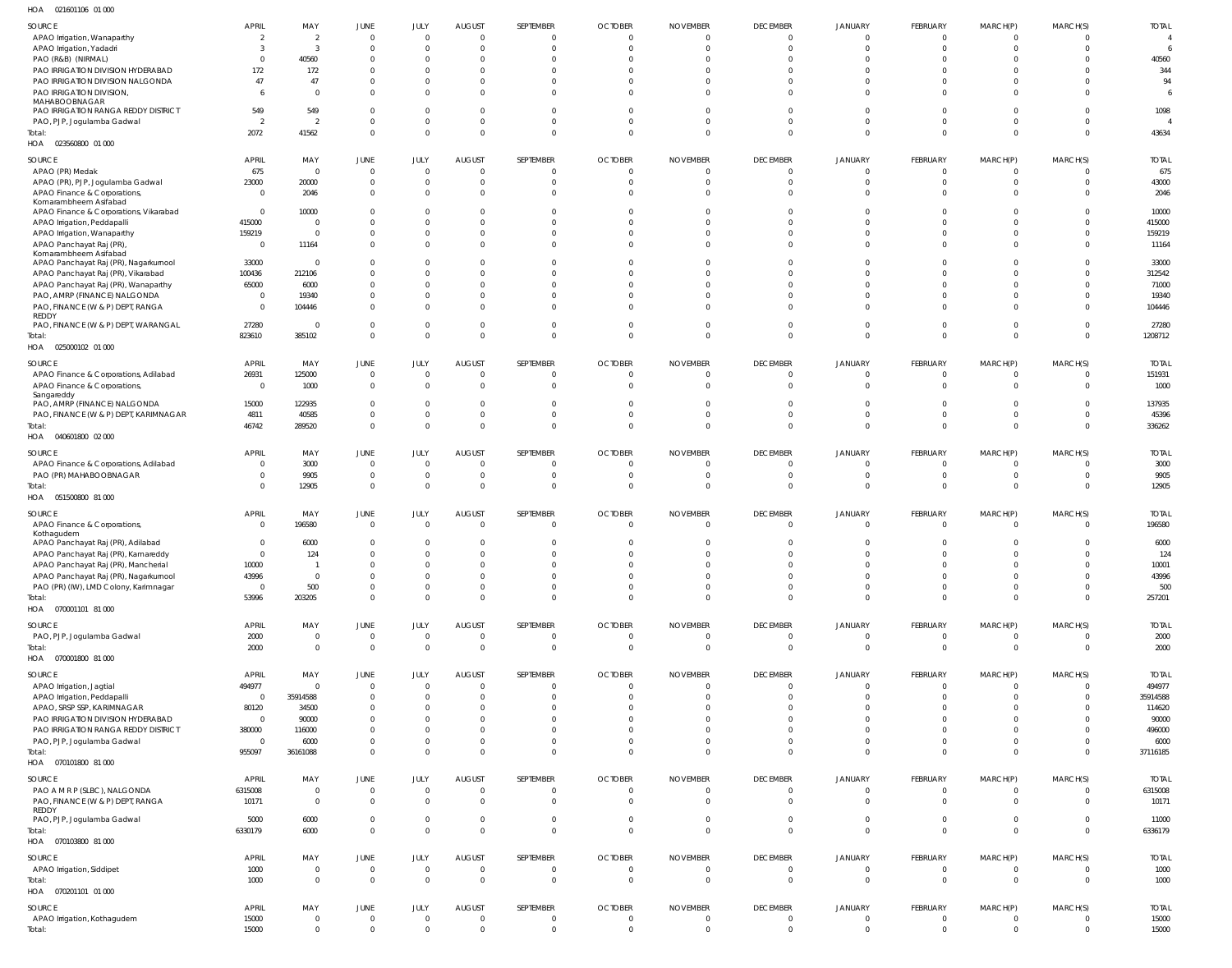| SOURCE                                                                      | APRIL                   | MAY                            | JUNE                             | JULY                             | <b>AUGUST</b>                    | SEPTEMBER                      | <b>OCTOBER</b>                   | <b>NOVEMBER</b>             | <b>DECEMBER</b>               | JANUARY                          | FEBRUARY                         | MARCH(P)                         | MARCH(S)                         | <b>TOTAL</b>       |
|-----------------------------------------------------------------------------|-------------------------|--------------------------------|----------------------------------|----------------------------------|----------------------------------|--------------------------------|----------------------------------|-----------------------------|-------------------------------|----------------------------------|----------------------------------|----------------------------------|----------------------------------|--------------------|
| APAO Irrigation, Wanaparthy                                                 | 2                       | 2                              | $\overline{0}$                   | $\overline{0}$                   | $\Omega$                         | $\overline{0}$                 | $\overline{0}$                   | $\Omega$                    | $\Omega$                      | $\overline{0}$                   | $\overline{0}$                   | $\overline{0}$                   | $\mathbf{0}$                     | -4                 |
| APAO Irrigation, Yadadri                                                    | -3                      | $\overline{3}$                 | $\overline{0}$                   | $\overline{0}$                   | $\overline{0}$                   | $\mathbf{0}$                   | $\Omega$                         | $\Omega$                    | $\Omega$                      | $\Omega$                         | $\overline{0}$                   | $\overline{0}$                   | $\mathbf 0$                      | -6                 |
| PAO (R&B) (NIRMAL)                                                          | $\overline{0}$          | 40560                          | $\overline{0}$                   | $\mathbf{0}$                     | $\Omega$                         | $\Omega$                       |                                  |                             |                               |                                  | $\Omega$                         | $\Omega$                         | $\Omega$                         | 40560              |
| PAO IRRIGATION DIVISION HYDERABAD                                           | 172                     | 172                            | $\overline{0}$                   | $\mathbf{0}$                     | - 0                              | $\Omega$                       |                                  |                             |                               | $\Omega$                         | $\Omega$                         | $\Omega$                         | $\Omega$                         | 344                |
| PAO IRRIGATION DIVISION NALGONDA                                            | 47                      | 47                             | $\overline{0}$                   | $\mathbf{0}$                     | $\Omega$                         | $\Omega$                       |                                  |                             |                               | $\Omega$                         | $\Omega$                         | $\mathbf{0}$                     | $\Omega$                         | 94                 |
| PAO IRRIGATION DIVISION,<br>MAHABOOBNAGAR                                   | 6                       | $\Omega$                       | $\overline{0}$                   | $\mathbf 0$                      | $\Omega$                         | $\Omega$                       | $\Omega$                         | $\cap$                      |                               | $\Omega$                         | $\Omega$                         | $\Omega$                         | $\Omega$                         | 6                  |
| PAO IRRIGATION RANGA REDDY DISTRICT                                         | 549                     | 549                            | $\overline{0}$                   | $\mathbf{0}$                     | $\Omega$                         | $\Omega$                       |                                  |                             |                               | $\Omega$                         | $\Omega$                         | $\Omega$                         | $\Omega$                         | 1098               |
| PAO, PJP, Jogulamba Gadwal                                                  | $\overline{2}$          | -2                             | $\overline{0}$                   | $\mathbf 0$                      | $\Omega$                         | $\Omega$                       | $\Omega$                         |                             |                               | $\Omega$                         | $\Omega$                         | $\Omega$                         | $\Omega$                         |                    |
| Total:                                                                      | 2072                    | 41562                          | $\overline{0}$                   | $\mathbf 0$                      | $\Omega$                         | $\mathbf{0}$                   | $\Omega$                         | $\Omega$                    | $\Omega$                      | $\Omega$                         | $\Omega$                         | $\mathbf{0}$                     | $\Omega$                         | 43634              |
| HOA  023560800  01  000                                                     |                         |                                |                                  |                                  |                                  |                                |                                  |                             |                               |                                  |                                  |                                  |                                  |                    |
| SOURCE                                                                      | APRIL                   | MAY                            | JUNE                             | JULY                             | <b>AUGUST</b>                    | SEPTEMBER                      | <b>OCTOBER</b>                   | <b>NOVEMBER</b>             | <b>DECEMBER</b>               | JANUARY                          | FEBRUARY                         | MARCH(P)                         | MARCH(S)                         | <b>TOTAL</b>       |
| APAO (PR) Medak                                                             | 675                     | $\overline{0}$                 | $\overline{0}$                   | $\overline{0}$                   | $\overline{0}$                   | 0                              |                                  |                             | 0                             | $\overline{0}$                   | $\overline{0}$                   | $\overline{0}$                   | $\mathbf{0}$                     | 675                |
| APAO (PR), PJP, Jogulamba Gadwal                                            | 23000                   | 20000                          | $\overline{0}$                   | $\overline{0}$                   | $\overline{0}$                   | $\Omega$                       |                                  |                             | $\Omega$                      | $\overline{0}$                   | $\overline{0}$                   | $\overline{0}$                   | $\mathbf{0}$                     | 43000              |
| APAO Finance & Corporations,                                                | $\overline{0}$          | 2046                           | $\overline{0}$                   | $\overline{0}$                   | $\Omega$                         | $\overline{0}$                 |                                  |                             | $\Omega$                      | $\Omega$                         | $\Omega$                         | $\overline{0}$                   | $\Omega$                         | 2046               |
| Komarambheem Asifabad<br>APAO Finance & Corporations, Vikarabad             | $\overline{0}$          | 10000                          | $\overline{0}$                   | $\mathbf{0}$                     | - 0                              | $\Omega$                       |                                  |                             |                               | $\Omega$                         | $\Omega$                         | $\Omega$                         | $\Omega$                         | 10000              |
| APAO Irrigation, Peddapalli                                                 | 415000                  | $\Omega$                       | $\overline{0}$                   | $\mathbf 0$                      | $\Omega$                         | 0                              |                                  |                             |                               | $\Omega$                         | $\Omega$                         | $\Omega$                         | $\Omega$                         | 415000             |
| APAO Irrigation, Wanaparthy                                                 | 159219                  | $\Omega$                       | $\overline{0}$                   | $\mathbf{0}$                     | - 0                              | $\Omega$                       |                                  |                             | $\Omega$                      | $\Omega$                         | $\Omega$                         | $\Omega$                         | $\Omega$                         | 159219             |
| APAO Panchayat Raj (PR)                                                     | $\overline{0}$          | 11164                          | $\overline{0}$                   | $\mathbf 0$                      | $\Omega$                         | $\overline{0}$                 |                                  |                             | $\Omega$                      | $\Omega$                         | $\Omega$                         | $\mathbf 0$                      | $\Omega$                         | 11164              |
| Komarambheem Asifabad                                                       |                         | $\Omega$                       | $\overline{0}$                   | $\mathbf{0}$                     | $\Omega$                         | $\Omega$                       |                                  |                             | <sup>0</sup>                  | $\Omega$                         | $\Omega$                         | $\Omega$                         | $\Omega$                         |                    |
| APAO Panchayat Raj (PR), Nagarkurnool<br>APAO Panchayat Raj (PR), Vikarabad | 33000<br>100436         | 212106                         | $\overline{0}$                   | $\mathbf 0$                      | $\Omega$                         | $\Omega$                       |                                  |                             |                               | $\Omega$                         | $\Omega$                         | $\Omega$                         | $\Omega$                         | 33000<br>312542    |
| APAO Panchayat Raj (PR), Wanaparthy                                         | 65000                   | 6000                           | $\overline{0}$                   | $\mathbf{0}$                     | $\Omega$                         | $\Omega$                       |                                  |                             |                               | $\Omega$                         | $\Omega$                         | $\Omega$                         | $\Omega$                         | 71000              |
| PAO, AMRP (FINANCE) NALGONDA                                                | $\overline{0}$          | 19340                          | $\overline{0}$                   | $\mathbf{0}$                     | $\Omega$                         | $\Omega$                       |                                  |                             |                               | $\Omega$                         | $\Omega$                         | $\mathbf{0}$                     | $\Omega$                         | 19340              |
| PAO, FINANCE (W & P) DEPT, RANGA                                            | $\mathbf{0}$            | 104446                         | $\overline{0}$                   | $\mathbf{0}$                     | $\Omega$                         | $\Omega$                       |                                  |                             |                               | $\Omega$                         | $\Omega$                         | $^{\circ}$                       | $\Omega$                         | 104446             |
| REDDY                                                                       |                         |                                |                                  |                                  |                                  |                                |                                  |                             |                               |                                  |                                  |                                  |                                  |                    |
| PAO, FINANCE (W & P) DEPT, WARANGAL                                         | 27280                   | $\overline{0}$                 | $\overline{0}$                   | $\mathbf 0$                      | 0                                | $\overline{0}$                 |                                  | $\Omega$                    | $\Omega$                      | $\overline{0}$                   | $\overline{0}$                   | $\overline{0}$                   | $\mathbf 0$                      | 27280              |
| Total:                                                                      | 823610                  | 385102                         | $\overline{0}$                   | $\mathbf 0$                      | $\overline{0}$                   | $\mathbf{0}$                   | $\Omega$                         | $\Omega$                    | $\Omega$                      | $\overline{0}$                   | $\Omega$                         | $\overline{0}$                   | $\overline{0}$                   | 1208712            |
| HOA  025000102  01 000                                                      |                         |                                |                                  |                                  |                                  |                                |                                  |                             |                               |                                  |                                  |                                  |                                  |                    |
| SOURCE                                                                      | APRIL                   | MAY                            | JUNE                             | JULY                             | <b>AUGUST</b>                    | SEPTEMBER                      | <b>OCTOBER</b>                   | <b>NOVEMBER</b>             | <b>DECEMBER</b>               | <b>JANUARY</b>                   | FEBRUARY                         | MARCH(P)                         | MARCH(S)                         | <b>TOTAL</b>       |
| APAO Finance & Corporations, Adilabad                                       | 26931                   | 125000                         | $\overline{0}$                   | $\overline{0}$                   | 0                                | $\overline{0}$                 | $\Omega$                         | - 0                         | $\mathbf 0$                   | $\overline{0}$                   | $\overline{0}$                   | $\overline{0}$                   | $\overline{0}$                   | 151931             |
| APAO Finance & Corporations,<br>Sangareddy                                  | $\overline{0}$          | 1000                           | $\overline{0}$                   | $\overline{0}$                   | $\overline{0}$                   | $\overline{0}$                 | $\Omega$                         | $\Omega$                    | $\Omega$                      | $\overline{0}$                   | $\Omega$                         | $\mathbf{0}$                     | $\overline{0}$                   | 1000               |
| PAO, AMRP (FINANCE) NALGONDA                                                | 15000                   | 122935                         | $\overline{0}$                   | $\mathbf{0}$                     | 0                                | $\Omega$                       |                                  |                             |                               | $\Omega$                         | $\Omega$                         | $\mathbf{0}$                     | $\Omega$                         | 137935             |
| PAO, FINANCE (W & P) DEPT, KARIMNAGAR                                       | 4811                    | 40585                          | $\overline{0}$                   | $\mathbf 0$                      | $\overline{0}$                   | $\Omega$                       | $\Omega$                         | $\cap$                      | $\Omega$                      | $\overline{0}$                   | $\overline{0}$                   | $\overline{0}$                   | $\overline{0}$                   | 45396              |
| Total:                                                                      | 46742                   | 289520                         | $\overline{0}$                   | $\Omega$                         | $\Omega$                         | $\mathbf{0}$                   | $\Omega$                         | $\Omega$                    | $\Omega$                      | $\Omega$                         | $\Omega$                         | $\overline{0}$                   | $\Omega$                         | 336262             |
| HOA  040601800  02  000                                                     |                         |                                |                                  |                                  |                                  |                                |                                  |                             |                               |                                  |                                  |                                  |                                  |                    |
| SOURCE                                                                      | APRIL                   | MAY                            | JUNE                             | JULY                             | <b>AUGUST</b>                    | SEPTEMBER                      | <b>OCTOBER</b>                   | <b>NOVEMBER</b>             | <b>DECEMBER</b>               | JANUARY                          | FEBRUARY                         | MARCH(P)                         | MARCH(S)                         | <b>TOTAL</b>       |
| APAO Finance & Corporations, Adilabad                                       | $\overline{0}$          | 3000                           | $\overline{0}$                   | $\overline{0}$                   | 0                                | 0                              |                                  |                             | $\Omega$                      | $\overline{0}$                   | $\overline{0}$                   | $\overline{0}$                   | $\mathbf{0}$                     | 3000               |
| PAO (PR) MAHABOOBNAGAR                                                      | $\mathbf 0$             | 9905                           | $\overline{0}$                   | $\overline{0}$                   | $\overline{0}$                   | $\Omega$                       |                                  |                             | $\mathbf 0$                   | $\overline{0}$                   | $\overline{0}$                   | $\overline{0}$                   | $\overline{0}$                   | 9905               |
| Total:                                                                      | $\mathbf 0$             | 12905                          | $\overline{0}$                   | $\overline{0}$                   | $\overline{0}$                   | $\mathbf{0}$                   | $\Omega$                         |                             | $\Omega$                      | $\Omega$                         | $\overline{0}$                   | $\overline{0}$                   | $\overline{0}$                   | 12905              |
| HOA  051500800  81 000                                                      |                         |                                |                                  |                                  |                                  |                                |                                  |                             |                               |                                  |                                  |                                  |                                  |                    |
| SOURCE                                                                      | <b>APRIL</b>            | MAY                            | JUNE                             | JULY                             | <b>AUGUST</b>                    | SEPTEMBER                      | <b>OCTOBER</b>                   | <b>NOVEMBER</b>             | <b>DECEMBER</b>               | JANUARY                          | FEBRUARY                         | MARCH(P)                         | MARCH(S)                         | <b>TOTAL</b>       |
| APAO Finance & Corporations,                                                |                         |                                |                                  |                                  | $\overline{0}$                   | $\mathbf{0}$                   | $\Omega$                         | $\Omega$                    | $\mathbf 0$                   | $\overline{0}$                   | $\overline{0}$                   | $\overline{0}$                   |                                  | 196580             |
|                                                                             | $\mathbf 0$             | 196580                         | $\overline{0}$                   | $\overline{0}$                   |                                  |                                |                                  |                             |                               |                                  |                                  |                                  | $\overline{0}$                   |                    |
| Kothagudem                                                                  |                         |                                |                                  |                                  |                                  |                                |                                  |                             |                               |                                  |                                  |                                  |                                  |                    |
| APAO Panchayat Raj (PR), Adilabad                                           | $\mathbf 0$             | 6000                           | $\overline{0}$                   | $\overline{0}$                   | $\overline{0}$                   | $\Omega$                       |                                  |                             |                               | $\Omega$                         | $\Omega$                         | $\Omega$                         | $\mathbf{0}$                     | 6000               |
| APAO Panchayat Raj (PR), Kamareddy                                          | $\mathbf 0$             | 124                            | $\overline{0}$                   | $\overline{0}$                   | $\Omega$                         | $\cap$                         |                                  |                             |                               |                                  | $\cap$                           | $\cap$                           | $\overline{0}$                   | 124                |
| APAO Panchayat Raj (PR), Mancherial                                         | 10000                   |                                | $\overline{0}$                   | $\overline{0}$                   | - 0                              | $\Omega$                       | $\Omega$                         |                             |                               | $\Omega$                         | $\overline{0}$                   | $\mathbf{0}$                     | $\mathbf{0}$                     | 10001              |
| APAO Panchayat Raj (PR), Nagarkurnool                                       | 43996<br>$\overline{0}$ | $\Omega$                       | $\overline{0}$                   | $\mathbf{0}$<br>$\mathbf{0}$     | $\overline{0}$<br>$\overline{0}$ | $\mathbf{0}$<br>$\overline{0}$ | $\Omega$<br>$\overline{0}$       | $\Omega$<br>$\Omega$        | $\mathbf 0$<br>$\mathbf 0$    | $\overline{0}$                   | $\overline{0}$                   | $\overline{0}$<br>$\overline{0}$ | $\overline{0}$<br>$\overline{0}$ | 43996              |
| PAO (PR) (IW), LMD Colony, Karimnagar<br>Total:                             | 53996                   | 500<br>203205                  | $\overline{0}$<br>$\overline{0}$ | $\overline{0}$                   | $\Omega$                         | $\mathbf{0}$                   | $\Omega$                         | $\Omega$                    | $\Omega$                      | $\overline{0}$<br>$\overline{0}$ | $\overline{0}$<br>$\Omega$       | $\mathbf{0}$                     | $\mathbf{0}$                     | 500<br>257201      |
| HOA  070001101  81 000                                                      |                         |                                |                                  |                                  |                                  |                                |                                  |                             |                               |                                  |                                  |                                  |                                  |                    |
|                                                                             |                         |                                |                                  |                                  |                                  |                                |                                  |                             |                               |                                  |                                  |                                  |                                  |                    |
| SOURCE                                                                      | <b>APRIL</b>            | MAY                            | JUNE                             | JULY                             | <b>AUGUST</b>                    | SEPTEMBER                      | <b>OCTOBER</b>                   | <b>NOVEMBER</b><br>- 0      | <b>DECEMBER</b>               | JANUARY                          | FEBRUARY                         | MARCH(P)                         | MARCH(S)                         | <b>TOTAL</b>       |
| PAO, PJP, Jogulamba Gadwal<br>Total:                                        | 2000<br>2000            | $\overline{0}$<br>$\mathbf{0}$ | $\overline{0}$<br>$\overline{0}$ | $\overline{0}$<br>$\overline{0}$ | $\overline{0}$<br>$\overline{0}$ | $\overline{0}$<br>$\mathbf{0}$ | $\overline{0}$<br>$\Omega$       | $\Omega$                    | $\mathbf 0$<br>$\overline{0}$ | $\overline{0}$<br>$\overline{0}$ | $\overline{0}$<br>$\overline{0}$ | $\mathbf 0$<br>$\overline{0}$    | $\overline{0}$<br>$\overline{0}$ | 2000<br>2000       |
| HOA  070001800  81 000                                                      |                         |                                |                                  |                                  |                                  |                                |                                  |                             |                               |                                  |                                  |                                  |                                  |                    |
|                                                                             |                         |                                |                                  |                                  |                                  |                                |                                  |                             |                               |                                  |                                  |                                  |                                  |                    |
| SOURCE                                                                      | APRIL                   | MAY<br>$\Omega$                | JUNE                             | JULY<br>$\overline{0}$           | <b>AUGUST</b><br>$\overline{0}$  | SEPTEMBER<br>$\overline{0}$    | <b>OCTOBER</b><br>$\Omega$       | <b>NOVEMBER</b><br>$\Omega$ | <b>DECEMBER</b><br>0          | JANUARY<br>$\overline{0}$        | FEBRUARY<br>$\overline{0}$       | MARCH(P)<br>$\overline{0}$       | MARCH(S)<br>$\mathbf{0}$         | <b>TOTAL</b>       |
| APAO Irrigation, Jagtial                                                    | 494977<br>$\mathbf 0$   | 35914588                       | $\overline{0}$<br>$\overline{0}$ | $\mathbf{0}$                     | $\overline{0}$                   | $\Omega$                       | $\Omega$                         | $\Omega$                    | $\Omega$                      | $\overline{0}$                   | $\overline{0}$                   | $\overline{0}$                   | $\mathbf{0}$                     | 494977<br>35914588 |
| APAO Irrigation, Peddapalli<br>APAO, SRSP SSP, KARIMNAGAR                   | 80120                   | 34500                          | $\overline{0}$                   | $\mathbf{0}$                     | 0                                | $\Omega$                       |                                  | $\cap$                      | 0                             | $\Omega$                         | $\Omega$                         | $\mathbf{0}$                     | $\Omega$                         | 114620             |
| PAO IRRIGATION DIVISION HYDERABAD                                           | $\overline{0}$          | 90000                          | $\overline{0}$                   | $\mathbf{0}$                     | $\Omega$                         | $\Omega$                       |                                  |                             |                               | $\Omega$                         | $\Omega$                         | $\Omega$                         |                                  | 90000              |
| PAO IRRIGATION RANGA REDDY DISTRICT                                         | 380000                  | 116000                         | $\overline{0}$                   | $\mathbf{0}$                     | - 0                              | $\Omega$                       | $\Omega$                         |                             |                               | $\Omega$                         | $\Omega$                         | $^{\circ}$                       | $\Omega$                         | 496000             |
| PAO, PJP, Jogulamba Gadwal                                                  | $\mathbf 0$             | 6000                           | $\overline{0}$                   | $\mathbf{0}$                     | $\overline{0}$                   | $\mathbf 0$                    | $\Omega$                         | $\Omega$                    | $\mathbf 0$                   | $\overline{0}$                   | $\overline{0}$                   | $\overline{0}$                   | $\mathbf{0}$                     | 6000               |
| Total:                                                                      | 955097                  | 36161088                       | $\overline{0}$                   | $\mathbf{0}$                     | $\Omega$                         | $\mathbf{0}$                   | $\Omega$                         | $\Omega$                    | $\Omega$                      | $\overline{0}$                   | $\overline{0}$                   | $\mathbf{0}$                     | $\Omega$                         | 37116185           |
| HOA  070101800  81 000                                                      |                         |                                |                                  |                                  |                                  |                                |                                  |                             |                               |                                  |                                  |                                  |                                  |                    |
| SOURCE                                                                      | <b>APRIL</b>            | MAY                            | JUNE                             | JULY                             | <b>AUGUST</b>                    | SEPTEMBER                      | <b>OCTOBER</b>                   | <b>NOVEMBER</b>             | <b>DECEMBER</b>               | JANUARY                          | FEBRUARY                         | MARCH(P)                         | MARCH(S)                         | <b>TOTAL</b>       |
| PAO A M R P (SLBC), NALGONDA                                                | 6315008                 | $\mathbf{0}$                   | $\overline{0}$                   | $\overline{0}$                   | $\overline{0}$                   | $\overline{0}$                 | $\overline{0}$                   | $\Omega$                    | $\mathbf 0$                   | $\overline{0}$                   | $\overline{0}$                   | $\mathbf 0$                      | $\overline{0}$                   | 6315008            |
| PAO, FINANCE (W & P) DEPT, RANGA                                            | 10171                   | $\overline{0}$                 | $\overline{0}$                   | $\overline{0}$                   | $\overline{0}$                   | $\overline{0}$                 | $\Omega$                         | $\Omega$                    | $\Omega$                      | $\overline{0}$                   | $\overline{0}$                   | $\overline{0}$                   | $\overline{0}$                   | 10171              |
| REDDY                                                                       |                         |                                |                                  | $\overline{0}$                   | $\overline{0}$                   | $\mathbf{0}$                   | $\Omega$                         | $\Omega$                    | $\mathbf 0$                   | $\overline{0}$                   | $\overline{0}$                   | $\overline{0}$                   | $\overline{0}$                   |                    |
| PAO, PJP, Jogulamba Gadwal<br>Total:                                        | 5000<br>6330179         | 6000<br>6000                   | $\overline{0}$<br>$\overline{0}$ | $\overline{0}$                   | $\overline{0}$                   | $\mathbf{0}$                   | $\Omega$                         | $\Omega$                    | $\Omega$                      | $\overline{0}$                   | $\overline{0}$                   | $\overline{0}$                   | $\mathbf{0}$                     | 11000<br>6336179   |
| HOA  070103800  81 000                                                      |                         |                                |                                  |                                  |                                  |                                |                                  |                             |                               |                                  |                                  |                                  |                                  |                    |
|                                                                             |                         |                                |                                  |                                  |                                  |                                |                                  |                             |                               |                                  |                                  |                                  |                                  |                    |
| SOURCE                                                                      | <b>APRIL</b>            | MAY                            | JUNE                             | JULY                             | <b>AUGUST</b>                    | SEPTEMBER                      | <b>OCTOBER</b>                   | <b>NOVEMBER</b><br>- 0      | <b>DECEMBER</b>               | JANUARY                          | FEBRUARY                         | MARCH(P)                         | MARCH(S)                         | <b>TOTAL</b>       |
| APAO Irrigation, Siddipet                                                   | 1000                    | $\mathbf 0$<br>$\mathbf{0}$    | $\overline{0}$                   | $\overline{0}$<br>$\overline{0}$ | 0<br>$\overline{0}$              | $\overline{0}$<br>$\mathbf{0}$ | $\overline{0}$<br>$\overline{0}$ | $\Omega$                    | 0<br>$\overline{0}$           | $\overline{0}$<br>$\overline{0}$ | $\overline{0}$<br>$\overline{0}$ | $\overline{0}$<br>$\overline{0}$ | $\overline{0}$<br>$\overline{0}$ | 1000               |
| Total:<br>HOA  070201101  01  000                                           | 1000                    |                                | $\overline{0}$                   |                                  |                                  |                                |                                  |                             |                               |                                  |                                  |                                  |                                  | 1000               |
|                                                                             |                         |                                |                                  |                                  |                                  |                                |                                  |                             |                               |                                  |                                  |                                  |                                  |                    |
| SOURCE                                                                      | <b>APRIL</b>            | MAY                            | JUNE                             | JULY                             | <b>AUGUST</b>                    | SEPTEMBER                      | <b>OCTOBER</b>                   | <b>NOVEMBER</b>             | <b>DECEMBER</b>               | JANUARY                          | FEBRUARY                         | MARCH(P)                         | MARCH(S)                         | <b>TOTAL</b>       |
| APAO Irrigation, Kothagudem<br>Total:                                       | 15000<br>15000          | $\Omega$<br>$\mathbf{0}$       | $\overline{0}$<br>$\overline{0}$ | $\overline{0}$<br>$\overline{0}$ | $\overline{0}$<br>$\overline{0}$ | $\overline{0}$<br>$\mathbf{0}$ | $\overline{0}$                   | $\Omega$<br>$\Omega$        | $\mathbf 0$<br>$\mathbf 0$    | $\overline{0}$<br>$\overline{0}$ | $\overline{0}$<br>$\overline{0}$ | $\overline{0}$<br>$\mathbf{0}$   | $\mathbf{0}$<br>$\mathbf{0}$     | 15000<br>15000     |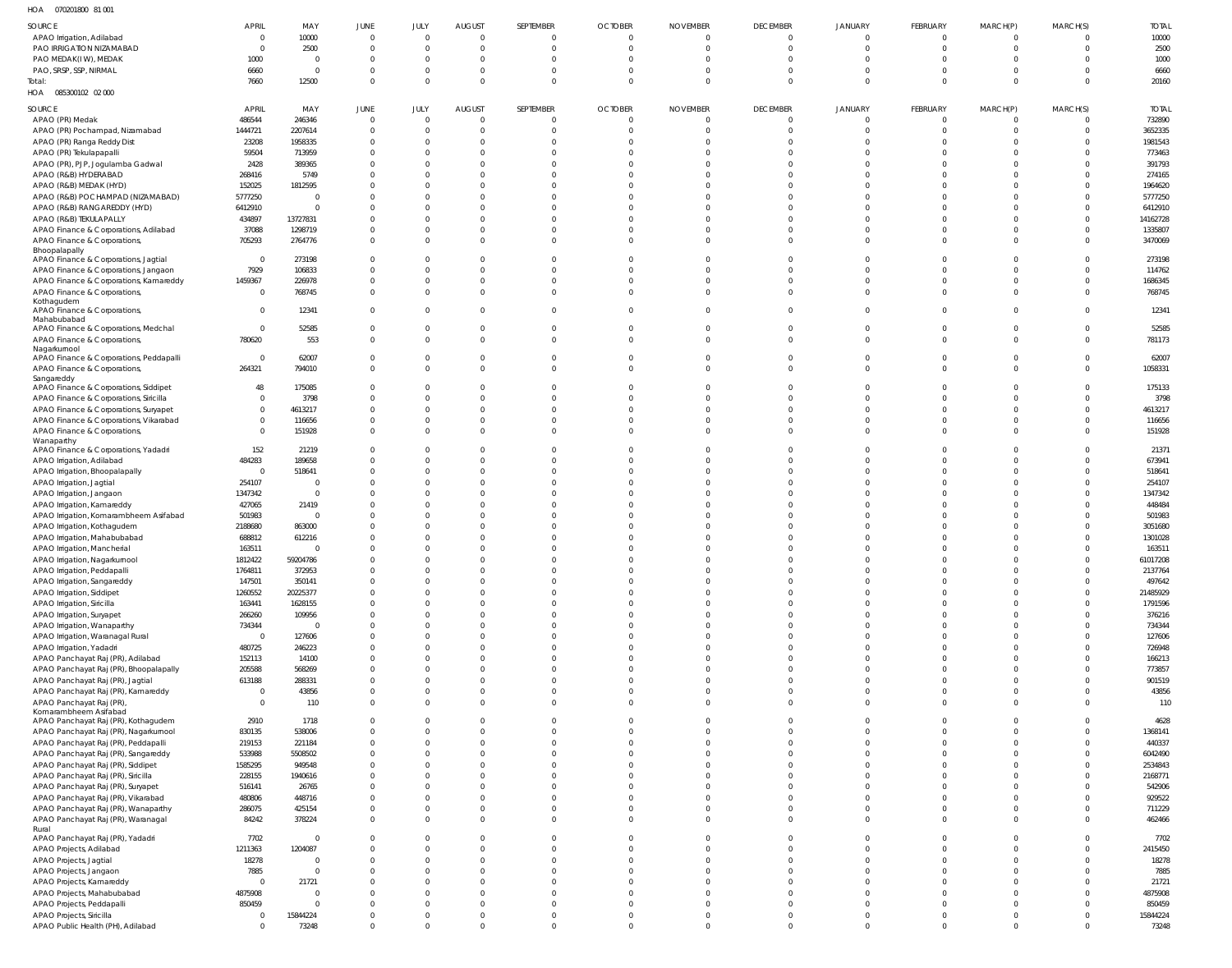070201800 81 001 HOA

| SOURCE                                                                  | <b>APRIL</b><br>$\overline{0}$ | MAY<br>10000   | <b>JUNE</b><br>$\overline{0}$ | JULY<br>$\overline{0}$ | <b>AUGUST</b><br>$\overline{0}$ | SEPTEMBER<br>$\mathbf 0$ | <b>OCTOBER</b><br>$\mathbf{0}$ | <b>NOVEMBER</b><br>0 | <b>DECEMBER</b><br>$\overline{0}$ | <b>JANUARY</b><br>$\mathbf 0$ | FEBRUARY<br>$\mathbf 0$ | MARCH(P) | MARCH(S)<br>$\Omega$ | <b>TOTAL</b><br>10000 |
|-------------------------------------------------------------------------|--------------------------------|----------------|-------------------------------|------------------------|---------------------------------|--------------------------|--------------------------------|----------------------|-----------------------------------|-------------------------------|-------------------------|----------|----------------------|-----------------------|
| APAO Irrigation, Adilabad<br>PAO IRRIGATION NIZAMABAD                   | $\overline{0}$                 | 2500           | $\overline{0}$                | $\overline{0}$         | 0                               | $\Omega$                 | $\Omega$                       | $\Omega$             | $\overline{0}$                    | $\Omega$                      | $\Omega$                |          | $\Omega$             | 2500                  |
| PAO MEDAK(IW), MEDAK                                                    | 1000                           | - 0            | $\overline{0}$                | $\overline{0}$         | $\Omega$                        | $\Omega$                 | $\Omega$                       |                      | $\Omega$                          | $\Omega$                      | $\Omega$                |          | $\Omega$             | 1000                  |
| PAO, SRSP, SSP, NIRMAL                                                  | 6660                           | $\Omega$       | $\overline{0}$                | $\overline{0}$         | 0                               |                          | $\Omega$                       |                      | $\Omega$                          | $\Omega$                      | $\Omega$                |          | $\Omega$             | 6660                  |
| Total:                                                                  | 7660                           | 12500          | $\overline{0}$                | $\overline{0}$         | $\Omega$                        | $\Omega$                 | $\Omega$                       | $\Omega$             | $\Omega$                          | $\Omega$                      | $\Omega$                |          | $\Omega$             | 20160                 |
| HOA  085300102  02  000                                                 |                                |                |                               |                        |                                 |                          |                                |                      |                                   |                               |                         |          |                      |                       |
| SOURCE                                                                  | <b>APRIL</b>                   | MAY            | <b>JUNE</b>                   | JULY                   | <b>AUGUST</b>                   | SEPTEMBER                | <b>OCTOBER</b>                 | <b>NOVEMBER</b>      | <b>DECEMBER</b>                   | <b>JANUARY</b>                | FEBRUARY                | MARCH(P) | MARCH(S)             | <b>TOTAL</b>          |
| APAO (PR) Medak                                                         | 486544                         | 246346         | $\overline{0}$                | $\overline{0}$         | 0                               | $\Omega$                 | $\mathbf{0}$                   | $\mathbf 0$          | $\overline{0}$                    | $\overline{0}$                | $\Omega$                | - 0      | $\mathbf{0}$         | 732890                |
| APAO (PR) Pochampad, Nizamabad                                          | 1444721                        | 2207614        | $\overline{0}$                | $\overline{0}$         | $\mathbf 0$                     |                          | $\Omega$                       | $\Omega$             | $\Omega$                          | $\Omega$                      | $\Omega$                |          | $\Omega$             | 3652335               |
| APAO (PR) Ranga Reddy Dist                                              | 23208                          | 1958335        | $\overline{0}$                | $\overline{0}$         | $\Omega$                        |                          | $\Omega$                       |                      | $\Omega$                          | $\Omega$                      | $\Omega$                |          | $\Omega$             | 1981543               |
| APAO (PR) Tekulapapalli                                                 | 59504                          | 713959         | $\overline{0}$                | $\overline{0}$         | $\Omega$                        |                          | $\Omega$                       |                      | $\Omega$                          | $\Omega$                      | $\Omega$                |          | $\Omega$             | 773463                |
| APAO (PR), PJP, Jogulamba Gadwal                                        | 2428                           | 389365         | $\overline{0}$                | $\mathbf 0$            | $\Omega$                        |                          | $\Omega$                       |                      | $\Omega$                          | $\Omega$                      |                         |          | $\Omega$             | 391793                |
| APAO (R&B) HYDERABAD                                                    | 268416                         | 5749           | $\overline{0}$                | $\Omega$               | $\Omega$                        |                          | $\Omega$                       |                      | $\Omega$                          | $\Omega$                      |                         |          | $\Omega$             | 274165                |
| APAO (R&B) MEDAK (HYD)                                                  | 152025                         | 1812595        | $\Omega$                      | $\Omega$               | $\Omega$                        |                          | $\Omega$                       |                      | $\Omega$                          | $\Omega$                      |                         |          | $\Omega$             | 1964620               |
| APAO (R&B) POCHAMPAD (NIZAMABAD)                                        | 5777250                        | - 0            | $\overline{0}$                | $\mathbf 0$            | $\Omega$                        |                          | $\Omega$                       |                      | $\Omega$                          | $\Omega$                      |                         |          | $\Omega$             | 5777250               |
| APAO (R&B) RANGAREDDY (HYD)                                             | 6412910                        | $\Omega$       | $\overline{0}$                | $\overline{0}$         | $\Omega$                        |                          | $\Omega$                       |                      | $\Omega$                          | $\Omega$                      |                         |          | $\Omega$             | 6412910               |
| APAO (R&B) TEKULAPALLY                                                  | 434897                         | 13727831       | $\overline{0}$                | $\Omega$               | $\Omega$                        |                          | $\Omega$                       |                      | $\Omega$                          | $\Omega$                      |                         |          | $\Omega$             | 14162728              |
| APAO Finance & Corporations, Adilabad                                   | 37088                          | 1298719        | $\overline{0}$                | $\overline{0}$         | $\Omega$                        | $\Omega$                 | $\Omega$                       |                      | $\Omega$                          | $\Omega$                      | 0                       |          | $\Omega$             | 1335807               |
| APAO Finance & Corporations,                                            | 705293                         | 2764776        | $\overline{0}$                | $\Omega$               | $\Omega$                        | $\Omega$                 | $\Omega$                       | $\Omega$             | $\Omega$                          | $\Omega$                      | $\Omega$                |          | $\Omega$             | 3470069               |
| Bhoopalapally                                                           |                                |                |                               |                        |                                 |                          |                                |                      |                                   |                               |                         |          |                      |                       |
| APAO Finance & Corporations, Jagtial                                    | $\overline{0}$                 | 273198         | $\overline{0}$                | $\Omega$               | $\Omega$                        |                          | $\Omega$                       |                      | $\Omega$                          | $\Omega$                      |                         |          | $\Omega$             | 273198                |
| APAO Finance & Corporations, Jangaon                                    | 7929                           | 106833         | $\overline{0}$                | $\mathbf 0$            | $\Omega$                        |                          | $\Omega$                       |                      | $\Omega$                          | $\Omega$                      |                         |          | $\Omega$             | 114762                |
| APAO Finance & Corporations, Kamareddy                                  | 1459367                        | 226978         | $\overline{0}$                | $\overline{0}$         | 0                               | $\Omega$                 | $\Omega$                       | $\Omega$             | $\Omega$                          | $\Omega$                      | $\Omega$                |          | $\Omega$             | 1686345               |
| APAO Finance & Corporations,                                            | $\overline{0}$                 | 768745         | $\overline{0}$                | $\Omega$               | $\Omega$                        | $\Omega$                 | $\Omega$                       | $\Omega$             | $\Omega$                          | $\Omega$                      | $\Omega$                |          | $\Omega$             | 768745                |
| Kothagudem                                                              |                                |                |                               |                        |                                 |                          |                                |                      |                                   |                               |                         |          |                      |                       |
| APAO Finance & Corporations,<br>Mahabubabad                             | $\overline{0}$                 | 12341          | $\overline{0}$                | $\overline{0}$         | $\Omega$                        | $\Omega$                 | $\Omega$                       | $\Omega$             | $\Omega$                          | $\Omega$                      | U                       | $\Omega$ | $\Omega$             | 12341                 |
| APAO Finance & Corporations, Medchal                                    | $\overline{0}$                 | 52585          | $\overline{\mathbf{0}}$       | $\mathbf 0$            | 0                               | $\Omega$                 | $\Omega$                       |                      | 0                                 | $\overline{0}$                | $\Omega$                |          | $\Omega$             | 52585                 |
| APAO Finance & Corporations,                                            | 780620                         | 553            | $\overline{0}$                | $\overline{0}$         | $\Omega$                        | $\Omega$                 | $\Omega$                       | $\Omega$             | $\Omega$                          | $\Omega$                      | $\Omega$                | $\Omega$ | $\Omega$             | 781173                |
| Nagarkurnool                                                            |                                |                |                               |                        |                                 |                          |                                |                      |                                   |                               |                         |          |                      |                       |
| APAO Finance & Corporations, Peddapalli                                 | $\overline{0}$                 | 62007          | $\overline{\mathbf{0}}$       | $\mathbf 0$            | 0                               | 0                        | $\Omega$                       | $\Omega$             | 0                                 | $\overline{0}$                | 0                       |          | $\Omega$             | 62007                 |
| APAO Finance & Corporations,                                            | 264321                         | 794010         | $\overline{0}$                | $\overline{0}$         | $\Omega$                        | $\Omega$                 | $\Omega$                       | $\Omega$             | $\Omega$                          | $\Omega$                      | $\Omega$                | $\Omega$ | $\Omega$             | 1058331               |
| Sangareddy<br>APAO Finance & Corporations, Siddipet                     | 48                             | 175085         | $\overline{0}$                | $\mathbf 0$            | $\Omega$                        |                          |                                |                      | $\Omega$                          | $\Omega$                      |                         |          | $\Omega$             | 175133                |
| APAO Finance & Corporations, Siricilla                                  | $\overline{0}$                 | 3798           | $\overline{0}$                | $\overline{0}$         | $\Omega$                        |                          | $\Omega$                       |                      | $\Omega$                          | $\Omega$                      | U                       |          | $\Omega$             | 3798                  |
|                                                                         | $\mathbf 0$                    | 4613217        | $\overline{0}$                | $\overline{0}$         | $\Omega$                        |                          | $\Omega$                       |                      | $\Omega$                          | $\Omega$                      | $\Omega$                |          | $\Omega$             | 4613217               |
| APAO Finance & Corporations, Suryapet                                   | $\mathbf 0$                    | 116656         | $\overline{0}$                | $\overline{0}$         | $\Omega$                        | $\Omega$                 | $\Omega$                       | $\Omega$             | $\Omega$                          | $\Omega$                      | $\Omega$                |          | $\Omega$             | 116656                |
| APAO Finance & Corporations, Vikarabad                                  | $\overline{0}$                 | 151928         | $\overline{0}$                | $\Omega$               | $\Omega$                        | $\Omega$                 | $\Omega$                       | $\Omega$             | $\Omega$                          | $\Omega$                      | $\Omega$                |          | $\Omega$             | 151928                |
| APAO Finance & Corporations,<br>Wanaparthy                              |                                |                |                               |                        |                                 |                          |                                |                      |                                   |                               |                         |          |                      |                       |
| APAO Finance & Corporations, Yadadri                                    | 152                            | 21219          | $\overline{\mathbf{0}}$       | $\mathbf 0$            | $\Omega$                        |                          | $\Omega$                       |                      | $\Omega$                          | $\Omega$                      |                         |          | $\Omega$             | 21371                 |
| APAO Irrigation, Adilabad                                               | 484283                         | 189658         | $\overline{0}$                | $\mathbf 0$            | $\Omega$                        |                          | $\Omega$                       |                      | $\Omega$                          | $\Omega$                      |                         |          | $\Omega$             | 673941                |
| APAO Irrigation, Bhoopalapally                                          | $\overline{0}$                 | 518641         | $\overline{0}$                | $\overline{0}$         | $\Omega$                        | $\Omega$                 | $\Omega$                       |                      | $\Omega$                          | $\Omega$                      | U                       |          | $\Omega$             | 518641                |
| APAO Irrigation, Jagtial                                                | 254107                         | - 0            | $\overline{0}$                | $\mathbf 0$            | $\Omega$                        |                          | $\Omega$                       |                      | $\Omega$                          | $\Omega$                      |                         |          | $\Omega$             | 254107                |
| APAO Irrigation, Jangaon                                                | 1347342                        | $\overline{0}$ | $\Omega$                      | $\Omega$               | $\Omega$                        |                          | $\Omega$                       |                      | $\Omega$                          | $\Omega$                      |                         |          | $\Omega$             | 1347342               |
| APAO Irrigation, Kamareddy                                              | 427065                         | 21419          | $\overline{0}$                | $\mathbf 0$            | $\Omega$                        |                          | $\Omega$                       |                      | $\Omega$                          | $\Omega$                      |                         |          | $\Omega$             | 448484                |
| APAO Irrigation, Komarambheem Asifabad                                  | 501983                         | $\Omega$       | $\Omega$                      | $\Omega$               | $\Omega$                        |                          | $\Omega$                       |                      | $\Omega$                          | $\Omega$                      |                         |          | $\Omega$             | 501983                |
| APAO Irrigation, Kothagudem                                             | 2188680                        | 863000         | $\Omega$                      | $\Omega$               | $\Omega$                        |                          |                                |                      | $\Omega$                          |                               |                         |          | $\Omega$             | 3051680               |
| APAO Irrigation, Mahabubabad                                            | 688812                         | 612216         | $\Omega$                      | $\mathbf 0$            | $\Omega$                        |                          | $\Omega$                       |                      | $\Omega$                          | $\Omega$                      | $\Omega$                |          | $\Omega$             | 1301028               |
| APAO Irrigation, Mancherial                                             | 163511                         | $\Omega$       | $\Omega$                      | $\Omega$               | $\Omega$                        |                          |                                |                      | $\Omega$                          | $\Omega$                      | $\Omega$                |          | $\Omega$             | 163511                |
| APAO Irrigation, Nagarkurnool                                           | 1812422                        | 59204786       | $\Omega$                      | $\Omega$               | $\Omega$                        |                          |                                |                      | $\cap$                            | $\Omega$                      | $\cap$                  |          | $\Omega$             | 61017208              |
| APAO Irrigation, Peddapalli                                             | 1764811                        | 372953         | $\overline{0}$                | $\Omega$               | $\Omega$                        |                          |                                |                      | $\Omega$                          | $\Omega$                      |                         |          | $\Omega$             | 2137764               |
| APAO Irrigation, Sangareddy                                             | 147501                         | 350141         | $\overline{0}$                | $\overline{0}$         | $\mathbf{0}$                    | $\Omega$                 | $\Omega$                       | $\Omega$             | $\Omega$                          | $\Omega$                      | $\Omega$                |          | $\Omega$             | 497642                |
| APAO Irrigation, Siddipet                                               | 1260552                        | 20225377       | $\overline{0}$                | $\Omega$               | $\Omega$                        | $\Omega$                 | $\Omega$                       | $\Omega$             | $\Omega$                          | $\Omega$                      | $\Omega$                |          | $\Omega$             | 21485929              |
| APAO Irrigation, Siricilla                                              | 163441                         | 1628155        | $\overline{0}$                | $\Omega$               | $\Omega$                        | $\Omega$                 | $\Omega$                       | $\Omega$             | $\Omega$                          | $\Omega$                      | $\Omega$                |          | $\Omega$             | 1791596               |
| APAO Irrigation, Suryapet                                               | 266260                         | 109956         | $\overline{0}$                | $\overline{0}$         | $\mathbf{0}$                    | $\Omega$                 | $\Omega$                       | $\Omega$             | $\Omega$                          | $\Omega$                      | $\Omega$                |          | $\Omega$             | 376216                |
| APAO Irrigation, Wanaparthy                                             | 734344                         | $\Omega$       | $\overline{0}$                | $\overline{0}$         | $\Omega$                        | $\Omega$                 | $\Omega$                       | $\Omega$             | $\Omega$                          | $\Omega$                      | $\Omega$                |          | $\Omega$             | 734344                |
| APAO Irrigation, Waranagal Rural                                        | $\mathbf 0$                    | 127606         | $\overline{0}$                | $\mathbf 0$            | $\mathbf{0}$                    | $\Omega$                 | $\Omega$                       | $\Omega$             | $\Omega$                          | $\Omega$                      | $\Omega$                |          | $\Omega$             | 127606                |
| APAO Irrigation, Yadadri                                                | 480725                         | 246223         | $\overline{0}$                | $\overline{0}$         | $\Omega$                        | $\Omega$                 | $\Omega$                       | $\Omega$             | $\Omega$                          | $\Omega$                      | $\Omega$                |          | $\Omega$             | 726948                |
| APAO Panchayat Raj (PR), Adilabad                                       | 152113                         | 14100          | $\overline{0}$                | $\mathbf 0$            | $\mathbf{0}$                    | $\Omega$                 | $\Omega$                       |                      | $\Omega$                          | $\Omega$                      | $\Omega$                |          | $\Omega$             | 166213                |
| APAO Panchayat Raj (PR), Bhoopalapally                                  | 205588                         | 568269         | $\overline{0}$                | $\overline{0}$         | $\mathbf{0}$                    | $\Omega$                 | $\Omega$                       | $\Omega$             | $\Omega$                          | $\Omega$                      | $\Omega$                | $\Omega$ | $\Omega$             | 773857                |
| APAO Panchayat Raj (PR), Jagtial                                        | 613188                         | 288331         | $\overline{0}$                | $\Omega$               | $\Omega$                        | $\Omega$                 | $\Omega$                       | $\Omega$             | $\Omega$                          | $\Omega$                      | $\Omega$                | $\Omega$ | $\Omega$             | 901519                |
| APAO Panchayat Raj (PR), Kamareddy                                      | $\mathbf 0$                    | 43856          | $\overline{0}$                | $\overline{0}$         | $\mathbf{0}$                    | $\Omega$                 | $\Omega$                       | $\Omega$             | $\Omega$                          | $\overline{0}$                | $\Omega$                | $\Omega$ | $\mathbf{0}$         | 43856                 |
| APAO Panchayat Raj (PR)                                                 | $\overline{0}$                 | 110            | $\overline{0}$                | $\Omega$               | $\Omega$                        | $\Omega$                 | $\Omega$                       | $\Omega$             | $\Omega$                          | $\Omega$                      | $\Omega$                | $\Omega$ | $\Omega$             | 110                   |
| Komarambheem Asifabad<br>APAO Panchayat Raj (PR), Kothagudem            | 2910                           | 1718           | $\overline{0}$                | $\overline{0}$         | $\mathbf{0}$                    | $\Omega$                 | $\Omega$                       | $\Omega$             | $\Omega$                          | $\Omega$                      | $\Omega$                | $\Omega$ | $\Omega$             | 4628                  |
| APAO Panchayat Raj (PR), Nagarkurnool                                   | 830135                         | 538006         | $\overline{0}$                | $\mathbf 0$            | $\mathbf{0}$                    |                          | $\Omega$                       |                      | $\Omega$                          | $\Omega$                      | $\Omega$                |          | $\Omega$             | 1368141               |
| APAO Panchayat Raj (PR), Peddapalli                                     | 219153                         | 221184         | $\overline{0}$                | $\overline{0}$         | $\overline{0}$                  | $\Omega$                 | $\Omega$                       | $\Omega$             | $\Omega$                          | $\Omega$                      | $\Omega$                | $\Omega$ | $\Omega$             | 440337                |
| APAO Panchayat Raj (PR), Sangareddy                                     | 533988                         | 5508502        | $\overline{0}$                | $\mathbf 0$            | $\Omega$                        | $\Omega$                 | $\Omega$                       | $\Omega$             | $\Omega$                          | $\Omega$                      | $\Omega$                |          | $\Omega$             | 6042490               |
| APAO Panchayat Raj (PR), Siddipet                                       | 1585295                        | 949548         | $\overline{0}$                | $\Omega$               | $\Omega$                        | $\Omega$                 | $\Omega$                       | $\Omega$             | $\Omega$                          | $\Omega$                      | $\Omega$                |          | $\Omega$             | 2534843               |
| APAO Panchayat Raj (PR), Siricilla                                      | 228155                         | 1940616        | $\overline{0}$                | $\mathbf 0$            | $\Omega$                        | $\Omega$                 | $\Omega$                       |                      | $\Omega$                          | $\Omega$                      | $\Omega$                |          | $\Omega$             | 2168771               |
|                                                                         | 516141                         | 26765          | $\overline{0}$                | $\overline{0}$         | $\Omega$                        | $\Omega$                 | $\Omega$                       | $\Omega$             | $\Omega$                          | $\Omega$                      | $\Omega$                |          | $\Omega$             | 542906                |
| APAO Panchayat Raj (PR), Suryapet<br>APAO Panchayat Raj (PR), Vikarabad | 480806                         | 448716         | $\overline{0}$                | $\overline{0}$         | $\mathbf{0}$                    | $\mathbf 0$              | $\Omega$                       | $\Omega$             | $\Omega$                          | $\overline{0}$                | $\Omega$                |          | $\Omega$             | 929522                |
| APAO Panchayat Raj (PR), Wanaparthy                                     | 286075                         | 425154         | $\overline{0}$                | $\overline{0}$         | $\mathbf 0$                     | $\Omega$                 | $\Omega$                       | $\Omega$             | $\Omega$                          | $\overline{0}$                | $\Omega$                | $\Omega$ | $\Omega$             | 711229                |
| APAO Panchayat Raj (PR), Waranagal                                      | 84242                          | 378224         | $\overline{0}$                | $\Omega$               | $\Omega$                        | $\Omega$                 | $\Omega$                       | $\Omega$             | $\Omega$                          | $\Omega$                      | $\Omega$                | $\Omega$ | $\Omega$             | 462466                |
| Rural                                                                   |                                |                |                               |                        |                                 |                          |                                |                      |                                   |                               |                         |          |                      |                       |
| APAO Panchayat Raj (PR), Yadadri                                        | 7702                           | 0              | $\overline{0}$                | $\overline{0}$         | $\mathbf{0}$                    | $\Omega$                 | $\Omega$                       | $\Omega$             | $\Omega$                          | $\Omega$                      | $\Omega$                | $\Omega$ | $\Omega$             | 7702                  |
| APAO Projects, Adilabad                                                 | 1211363                        | 1204087        | $\overline{0}$                | $\mathbf 0$            | $\mathbf 0$                     | $\Omega$                 | $\Omega$                       |                      | $\Omega$                          | $\Omega$                      | $\Omega$                |          | $\Omega$             | 2415450               |
| APAO Projects, Jagtial                                                  | 18278                          | $\overline{0}$ | $\overline{0}$                | $\overline{0}$         | $\Omega$                        | $\Omega$                 | $\Omega$                       | $\Omega$             | $\Omega$                          | $\Omega$                      | $\Omega$                | $\Omega$ | $\Omega$             | 18278                 |
| APAO Projects, Jangaon                                                  | 7885                           | $\Omega$       | $\overline{0}$                | $\overline{0}$         | $\mathbf{0}$                    | $\Omega$                 | $\Omega$                       | $\Omega$             | $\Omega$                          | $\Omega$                      | $\Omega$                | $\Omega$ | $\Omega$             | 7885                  |
| APAO Projects, Kamareddy                                                | $\overline{0}$                 | 21721          | $\overline{0}$                | $\overline{0}$         | $\Omega$                        | $\Omega$                 | $\Omega$                       | $\Omega$             | $\Omega$                          | $\Omega$                      | $\Omega$                |          | $\Omega$             | 21721                 |
| APAO Projects, Mahabubabad                                              | 4875908                        | $\Omega$       | $\overline{0}$                | $\mathbf 0$            | $\mathbf{0}$                    | $\Omega$                 | $\Omega$                       | $\Omega$             | $\Omega$                          | $\Omega$                      | $\Omega$                |          | $\Omega$             | 4875908               |
| APAO Projects, Peddapalli                                               | 850459                         | $\Omega$       | $\overline{0}$                | $\overline{0}$         | $\Omega$                        | $\Omega$                 | $\Omega$                       | $\Omega$             | $\Omega$                          | $\Omega$                      | $\Omega$                | $\Omega$ | $\Omega$             | 850459                |
| APAO Projects, Siricilla                                                | 0                              | 15844224       | $\overline{0}$                | $\mathbf 0$            | $\overline{0}$                  | $\mathbf 0$              | $\mathbf 0$                    | $\mathbf 0$          | $\overline{0}$                    | $\overline{0}$                | $\overline{0}$          |          | $\Omega$             | 15844224              |
| APAO Public Health (PH), Adilabad                                       | $\overline{0}$                 | 73248          | $\overline{0}$                | $\overline{0}$         | $\mathbf{0}$                    | $\mathbf{0}$             | $\mathbf 0$                    | $\mathbf{0}$         | $\overline{0}$                    | $\overline{0}$                | $\mathbf 0$             | $\Omega$ | $\mathbf 0$          | 73248                 |
|                                                                         |                                |                |                               |                        |                                 |                          |                                |                      |                                   |                               |                         |          |                      |                       |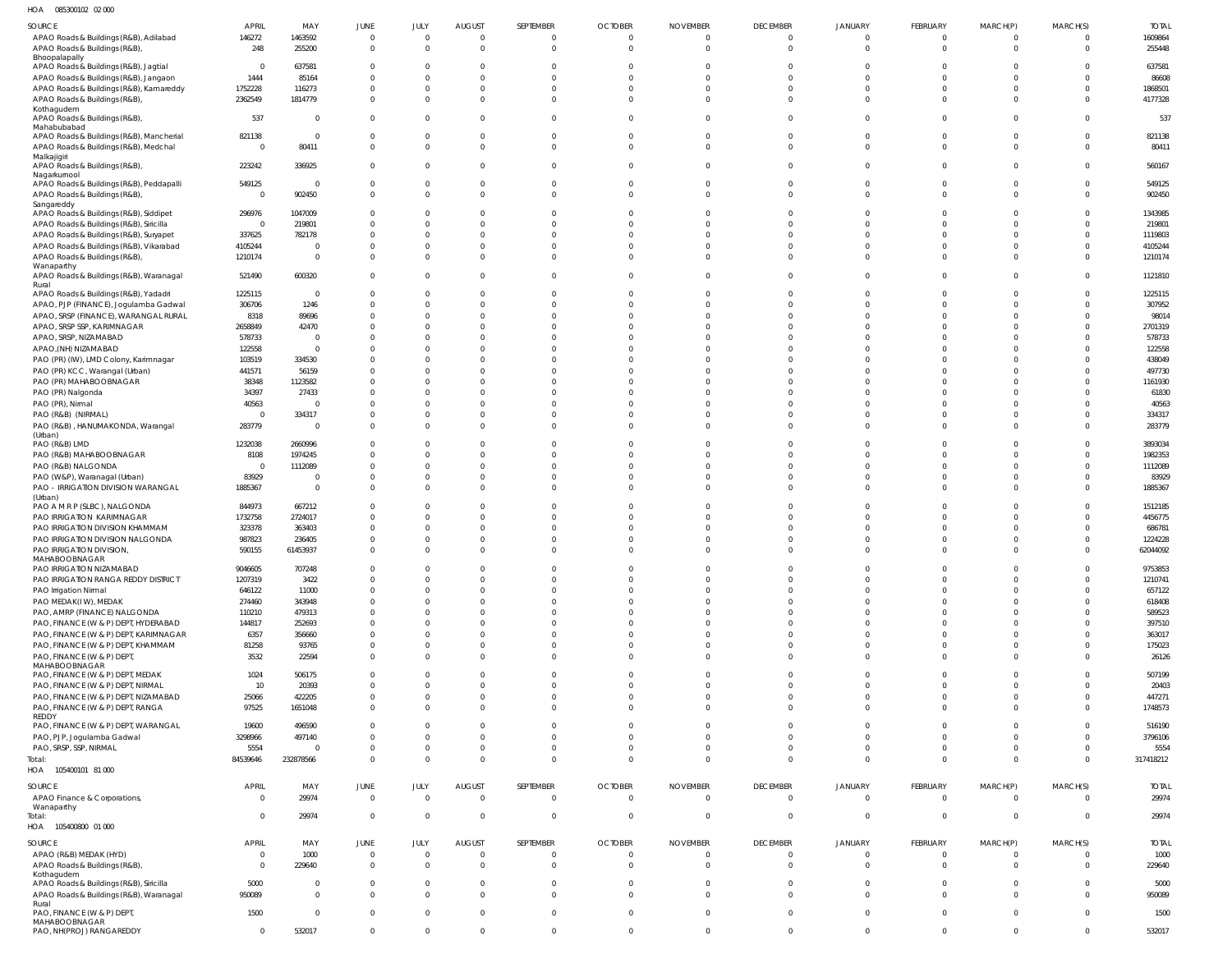085300102 02 000 HOA

| SOURCE                                                                   | <b>APRIL</b>                | MAY                              | JUNE                          | JULY                    | <b>AUGUST</b>                   | SEPTEMBER                  | <b>OCTOBER</b>                   | <b>NOVEMBER</b>                   | <b>DECEMBER</b>                   | <b>JANUARY</b>               | FEBRUARY                       | MARCH(P)                   | MARCH(S)             | <b>TOTAL</b>         |
|--------------------------------------------------------------------------|-----------------------------|----------------------------------|-------------------------------|-------------------------|---------------------------------|----------------------------|----------------------------------|-----------------------------------|-----------------------------------|------------------------------|--------------------------------|----------------------------|----------------------|----------------------|
| APAO Roads & Buildings (R&B), Adilabad                                   | 146272                      | 1463592                          | $\Omega$                      | $\mathbf 0$             | $\overline{0}$                  | $\overline{0}$             | $\overline{0}$                   | $\overline{0}$                    | $\overline{0}$                    | $\mathbf{0}$                 | $\overline{0}$                 | $\Omega$                   |                      | 1609864              |
| APAO Roads & Buildings (R&B),                                            | 248                         | 255200                           | $\Omega$                      | $\Omega$                | $\mathbf 0$                     | $\Omega$                   | $\Omega$                         | $\Omega$                          | $\mathbf 0$                       | $\mathbf 0$                  | $\mathbf{0}$                   | $\Omega$                   |                      | 255448               |
| Bhoopalapally<br>APAO Roads & Buildings (R&B), Jagtial                   | $\overline{0}$              | 637581                           | $\Omega$                      | $\Omega$                | $\Omega$                        | $\Omega$                   | $\Omega$                         | $\Omega$                          | 0                                 | 0                            | $\mathbf{0}$                   | $\Omega$                   |                      | 637581               |
| APAO Roads & Buildings (R&B), Jangaon                                    | 1444                        | 85164                            |                               | $\Omega$                | $\Omega$                        | $\Omega$                   | $\Omega$                         | $\Omega$                          | $\Omega$                          | $\Omega$                     | $\mathbf{0}$                   | $\Omega$                   |                      | 86608                |
| APAO Roads & Buildings (R&B), Kamareddy                                  | 1752228                     | 116273                           |                               | 0                       | $\mathbf 0$                     | $\Omega$                   | $\Omega$                         | $\Omega$                          | $\Omega$                          | $\Omega$                     | $\overline{0}$                 | $\Omega$                   |                      | 1868501              |
| APAO Roads & Buildings (R&B),                                            | 2362549                     | 1814779                          | $\Omega$                      | $\Omega$                | $\mathbf 0$                     | $\Omega$                   | $\Omega$                         | $\Omega$                          | $\mathbf 0$                       | $\mathbf 0$                  | $\mathbf 0$                    | $\Omega$                   |                      | 4177328              |
| Kothagudem<br>APAO Roads & Buildings (R&B),<br>Mahabubabad               | 537                         | $\overline{0}$                   | $\Omega$                      | $\Omega$                | $\mathbf 0$                     | $\Omega$                   | $\Omega$                         | $\Omega$                          | $\mathbf{0}$                      | $\mathbf{0}$                 | $\overline{0}$                 | $\Omega$                   |                      | 537                  |
| APAO Roads & Buildings (R&B), Mancherial                                 | 821138                      | $\overline{0}$                   | $\Omega$                      | $\Omega$                | $\overline{0}$                  | $\Omega$                   | $\Omega$                         | $\Omega$                          | $\mathbf{0}$                      | $\mathbf 0$                  | $\overline{0}$                 | $\Omega$                   |                      | 821138               |
| APAO Roads & Buildings (R&B), Medchal                                    | $\overline{0}$              | 80411                            | $\Omega$                      | $\Omega$                | $\mathbf 0$                     | $\Omega$                   | $\Omega$                         | $\Omega$                          | $\mathbf 0$                       | $\mathbf 0$                  | $\mathbf{0}$                   | $\Omega$                   |                      | 80411                |
| Malkajigiri<br>APAO Roads & Buildings (R&B),<br>Nagarkurnool             | 223242                      | 336925                           | $\Omega$                      | $\Omega$                | $\mathbf 0$                     | $\Omega$                   | $\Omega$                         | $\Omega$                          | $\overline{0}$                    | $\mathbf 0$                  | $\overline{0}$                 | $\Omega$                   |                      | 560167               |
| APAO Roads & Buildings (R&B), Peddapalli                                 | 549125                      | $\overline{0}$                   | $\Omega$                      | 0                       | $\mathbf 0$                     | $\Omega$                   | $\Omega$                         | $\Omega$                          | $\mathbf 0$                       | $\mathbf 0$                  | $\overline{0}$                 | $\Omega$                   |                      | 549125               |
| APAO Roads & Buildings (R&B),                                            | $\overline{0}$              | 902450                           | $\Omega$                      | $\Omega$                | $\mathbf 0$                     | $\Omega$                   | $\overline{0}$                   | $\Omega$                          | $\mathbf{0}$                      | $\mathbf 0$                  | $\mathbf{0}$                   | $\Omega$                   |                      | 902450               |
| Sangareddy<br>APAO Roads & Buildings (R&B), Siddipet                     | 296976                      | 1047009                          | $\Omega$                      |                         | $\mathbf 0$                     | $\Omega$                   | $\Omega$                         | $\Omega$                          | $\mathbf 0$                       | 0                            | $\mathbf{0}$                   |                            |                      | 1343985              |
| APAO Roads & Buildings (R&B), Siricilla                                  | $\overline{0}$              | 219801                           |                               | 0                       | $\Omega$                        | $\Omega$                   | $\Omega$                         | $\Omega$                          | $\Omega$                          | $\Omega$                     | $\Omega$                       |                            |                      | 219801               |
| APAO Roads & Buildings (R&B), Suryapet                                   | 337625                      | 782178                           |                               | $\Omega$                | $\Omega$                        | $\Omega$                   | $\Omega$                         | $\Omega$                          | $\Omega$                          | $\Omega$                     | $\mathbf 0$                    | $\Omega$                   |                      | 1119803              |
| APAO Roads & Buildings (R&B), Vikarabad                                  | 4105244                     | $\overline{0}$                   |                               |                         | $\Omega$                        | $\Omega$                   | $\Omega$                         | $\Omega$                          | $\Omega$                          | $\Omega$                     | $\mathbf{0}$                   |                            |                      | 4105244              |
| APAO Roads & Buildings (R&B),                                            | 1210174                     | $\overline{0}$                   | $\Omega$                      | $\Omega$                | $\Omega$                        | $\Omega$                   | $\Omega$                         | $\Omega$                          | $\Omega$                          | $\Omega$                     | $\overline{0}$                 | $\Omega$                   |                      | 1210174              |
| Wanaparthy<br>APAO Roads & Buildings (R&B), Waranagal<br>Rural           | 521490                      | 600320                           | $\Omega$                      | $\Omega$                | $\mathbf 0$                     | $\Omega$                   | $\Omega$                         | $\Omega$                          | $\mathbf 0$                       | $\mathbf 0$                  | $\mathbf 0$                    | $\Omega$                   |                      | 1121810              |
| APAO Roads & Buildings (R&B), Yadadri                                    | 1225115                     | $\overline{0}$                   | $\Omega$                      | $\Omega$                | $\mathbf 0$                     | $\Omega$                   | $\Omega$                         | $\Omega$                          | $\overline{0}$                    | 0                            | $\overline{0}$                 | $\Omega$                   |                      | 1225115              |
| APAO, PJP (FINANCE), Jogulamba Gadwal                                    | 306706                      | 1246                             | $\cap$                        | $\Omega$                | $\Omega$                        | $\Omega$                   | $\Omega$                         | $\Omega$                          | $\Omega$                          | $\Omega$                     | $\Omega$                       | $\Omega$                   |                      | 307952               |
| APAO, SRSP (FINANCE), WARANGAL RURAL                                     | 8318                        | 89696                            |                               | $\Omega$                | $\Omega$                        | $\Omega$                   | $\Omega$                         | $\Omega$                          | $\Omega$                          | $\Omega$                     | $\Omega$                       | $\Omega$                   |                      | 98014                |
| APAO, SRSP SSP, KARIMNAGAR                                               | 2658849                     | 42470                            |                               | U                       | $\Omega$                        | $\Omega$<br>$\Omega$       | $\Omega$<br>$\Omega$             | $\Omega$<br>$\Omega$              | $\Omega$<br>$\Omega$              | $\Omega$                     | $\Omega$                       | $\Omega$                   |                      | 2701319              |
| APAO, SRSP, NIZAMABAD<br>APAO, (NH) NIZAMABAD                            | 578733<br>122558            | $\overline{0}$<br>$\overline{0}$ |                               | U                       | $\Omega$<br>$\Omega$            | $\Omega$                   | $\Omega$                         | $\Omega$                          | $\Omega$                          | $\Omega$<br>$\Omega$         | $\Omega$<br>$\Omega$           |                            |                      | 578733<br>122558     |
| PAO (PR) (IW), LMD Colony, Karimnagar                                    | 103519                      | 334530                           |                               | U                       | $\Omega$                        | $\Omega$                   | $\Omega$                         | $\Omega$                          | $\Omega$                          | $\Omega$                     | $\Omega$                       |                            |                      | 438049               |
| PAO (PR) KCC, Warangal (Urban)                                           | 441571                      | 56159                            |                               |                         | $\Omega$                        | $\Omega$                   | $\Omega$                         | $\Omega$                          | $\Omega$                          | $\Omega$                     | $\Omega$                       |                            |                      | 497730               |
| PAO (PR) MAHABOOBNAGAR                                                   | 38348                       | 1123582                          |                               | U                       | $\Omega$                        | $\Omega$                   | $\Omega$                         | $\Omega$                          | $\Omega$                          | $\Omega$                     | $\Omega$                       |                            |                      | 1161930              |
| PAO (PR) Nalgonda                                                        | 34397                       | 27433                            |                               |                         | $\Omega$                        | $\Omega$                   | $\Omega$                         | $\Omega$                          | $\Omega$                          | $\Omega$                     | $\Omega$                       |                            |                      | 61830                |
| PAO (PR), Nirmal                                                         | 40563                       | $\overline{0}$                   |                               | $\Omega$                | $\Omega$                        | $\Omega$                   | $\Omega$                         | $\Omega$                          | $\Omega$                          | $\Omega$                     | $\Omega$                       | $\Omega$                   |                      | 40563                |
| PAO (R&B) (NIRMAL)<br>PAO (R&B), HANUMAKONDA, Warangal                   | $\mathbf 0$<br>283779       | 334317<br>$\overline{0}$         | $\Omega$<br>$\Omega$          | $\Omega$<br>$\Omega$    | $\Omega$<br>$\Omega$            | $\Omega$<br>$\Omega$       | $\Omega$<br>$\Omega$             | $\Omega$<br>$\Omega$              | $\Omega$<br>$\Omega$              | $\Omega$<br>$\Omega$         | $\Omega$<br>$\Omega$           | $\Omega$<br>$\Omega$       |                      | 334317<br>283779     |
| (Urban)                                                                  |                             |                                  |                               |                         |                                 |                            |                                  |                                   |                                   |                              |                                |                            |                      |                      |
| PAO (R&B) LMD                                                            | 1232038                     | 2660996                          | $\Omega$                      | $\Omega$                | $\Omega$                        | $\Omega$                   | $\Omega$                         | $\Omega$                          | $\Omega$                          | $\Omega$                     | $\Omega$                       | $\Omega$                   |                      | 3893034              |
| PAO (R&B) MAHABOOBNAGAR                                                  | 8108                        | 1974245                          | $\Omega$                      | $\Omega$                | $\Omega$                        | $\Omega$                   | $\Omega$                         | $\Omega$                          | $\Omega$                          | $\Omega$                     | $\Omega$                       | $\Omega$                   |                      | 1982353              |
| PAO (R&B) NALGONDA                                                       | $\mathbf 0$<br>83929        | 1112089<br>- 0                   | $\Omega$<br>- 0               | $\Omega$<br>$\Omega$    | $\Omega$<br>$\mathbf 0$         | $\Omega$<br>$\Omega$       | $\Omega$<br>$\Omega$             | $\Omega$<br>$\Omega$              | $\Omega$<br>$\Omega$              | $\Omega$<br>$\Omega$         | $\Omega$<br>$\Omega$           | $\Omega$<br>$\Omega$       |                      | 1112089<br>83929     |
| PAO (W&P), Waranagal (Urban)<br>PAO - IRRIGATION DIVISION WARANGAL       | 1885367                     | $\overline{0}$                   | $\Omega$                      | $\Omega$                | $\Omega$                        | $\Omega$                   | $\Omega$                         | $\Omega$                          | $\Omega$                          | $\Omega$                     | $\Omega$                       | $\Omega$                   |                      | 1885367              |
| (Urban)                                                                  |                             |                                  |                               |                         |                                 |                            |                                  |                                   |                                   |                              |                                |                            |                      |                      |
| PAO A M R P (SLBC), NALGONDA                                             | 844973                      | 667212                           | $\Omega$                      | U                       | $\Omega$                        | $\Omega$                   | $\Omega$                         | $\Omega$                          | $\Omega$                          | $\Omega$                     | $\Omega$                       |                            |                      | 1512185              |
| PAO IRRIGATION KARIMNAGAR<br>PAO IRRIGATION DIVISION KHAMMAM             | 1732758<br>323378           | 2724017<br>363403                | $\Omega$<br>- 0               | $\Omega$<br>U           | $\Omega$<br>$\Omega$            | $\Omega$<br>$\Omega$       | $\Omega$<br>$\Omega$             | $\Omega$<br>$\Omega$              | $\Omega$<br>$\Omega$              | $\Omega$<br>$\Omega$         | $\Omega$<br>$\Omega$           | $\Omega$<br>$\Omega$       |                      | 4456775<br>686781    |
| PAO IRRIGATION DIVISION NALGONDA                                         | 987823                      | 236405                           |                               | U                       | $\mathbf 0$                     | $\Omega$                   | $\Omega$                         | $\Omega$                          | $\mathbf 0$                       | $\Omega$                     | $\overline{0}$                 | $\Omega$                   |                      | 1224228              |
| PAO IRRIGATION DIVISION,                                                 | 590155                      | 61453937                         | $\Omega$                      | $\Omega$                | $\Omega$                        | $\Omega$                   | $\Omega$                         | $\Omega$                          | $\Omega$                          | $\Omega$                     | $\Omega$                       | $\Omega$                   |                      | 62044092             |
| MAHABOOBNAGAR                                                            |                             |                                  |                               |                         |                                 |                            |                                  |                                   |                                   |                              |                                |                            |                      |                      |
| PAO IRRIGATION NIZAMABAD<br>PAO IRRIGATION RANGA REDDY DISTRICT          | 9046605                     | 707248                           | $\Omega$<br>$\Omega$          | $\Omega$<br>$\mathbf 0$ | $\mathbf 0$<br>$\mathbf 0$      | $\Omega$<br>$\Omega$       | $\Omega$<br>$\Omega$             | $\Omega$<br>$\overline{0}$        | $\mathbf{0}$<br>$\mathbf{0}$      | $\mathbf{0}$<br>$\mathbf 0$  | $\overline{0}$<br>$\mathbf{0}$ | $\Omega$<br>$\Omega$       |                      | 9753853              |
| PAO Irrigation Nirmal                                                    | 1207319<br>646122           | 3422<br>11000                    | $\Omega$                      | $\Omega$                | $\Omega$                        | $\Omega$                   | $\Omega$                         | $\Omega$                          | $\Omega$                          | $\Omega$                     | $\mathbf{0}$                   | $\Omega$                   |                      | 1210741<br>657122    |
| PAO MEDAK(IW), MEDAK                                                     | 274460                      | 343948                           | $\Omega$                      | $\Omega$                | $\Omega$                        | $\Omega$                   | $\Omega$                         | $\Omega$                          | $\Omega$                          | $\Omega$                     | $\Omega$                       | $\Omega$                   |                      | 618408               |
| PAO, AMRP (FINANCE) NALGONDA                                             | 110210                      | 479313                           | $\Omega$                      | $\Omega$                | $\Omega$                        | $\Omega$                   | $\Omega$                         | $\overline{0}$                    | $\Omega$                          | $\Omega$                     | $\Omega$                       | $\Omega$                   |                      | 589523               |
| PAO, FINANCE (W & P) DEPT, HYDERABAD                                     | 144817                      | 252693                           | $\Omega$                      | $\Omega$                | $\Omega$                        | $\Omega$                   | $\Omega$                         | $\Omega$                          | $\Omega$                          | $\Omega$                     | $\Omega$                       | $\Omega$                   |                      | 397510               |
| PAO, FINANCE (W & P) DEPT, KARIMNAGAR                                    | 6357                        | 356660                           | $\Omega$                      | $\Omega$                | $\Omega$                        | $\Omega$                   | $\Omega$                         | $\Omega$                          | $\Omega$                          | $\Omega$                     | $\Omega$                       | $\Omega$                   |                      | 363017               |
| PAO, FINANCE (W & P) DEPT, KHAMMAM                                       | 81258                       | 93765                            | $\Omega$<br>$\Omega$          | $\Omega$<br>$\Omega$    | $\Omega$                        | $\Omega$                   | $\Omega$<br>$\Omega$             | $\Omega$<br>$\mathbf{0}$          | $\Omega$                          | $\Omega$                     | $\overline{0}$                 | $\Omega$<br>$\Omega$       | $\Omega$             | 175023               |
| PAO, FINANCE (W & P) DEPT,<br>MAHABOOBNAGAR                              | 3532                        | 22594                            |                               |                         | $\mathbf 0$                     | $\overline{0}$             |                                  |                                   | $\mathbf{0}$                      | $\mathbf{0}$                 | $\overline{0}$                 |                            |                      | 26126                |
| PAO, FINANCE (W & P) DEPT, MEDAK                                         | 1024                        | 506175                           | $\Omega$                      | $\Omega$                | $\Omega$                        | $\Omega$                   | $\Omega$                         | $\overline{0}$                    | $\Omega$                          | $\mathbf{0}$                 | $\overline{0}$                 | $\overline{0}$             |                      | 507199               |
| PAO, FINANCE (W & P) DEPT, NIRMAL                                        | 10                          | 20393                            | $\Omega$                      | $\Omega$                | $\Omega$                        | $\Omega$                   | $\Omega$                         | $\Omega$                          | $\Omega$                          | $\Omega$                     | $\Omega$                       | $\Omega$                   |                      | 20403                |
| PAO, FINANCE (W & P) DEPT, NIZAMABAD<br>PAO, FINANCE (W & P) DEPT, RANGA | 25066<br>97525              | 422205<br>1651048                | $\Omega$<br>$\Omega$          | $\Omega$<br>$\Omega$    | $\mathbf 0$<br>$\Omega$         | $\overline{0}$<br>$\Omega$ | $\Omega$<br>$\Omega$             | $\overline{0}$<br>$\Omega$        | $\mathbf{0}$<br>$\Omega$          | $\mathbf{0}$<br>$\mathbf{0}$ | $\overline{0}$<br>$\mathbf{0}$ | $\overline{0}$<br>$\Omega$ |                      | 447271<br>1748573    |
| REDDY                                                                    |                             |                                  |                               |                         |                                 |                            |                                  |                                   |                                   |                              |                                |                            |                      |                      |
| PAO, FINANCE (W & P) DEPT, WARANGAL                                      | 19600                       | 496590                           | $\Omega$                      | $\Omega$                | $\Omega$                        | $\Omega$                   | $\Omega$                         | $\overline{0}$                    | $\Omega$                          | $\mathbf{0}$                 | $\overline{0}$                 | $\Omega$                   |                      | 516190               |
| PAO, PJP, Jogulamba Gadwal<br>PAO, SRSP, SSP, NIRMAL                     | 3298966<br>5554             | 497140<br>$\Omega$               | $\Omega$<br>$\Omega$          | $\Omega$<br>$\mathbf 0$ | $\mathbf 0$<br>$\mathbf 0$      | $\Omega$<br>$\overline{0}$ | $\Omega$<br>$\overline{0}$       | $\Omega$<br>$\overline{0}$        | $\Omega$<br>$\mathbf{0}$          | $\Omega$<br>$\mathbf 0$      | $\mathbf{0}$<br>$\mathbf{0}$   | $\Omega$<br>$\overline{0}$ | $\Omega$             | 3796106<br>5554      |
| Total:                                                                   | 84539646                    | 232878566                        | $\Omega$                      | $\Omega$                | $\mathbf 0$                     | $\Omega$                   | $\Omega$                         | $\Omega$                          | $\overline{0}$                    | $\overline{0}$               | $\overline{0}$                 | $\Omega$                   | $\Omega$             | 317418212            |
| HOA 105400101 81 000                                                     |                             |                                  |                               |                         |                                 |                            |                                  |                                   |                                   |                              |                                |                            |                      |                      |
| SOURCE                                                                   | <b>APRIL</b>                | MAY                              | <b>JUNE</b>                   | JULY                    | <b>AUGUST</b>                   | SEPTEMBER                  | <b>OCTOBER</b>                   | <b>NOVEMBER</b>                   | <b>DECEMBER</b>                   | JANUARY                      | FEBRUARY                       | MARCH(P)                   | MARCH(S)             | <b>TOTAL</b>         |
| APAO Finance & Corporations,                                             | $\mathbf 0$                 | 29974                            | $\overline{0}$                | $\Omega$                | $\overline{0}$                  | $\overline{0}$             | $\overline{0}$                   | $\Omega$                          | $\mathbf{0}$                      | $\Omega$                     | $\overline{0}$                 | $\Omega$                   | $\Omega$             | 29974                |
| Wanaparthy                                                               |                             |                                  |                               |                         |                                 |                            |                                  |                                   |                                   |                              |                                |                            |                      |                      |
| Total:<br>HOA  105400800  01 000                                         | $\mathbf{0}$                | 29974                            | $\overline{0}$                | $\Omega$                | $\overline{0}$                  | $\overline{0}$             | $\overline{0}$                   | $\overline{0}$                    | $\overline{0}$                    | $\mathbf{0}$                 | $\overline{0}$                 | $\overline{0}$             | $\Omega$             | 29974                |
|                                                                          |                             |                                  |                               |                         |                                 |                            |                                  |                                   |                                   |                              |                                |                            |                      |                      |
| SOURCE                                                                   | <b>APRIL</b><br>$\mathbf 0$ | MAY<br>1000                      | <b>JUNE</b><br>$\overline{0}$ | JULY<br>$\overline{0}$  | <b>AUGUST</b><br>$\overline{0}$ | SEPTEMBER<br>$\Omega$      | <b>OCTOBER</b><br>$\overline{0}$ | <b>NOVEMBER</b><br>$\overline{0}$ | <b>DECEMBER</b><br>$\overline{0}$ | JANUARY<br>$\mathbf{0}$      | FEBRUARY<br>$\overline{0}$     | MARCH(P)<br>$\Omega$       | MARCH(S)<br>$\Omega$ | <b>TOTAL</b><br>1000 |
| APAO (R&B) MEDAK (HYD)<br>APAO Roads & Buildings (R&B),                  | $\mathbf 0$                 | 229640                           | $\Omega$                      | $\Omega$                | $\mathbf 0$                     | $\Omega$                   | $\Omega$                         | $\Omega$                          | $\mathbf 0$                       | $\mathbf 0$                  | $\mathbf{0}$                   | $\Omega$                   | $\Omega$             | 229640               |
| Kothagudem                                                               |                             |                                  |                               |                         |                                 |                            |                                  |                                   |                                   |                              |                                |                            |                      |                      |
| APAO Roads & Buildings (R&B), Siricilla                                  | 5000                        | $\overline{0}$                   | $\Omega$                      | $^{\circ}$              | $\mathbf 0$                     | $\overline{0}$             | $\overline{0}$                   | $\overline{0}$                    | $\mathbf{0}$                      | $\mathbf{0}$                 | $\overline{0}$                 | $\overline{0}$             | $\Omega$             | 5000                 |
| APAO Roads & Buildings (R&B), Waranagal<br>Rural                         | 950089                      | $\Omega$                         | $\Omega$                      | $\Omega$                | $\mathbf 0$                     | $\overline{0}$             | $\overline{0}$                   | $\overline{0}$                    | $\mathbf 0$                       | $\mathbf{0}$                 | $\overline{0}$                 | $\Omega$                   | $\Omega$             | 950089               |
| PAO, FINANCE (W & P) DEPT,<br>MAHABOOBNAGAR                              | 1500                        | $\mathbf{0}$                     | $\overline{0}$                | $\mathbf 0$             | $\mathbf 0$                     | $\overline{0}$             | $\overline{0}$                   | $\overline{0}$                    | $\mathbf{0}$                      | $\overline{0}$               | $\overline{0}$                 | $\overline{0}$             | $\Omega$             | 1500                 |
| PAO, NH(PROJ) RANGAREDDY                                                 | $\mathbf 0$                 | 532017                           | $\overline{0}$                | 0                       | $\mathbf 0$                     | $\overline{0}$             | $\overline{0}$                   | $\mathbf 0$                       | $\mathbf 0$                       | $\mathbf 0$                  | $\mathbf 0$                    | $\mathbf 0$                | $\mathbf{0}$         | 532017               |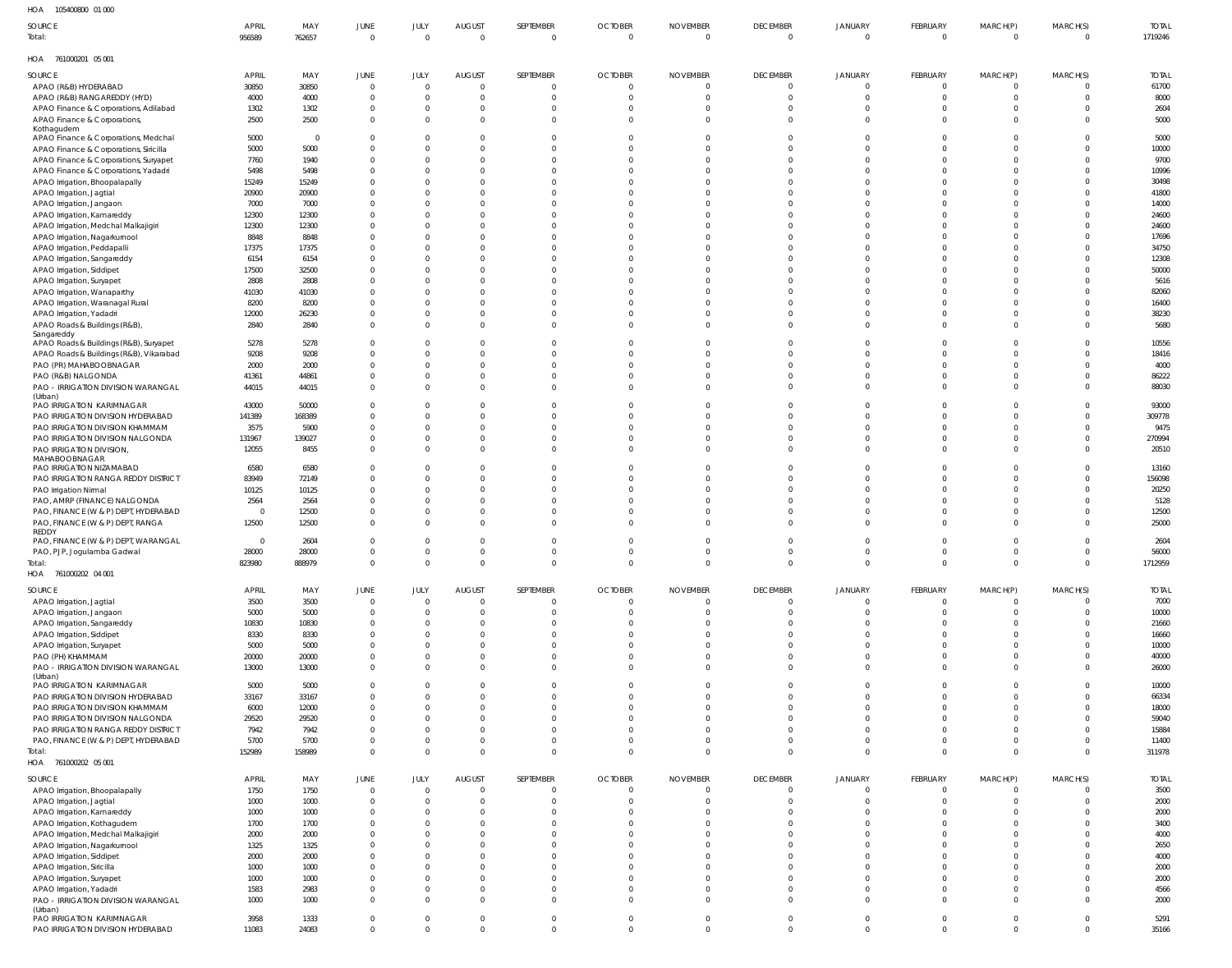| HOA<br>105400800 01 000                                                  |                |                |                          |                |                |           |                |                 |                 |                |                      |                |                |              |
|--------------------------------------------------------------------------|----------------|----------------|--------------------------|----------------|----------------|-----------|----------------|-----------------|-----------------|----------------|----------------------|----------------|----------------|--------------|
| SOURCE                                                                   | <b>APRIL</b>   | MAY            | <b>JUNE</b>              | JULY           | <b>AUGUST</b>  | SEPTEMBER | <b>OCTOBER</b> | <b>NOVEMBER</b> | <b>DECEMBER</b> | JANUARY        | FEBRUARY             | MARCH(P)       | MARCH(S)       | <b>TOTAL</b> |
| Total:                                                                   | 956589         | 762657         | $\overline{0}$           | $\Omega$       | $\overline{0}$ | $\Omega$  | $\mathbf 0$    | $\Omega$        | $\overline{0}$  | $\overline{0}$ | $\overline{0}$       | $\overline{0}$ | $\overline{0}$ | 1719246      |
| HOA 761000201 05 001                                                     |                |                |                          |                |                |           |                |                 |                 |                |                      |                |                |              |
|                                                                          |                |                |                          |                |                |           |                |                 |                 |                |                      |                |                |              |
| SOURCE                                                                   | <b>APRIL</b>   | MAY            | JUNE                     | JULY           | <b>AUGUST</b>  | SEPTEMBER | <b>OCTOBER</b> | <b>NOVEMBER</b> | <b>DECEMBER</b> | <b>JANUARY</b> | FEBRUARY             | MARCH(P)       | MARCH(S)       | <b>TOTAL</b> |
| APAO (R&B) HYDERABAD                                                     | 30850          | 30850          | $\overline{0}$           | $\Omega$       | $\overline{0}$ |           | $\overline{0}$ | - 0             | $\overline{0}$  | $\overline{0}$ | $\overline{0}$       | 0              | $\overline{0}$ | 61700        |
| APAO (R&B) RANGAREDDY (HYD)                                              | 4000           | 4000           | $\mathbf 0$              | $\overline{0}$ | $\mathbf 0$    |           |                |                 | $\Omega$        | $\overline{0}$ | $\Omega$             | $\Omega$       | $\mathbf{0}$   | 8000         |
| APAO Finance & Corporations, Adilabad                                    | 1302           | 1302           | $\mathbf{0}$             | $\overline{0}$ | $\mathbf 0$    |           |                | $\Omega$        | $\overline{0}$  | $\overline{0}$ | $\Omega$<br>$\Omega$ | $\Omega$       | $\mathbf{0}$   | 2604         |
| APAO Finance & Corporations,                                             | 2500           | 2500           | $\mathbf{0}$             | $\Omega$       | $\Omega$       | $\Omega$  |                | - 0             | $\Omega$        | $\Omega$       |                      | $\Omega$       | $\Omega$       | 5000         |
| Kothagudem<br>APAO Finance & Corporations, Medchal                       | 5000           | $\overline{0}$ | $\Omega$                 | $\Omega$       | $\Omega$       |           |                |                 | $\Omega$        | $\Omega$       | $\Omega$             | $\Omega$       | $\Omega$       | 5000         |
| APAO Finance & Corporations, Siricilla                                   | 5000           | 5000           | $\mathbf 0$              | $\Omega$       | $\Omega$       |           |                |                 | $\Omega$        | $\Omega$       |                      | $\Omega$       | $\Omega$       | 10000        |
| APAO Finance & Corporations, Suryapet                                    | 7760           | 1940           | $\Omega$                 | $\Omega$       | $\Omega$       |           |                |                 | $\Omega$        | $\Omega$       | $\Omega$             | $\Omega$       | $\Omega$       | 9700         |
| APAO Finance & Corporations, Yadadri                                     | 5498           | 5498           | $\mathbf{0}$             | $\Omega$       | $\Omega$       |           |                |                 | $\Omega$        | $\Omega$       |                      | $\Omega$       | <sup>0</sup>   | 10996        |
| APAO Irrigation, Bhoopalapally                                           | 15249          | 15249          | $\mathbf{0}$             | $\Omega$       | $\Omega$       |           |                |                 | $\Omega$        | $\Omega$       |                      | $\Omega$       | $\Omega$       | 30498        |
| APAO Irrigation, Jagtial                                                 | 20900          | 20900          | $\mathbf{0}$             | $\Omega$       | U              |           |                |                 | $\Omega$        | $\Omega$       |                      | $\Omega$       | <sup>0</sup>   | 41800        |
| APAO Irrigation, Jangaon                                                 | 7000           | 7000           | $\mathbf{0}$             | $\Omega$       | $\Omega$       |           |                |                 | $\Omega$        | $\Omega$       |                      | $\Omega$       | $\Omega$       | 14000        |
| APAO Irrigation, Kamareddy                                               | 12300          | 12300          | $\mathbf{0}$             | $\Omega$       | $\Omega$       |           |                |                 | $\Omega$        | $\Omega$       | $\Omega$             | $\Omega$       | $\Omega$       | 24600        |
| APAO Irrigation, Medchal Malkajigiri                                     | 12300          | 12300          | $\mathbf{0}$             | $\Omega$       | $\Omega$       |           |                |                 | $\Omega$        | $\Omega$       |                      | $\Omega$       | $\Omega$       | 24600        |
| APAO Irrigation, Nagarkurnool                                            | 8848           | 8848           | $\mathbf{0}$             | $\Omega$       | $\Omega$       |           |                |                 | $\Omega$        | $\Omega$       |                      | $\Omega$       | $\Omega$       | 17696        |
| APAO Irrigation, Peddapalli                                              | 17375          | 17375          | $\mathbf{0}$             | $\Omega$       | $\Omega$       |           |                |                 | $\Omega$        | $\Omega$       |                      | $\Omega$       | $\Omega$       | 34750        |
| APAO Irrigation, Sangareddy                                              | 6154           | 6154           | $\mathbf{0}$             | $\Omega$       | $\Omega$       |           |                |                 | $\Omega$        | $\Omega$       |                      | $\Omega$       | $\Omega$       | 12308        |
| APAO Irrigation, Siddipet                                                | 17500          | 32500          | $\Omega$                 | $\Omega$       | $\Omega$       |           |                |                 | $\Omega$        | $\Omega$       |                      | $\Omega$       | <sup>0</sup>   | 50000        |
| APAO Irrigation, Suryapet                                                | 2808           | 2808           | $\mathbf{0}$             | $\Omega$       | $\Omega$       |           |                |                 | $\Omega$        | $\Omega$       |                      | $\Omega$       | <sup>0</sup>   | 5616         |
| APAO Irrigation, Wanaparthy                                              | 41030          | 41030          | $\mathbf{0}$             | $\Omega$       | $\Omega$       |           |                |                 | $\Omega$        | $\Omega$       |                      | $\Omega$       | $\Omega$       | 82060        |
| APAO Irrigation, Waranagal Rural                                         | 8200           | 8200           | $\mathbf{0}$             | $\Omega$       | $\Omega$       |           |                |                 | $\Omega$        | $\Omega$       | $\Omega$             | $\Omega$       | <sup>0</sup>   | 16400        |
|                                                                          | 12000          | 26230          | $\mathbf{0}$             | $\Omega$       | $\Omega$       |           |                |                 | $\Omega$        | $\Omega$       | $\Omega$             | $\Omega$       | $\Omega$       | 38230        |
| APAO Irrigation, Yadadri<br>APAO Roads & Buildings (R&B),                | 2840           | 2840           | $\mathbf{0}$             | $\Omega$       | $\Omega$       |           |                |                 | $\Omega$        | $\Omega$       | $\Omega$             | $\Omega$       | $\Omega$       | 5680         |
| Sangareddy                                                               |                |                |                          |                |                |           |                |                 |                 |                |                      |                |                |              |
| APAO Roads & Buildings (R&B), Suryapet                                   | 5278           | 5278           | $\Omega$                 | $\Omega$       | 0              |           |                |                 | $\Omega$        | $\Omega$       | $\Omega$             | $\Omega$       | $\Omega$       | 10556        |
| APAO Roads & Buildings (R&B), Vikarabad                                  | 9208           | 9208           | $\mathbf{0}$             | $\Omega$       | $\Omega$       |           |                |                 | $\Omega$        | $\Omega$       |                      | $\Omega$       | <sup>0</sup>   | 18416        |
| PAO (PR) MAHABOOBNAGAR                                                   | 2000           | 2000           | $\mathbf{0}$             | $\Omega$       | $\Omega$       |           |                |                 | $\Omega$        | $\Omega$       | $\Omega$             | $\Omega$       | $\Omega$       | 4000         |
| PAO (R&B) NALGONDA                                                       | 41361          | 44861          | $\mathbf{0}$             | $\overline{0}$ | $\Omega$       | $\Omega$  |                | $\Omega$        | $\Omega$        | $\Omega$       | $\Omega$             | $\Omega$       | $\Omega$       | 86222        |
| PAO - IRRIGATION DIVISION WARANGAL                                       | 44015          | 44015          | $\mathbf 0$              | $\Omega$       | $\Omega$       | $\Omega$  |                | $\Omega$        | $\Omega$        | $\Omega$       | $\Omega$             | $\Omega$       | $\Omega$       | 88030        |
| (Urban)                                                                  |                |                |                          |                |                |           |                |                 |                 |                |                      |                |                |              |
| PAO IRRIGATION KARIMNAGAR                                                | 43000          | 50000          | $\mathbf{0}$             | $\Omega$       | $\Omega$       |           |                |                 | $\Omega$        | $\overline{0}$ | $\Omega$             | $\Omega$       | $\Omega$       | 93000        |
| PAO IRRIGATION DIVISION HYDERABAD                                        | 141389         | 168389         | $\Omega$                 | $\Omega$       | $\Omega$       |           |                |                 | $\Omega$        | $\Omega$       | $\Omega$             | $\Omega$       | $\Omega$       | 309778       |
| PAO IRRIGATION DIVISION KHAMMAM                                          | 3575           | 5900           | $\mathbf{0}$             | $\overline{0}$ | $\Omega$       |           |                |                 | $\Omega$        | $\Omega$       | $\Omega$             | $\Omega$       | $\Omega$       | 9475         |
| PAO IRRIGATION DIVISION NALGONDA                                         | 131967         | 139027         | $\mathbf{0}$             | $\Omega$       | $\Omega$       |           |                |                 | $\Omega$        | $\Omega$       | $\Omega$             | $\Omega$       | $\Omega$       | 270994       |
| PAO IRRIGATION DIVISION,                                                 | 12055          | 8455           | $\mathbf{0}$             | $\Omega$       | $\Omega$       |           |                |                 | $\Omega$        | $\Omega$       | $\Omega$             | $\Omega$       | $\Omega$       | 20510        |
| MAHABOOBNAGAR                                                            | 6580           | 6580           | $\Omega$                 | $\Omega$       | $\Omega$       |           |                |                 | $\Omega$        | $\Omega$       | $\Omega$             | $\Omega$       | $\Omega$       |              |
| PAO IRRIGATION NIZAMABAD                                                 |                |                | $\mathbf{0}$             | $\Omega$       | $\Omega$       |           |                |                 | $\Omega$        | $\Omega$       |                      | $\Omega$       | $\Omega$       | 13160        |
| PAO IRRIGATION RANGA REDDY DISTRICT                                      | 83949          | 72149          | $\Omega$                 | $\Omega$       | $\Omega$       |           |                |                 | $\Omega$        | $\Omega$       |                      | $\Omega$       | $\Omega$       | 156098       |
| PAO Irrigation Nirmal<br>PAO, AMRP (FINANCE) NALGONDA                    | 10125          | 10125          | $\mathbf{0}$             | $\mathbf 0$    | $\Omega$       |           |                |                 | $\Omega$        | $\Omega$       |                      | $\Omega$       | $\Omega$       | 20250        |
|                                                                          | 2564           | 2564           |                          | $\Omega$       | $\Omega$       |           |                |                 | $\Omega$        | $\Omega$       | $\Omega$             | $\Omega$       | $\Omega$       | 5128         |
| PAO, FINANCE (W & P) DEPT, HYDERABAD<br>PAO, FINANCE (W & P) DEPT, RANGA | $\overline{0}$ | 12500          | $\mathbf{0}$<br>$\Omega$ | $\Omega$       | $\Omega$       |           |                |                 | $\Omega$        | $\Omega$       | $\Omega$             | $\Omega$       | $\Omega$       | 12500        |
| REDDY                                                                    | 12500          | 12500          |                          |                |                |           |                |                 |                 |                |                      |                |                | 25000        |
| PAO, FINANCE (W & P) DEPT, WARANGAL                                      | $\mathbf 0$    | 2604           | $\Omega$                 | $\Omega$       | U              |           |                |                 | $\Omega$        | $\Omega$       | $\Omega$             | $\Omega$       | $\Omega$       | 2604         |
| PAO, PJP, Jogulamba Gadwal                                               | 28000          | 28000          | $\Omega$                 | $\Omega$       | $\Omega$       |           |                |                 | $\cap$          | $\cap$         |                      | $\Omega$       | $\Omega$       | 56000        |
| Total:                                                                   | 823980         | 888979         | $\mathbf 0$              | $\overline{0}$ | $\mathbf 0$    | $\Omega$  | $\Omega$       | $\overline{0}$  | $\overline{0}$  | $\overline{0}$ | $\overline{0}$       | $\overline{0}$ | $\overline{0}$ | 1712959      |
| HOA 761000202 04 001                                                     |                |                |                          |                |                |           |                |                 |                 |                |                      |                |                |              |
|                                                                          |                |                |                          |                |                |           |                |                 |                 |                |                      |                |                |              |
| SOURCE                                                                   | <b>APRIL</b>   | MAY            | JUNE                     | JULY           | <b>AUGUST</b>  | SEPTEMBER | <b>OCTOBER</b> | <b>NOVEMBER</b> | <b>DECEMBER</b> | <b>JANUARY</b> | FEBRUARY             | MARCH(P)       | MARCH(S)       | <b>TOTAL</b> |
| APAO Irrigation, Jagtial                                                 | 3500           | 3500           | $\overline{0}$           | $\Omega$       | $\mathbf 0$    | $\Omega$  | $\Omega$       | $\overline{0}$  | $\overline{0}$  | $\overline{0}$ | $\overline{0}$       | $\overline{0}$ | $\Omega$       | 7000         |
| APAO Irrigation, Jangaon                                                 | 5000           | 5000           | $\mathbf{0}$             | $\Omega$       | $\mathbf 0$    | $\Omega$  | $\Omega$       | - 0             | $\overline{0}$  | $\overline{0}$ | $\Omega$             | $\overline{0}$ | $\Omega$       | 10000        |
| APAO Irrigation, Sangareddy                                              | 10830          | 10830          | $\mathbf{0}$             | $\Omega$       | $\Omega$       |           |                | $\Omega$        | $\Omega$        | $\Omega$       | $\Omega$             | $\Omega$       | $\Omega$       | 21660        |
| APAO Irrigation, Siddipet                                                | 8330           | 8330           | $\mathbf{0}$             | $\Omega$       | $\Omega$       |           |                | $\Omega$        | $\Omega$        | $\Omega$       | $\Omega$             | $\Omega$       | <sup>0</sup>   | 16660        |
| APAO Irrigation, Suryapet                                                | 5000           | 5000           | $\mathbf 0$              | $\Omega$       | $\Omega$       |           |                | $\Omega$        | $\Omega$        | $\Omega$       | $\Omega$             | $\Omega$       | <sup>0</sup>   | 10000        |
| PAO (PH) KHAMMAM                                                         | 20000          | 20000          | $\mathbf{0}$             | $\Omega$       | $\Omega$       | $\Omega$  |                | $\Omega$        | $\Omega$        | $\Omega$       | $\Omega$             | $\Omega$       | $\Omega$       | 40000        |
| PAO - IRRIGATION DIVISION WARANGAL                                       | 13000          | 13000          | $\mathbf{0}$             | $\Omega$       | $\Omega$       | $\Omega$  | $\Omega$       | $\Omega$        | $\Omega$        | $\overline{0}$ | $\Omega$             | $\Omega$       | $\Omega$       | 26000        |
| (Urban)<br>PAO IRRIGATION KARIMNAGAR                                     | 5000           | 5000           | $\mathbf 0$              | $\Omega$       | 0              | $\Omega$  |                | $\Omega$        | $\Omega$        | $\Omega$       | $\Omega$             | $\Omega$       | $\Omega$       | 10000        |
| PAO IRRIGATION DIVISION HYDERABAD                                        | 33167          | 33167          | $\Omega$                 | $\Omega$       | $\Omega$       |           |                | $\Omega$        | $\Omega$        | $\Omega$       | $\Omega$             | $\Omega$       | $\Omega$       | 66334        |
| PAO IRRIGATION DIVISION KHAMMAM                                          | 6000           | 12000          | $\mathbf 0$              | $\Omega$       | $\Omega$       | $\Omega$  |                | $\Omega$        | $\Omega$        | $\Omega$       | $\Omega$             | $\Omega$       | <sup>0</sup>   | 18000        |
| PAO IRRIGATION DIVISION NALGONDA                                         | 29520          | 29520          | $\mathbf 0$              | $\Omega$       | $\Omega$       |           |                | $\Omega$        | $\Omega$        | $\Omega$       | $\Omega$             | $\Omega$       | <sup>0</sup>   | 59040        |
| PAO IRRIGATION RANGA REDDY DISTRICT                                      | 7942           | 7942           | $\mathbf{0}$             | $\Omega$       | $\Omega$       | $\Omega$  |                | $\Omega$        | $\Omega$        | $\Omega$       | $\Omega$             | $\Omega$       | <sup>0</sup>   | 15884        |
| PAO, FINANCE (W & P) DEPT, HYDERABAD                                     | 5700           | 5700           | $\mathbf 0$              | $\overline{0}$ | $\mathbf 0$    | $\Omega$  |                | $\mathbf{0}$    | $\overline{0}$  | $\overline{0}$ | $\overline{0}$       | $\overline{0}$ | $\Omega$       | 11400        |
| Total:                                                                   | 152989         | 158989         | $\mathbf 0$              | $\Omega$       | $\mathbf 0$    | $\Omega$  | $\Omega$       | $\Omega$        | $\overline{0}$  | $\overline{0}$ | $\Omega$             | $\Omega$       | $\Omega$       | 311978       |
| HOA 761000202 05 001                                                     |                |                |                          |                |                |           |                |                 |                 |                |                      |                |                |              |
|                                                                          |                |                |                          |                |                |           |                |                 |                 |                |                      |                |                |              |
| SOURCE                                                                   | <b>APRIL</b>   | MAY            | JUNE                     | JULY           | <b>AUGUST</b>  | SEPTEMBER | <b>OCTOBER</b> | <b>NOVEMBER</b> | <b>DECEMBER</b> | <b>JANUARY</b> | FEBRUARY             | MARCH(P)       | MARCH(S)       | <b>TOTAL</b> |
| APAO Irrigation, Bhoopalapally                                           | 1750           | 1750           | $\overline{0}$           | $\overline{0}$ | $\mathbf 0$    | - 0       | $\overline{0}$ | $\circ$         | $\overline{0}$  | $\overline{0}$ | $\overline{0}$       | $\overline{0}$ | $\overline{0}$ | 3500         |
| APAO Irrigation, Jagtial                                                 | 1000           | 1000           | $\overline{0}$           | $\overline{0}$ | $\mathbf 0$    | - 0       | $\Omega$       | - 0             | $\overline{0}$  | $\overline{0}$ | $\Omega$             | $\overline{0}$ | $\mathbf{0}$   | 2000         |
| APAO Irrigation, Kamareddy                                               | 1000           | 1000           | $\mathbf{0}$             | $\Omega$       | $\mathbf 0$    | $\Omega$  |                | $\Omega$        | $\overline{0}$  | $\overline{0}$ | $\Omega$             | $\Omega$       | $\Omega$       | 2000         |
| APAO Irrigation, Kothagudem                                              | 1700           | 1700           | $\mathbf{0}$             | $\Omega$       | $\Omega$       | $\Omega$  |                | $\Omega$        | $\Omega$        | $\Omega$       | $\Omega$             | $\Omega$       | $\Omega$       | 3400         |
| APAO Irrigation, Medchal Malkajigiri                                     | 2000           | 2000           | $\mathbf{0}$             | $\Omega$       | $\Omega$       |           |                | $\Omega$        | $\Omega$        | $\Omega$       | $\Omega$             | $\Omega$       | $\Omega$       | 4000         |
| APAO Irrigation, Nagarkurnool                                            | 1325           | 1325           | $\mathbf{0}$             | $\Omega$       | $\Omega$       |           |                | $\Omega$        | $\Omega$        | $\Omega$       | $\Omega$             | $\Omega$       | $\Omega$       | 2650         |
| APAO Irrigation, Siddipet                                                | 2000           | 2000           | $\mathbf{0}$             | $\Omega$       | $\Omega$       |           |                | $\Omega$        | $\Omega$        | $\Omega$       | $\Omega$             | - 0            | $\Omega$       | 4000         |
| APAO Irrigation, Siricilla                                               | 1000           | 1000           | $\mathbf{0}$             | $\Omega$       | $\Omega$       |           |                | $\Omega$        | $\Omega$        | $\Omega$       | $\Omega$             | $\Omega$       | <sup>0</sup>   | 2000         |
| APAO Irrigation, Suryapet                                                | 1000           | 1000           | $\mathbf{0}$             | $\Omega$       | $\Omega$       | $\Omega$  |                | $\Omega$        | $\Omega$        | $\Omega$       | $\Omega$             | $\Omega$       | $\Omega$       | 2000         |
| APAO Irrigation, Yadadri                                                 | 1583           | 2983           | $\mathbf{0}$             | $\overline{0}$ | $\mathbf 0$    | $\Omega$  |                | $\Omega$        | $\Omega$        | $\overline{0}$ | $\Omega$             | $\Omega$       | $\Omega$       | 4566         |
| PAO - IRRIGATION DIVISION WARANGAL                                       | 1000           | 1000           | $\mathbf 0$              | $\Omega$       | $\mathbf 0$    | $\Omega$  | $\Omega$       | $\Omega$        | $\overline{0}$  | $\overline{0}$ | $\Omega$             | $\Omega$       | $\Omega$       | 2000         |
| (Urban)                                                                  |                |                |                          |                |                |           |                |                 |                 |                |                      |                |                |              |
| PAO IRRIGATION KARIMNAGAR                                                | 3958           | 1333           | $\mathbf 0$              | $\overline{0}$ | 0              | $\Omega$  | $\mathbf 0$    | $\overline{0}$  | $\overline{0}$  | $\overline{0}$ | $\overline{0}$       | $\mathbf 0$    | $\mathbf 0$    | 5291         |
| PAO IRRIGATION DIVISION HYDERABAD                                        | 11083          | 24083          | $\mathbf 0$              | $\mathbf 0$    | $\mathbf 0$    | $\Omega$  | $\Omega$       | $\Omega$        | $\mathbf{0}$    | $\mathbf{0}$   | $\mathbf 0$          | $\Omega$       | $\mathbf 0$    | 35166        |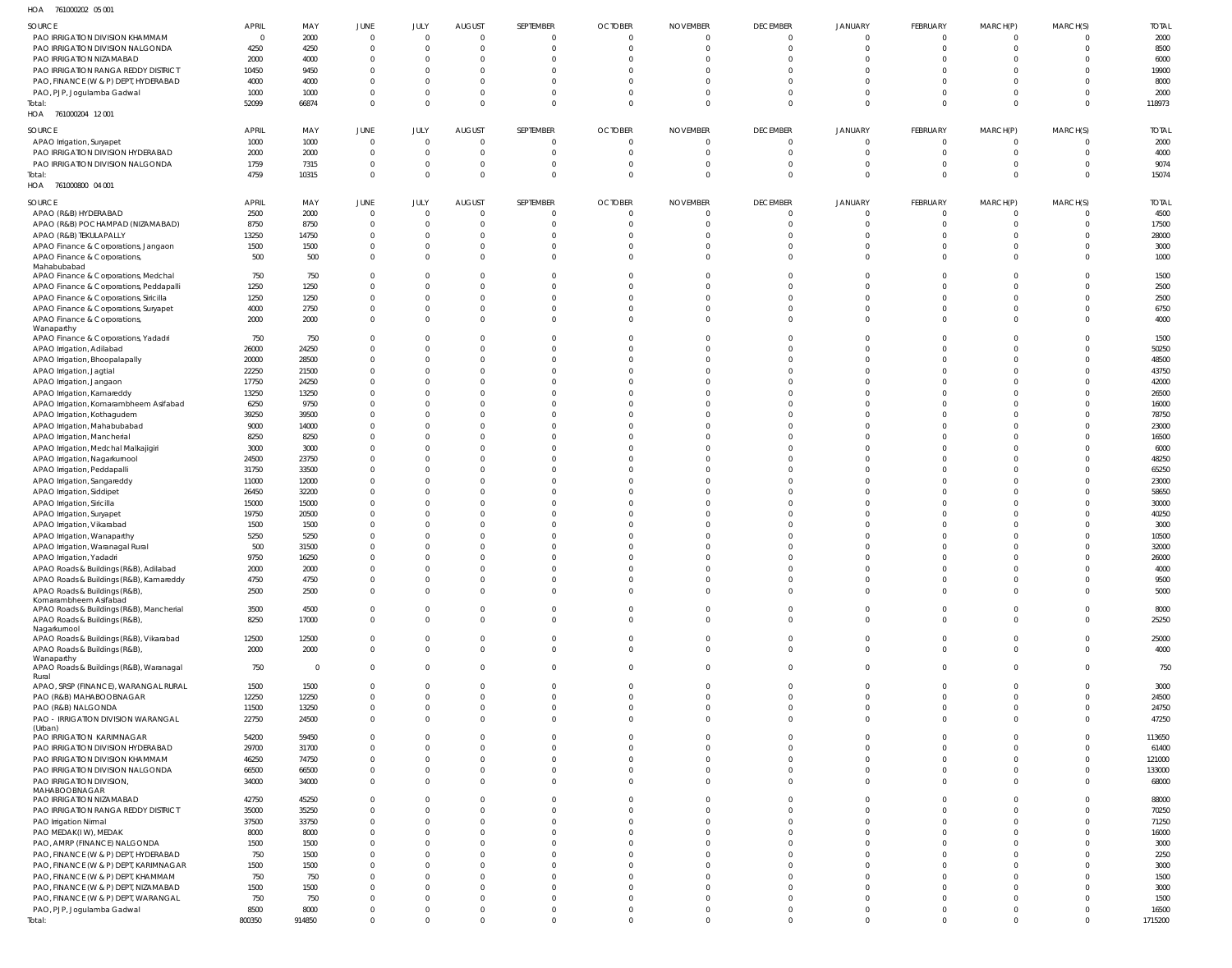| HOA | 761000202 05 001 |  |
|-----|------------------|--|

| .                                           |              |             |              |          |                |                |                |                 |                 |                |                         |                |          |              |
|---------------------------------------------|--------------|-------------|--------------|----------|----------------|----------------|----------------|-----------------|-----------------|----------------|-------------------------|----------------|----------|--------------|
| SOURCE                                      | <b>APRIL</b> | MAY         | JUNE         | JULY     | <b>AUGUST</b>  | SEPTEMBER      | <b>OCTOBER</b> | <b>NOVEMBER</b> | <b>DECEMBER</b> | <b>JANUARY</b> | FEBRUARY                | MARCH(P)       | MARCH(S) | <b>TOTAL</b> |
| PAO IRRIGATION DIVISION KHAMMAM             |              | 2000        | $\mathbf 0$  | $\Omega$ | $\overline{0}$ | 0              | $\overline{0}$ | 0               | $\overline{0}$  | $\overline{0}$ | $\overline{0}$          | $\overline{0}$ | $\Omega$ | 2000         |
| PAO IRRIGATION DIVISION NALGONDA            | 4250         | 4250        | $\mathbf 0$  | $\Omega$ | $\overline{0}$ | 0              | $\mathbf 0$    | 0               | $\overline{0}$  | $\Omega$       | $\Omega$                | 0              | $\Omega$ | 8500         |
| PAO IRRIGATION NIZAMABAD                    | 2000         | 4000        | $\mathbf 0$  | $\Omega$ | $\Omega$       | $\Omega$       | $\Omega$       | $\Omega$        | $\Omega$        | $\Omega$       | $\Omega$                | $\Omega$       |          | 6000         |
| PAO IRRIGATION RANGA REDDY DISTRICT         | 10450        | 9450        | $\mathbf 0$  |          | $\Omega$       | $\Omega$       | $\Omega$       |                 | $\Omega$        | $\Omega$       | $\Omega$                | $\Omega$       |          | 19900        |
| PAO, FINANCE (W & P) DEPT, HYDERABAD        | 4000         | 4000        | $\mathbf 0$  | $\Omega$ | $\Omega$       | $\Omega$       | $\Omega$       | $\Omega$        | $\Omega$        | $\Omega$       |                         | $\Omega$       |          | 8000         |
| PAO, PJP, Jogulamba Gadwal                  | 1000         | 1000        | $\mathbf 0$  | $\Omega$ | $\Omega$       | 0              | $\Omega$       | $\Omega$        | $\Omega$        | $\overline{0}$ | $\Omega$                | $\Omega$       |          | 2000         |
| Total:                                      | 52099        | 66874       | $\mathbf 0$  | $\Omega$ | $\Omega$       | $\mathbf{0}$   | $\Omega$       | $\mathbf 0$     | $\Omega$        | $\overline{0}$ | $\Omega$                | $\mathbf{0}$   | $\Omega$ | 118973       |
| HOA 761000204 12 001                        |              |             |              |          |                |                |                |                 |                 |                |                         |                |          |              |
|                                             |              |             |              |          |                |                |                |                 |                 |                |                         |                |          |              |
| SOURCE                                      | <b>APRIL</b> | MAY         | JUNE         | JULY     | <b>AUGUST</b>  | SEPTEMBER      | <b>OCTOBER</b> | <b>NOVEMBER</b> | <b>DECEMBER</b> | <b>JANUARY</b> | FEBRUARY                | MARCH(P)       | MARCH(S) | <b>TOTAL</b> |
| APAO Irrigation, Suryapet                   | 1000         | 1000        | $\mathbf 0$  | $\Omega$ | $\overline{0}$ | 0              | $\overline{0}$ | 0               | $\Omega$        | $\overline{0}$ | $\Omega$                | 0              | $\Omega$ | 2000         |
| PAO IRRIGATION DIVISION HYDERABAD           | 2000         | 2000        | $\mathbf 0$  | $\Omega$ | $\overline{0}$ | 0              | 0              | 0               | $\overline{0}$  | $\overline{0}$ | $\Omega$                | $\overline{0}$ | $\Omega$ | 4000         |
| PAO IRRIGATION DIVISION NALGONDA            | 1759         | 7315        | $\mathbf 0$  | $\Omega$ | $\overline{0}$ | 0              | 0              | 0               | $\overline{0}$  | $\overline{0}$ | $\Omega$                | 0              | $\Omega$ | 9074         |
| Total:                                      | 4759         | 10315       | $\mathbf 0$  | $\Omega$ | $\Omega$       | $\overline{0}$ | $\Omega$       | $\mathbf 0$     | $\Omega$        | $\overline{0}$ | $\Omega$                | $\overline{0}$ | $\Omega$ | 15074        |
|                                             |              |             |              |          |                |                |                |                 |                 |                |                         |                |          |              |
| HOA 761000800 04 001                        |              |             |              |          |                |                |                |                 |                 |                |                         |                |          |              |
| SOURCE                                      | <b>APRIL</b> | MAY         | <b>JUNE</b>  | JULY     | <b>AUGUST</b>  | SEPTEMBER      | <b>OCTOBER</b> | <b>NOVEMBER</b> | <b>DECEMBER</b> | <b>JANUARY</b> | FEBRUARY                | MARCH(P)       | MARCH(S) | <b>TOTAL</b> |
| APAO (R&B) HYDERABAD                        | 2500         | 2000        | $\mathbf 0$  | $\Omega$ | $\overline{0}$ | 0              | $\overline{0}$ | 0               | $\Omega$        | $\Omega$       | $\Omega$                | $\overline{0}$ | $\Omega$ | 4500         |
| APAO (R&B) POCHAMPAD (NIZAMABAD)            | 8750         | 8750        | $\mathbf 0$  | $\Omega$ | $\overline{0}$ | 0              | 0              | 0               | $\overline{0}$  | $\overline{0}$ | $\Omega$                | $\overline{0}$ | $\Omega$ | 17500        |
| APAO (R&B) TEKULAPALLY                      | 13250        | 14750       | $\mathbf 0$  | $\Omega$ | $\Omega$       | $\Omega$       | $\Omega$       | $\Omega$        | $\Omega$        | $\Omega$       | $\Omega$                | $\Omega$       | $\Omega$ | 28000        |
|                                             | 1500         | 1500        | $\mathbf 0$  | $\Omega$ | $\Omega$       | $\Omega$       | $\Omega$       | $\Omega$        | $\Omega$        | $\Omega$       | $\Omega$                | $\Omega$       |          | 3000         |
| APAO Finance & Corporations, Jangaon        |              |             | $\mathbf 0$  | $\Omega$ | $\Omega$       | $\Omega$       | $\Omega$       |                 | $\Omega$        | $\Omega$       | $\Omega$                | $\Omega$       | $\Omega$ |              |
| APAO Finance & Corporations,<br>Mahabubabad | 500          | 500         |              |          |                |                |                | $\Omega$        |                 |                |                         |                |          | 1000         |
| APAO Finance & Corporations, Medchal        | 750          | 750         | $\mathbf{0}$ |          | $\Omega$       | $\Omega$       | $\Omega$       | $\Omega$        | $\Omega$        | $\Omega$       | $\Omega$                | $\Omega$       | $\Omega$ | 1500         |
| APAO Finance & Corporations, Peddapalli     | 1250         | 1250        | $\mathbf 0$  | $\Omega$ | $\Omega$       | $\Omega$       | $\Omega$       | $\Omega$        |                 | $\Omega$       |                         | $\Omega$       | 0        | 2500         |
|                                             |              |             | $\mathbf 0$  | $\cap$   | $\Omega$       |                |                |                 | $\Omega$        | $\Omega$       |                         |                | $\Omega$ |              |
| APAO Finance & Corporations, Siricilla      | 1250         | 1250        |              |          |                | $\Omega$       | $\Omega$       | $\Omega$        |                 |                | $\Omega$                | $\Omega$       |          | 2500         |
| APAO Finance & Corporations, Suryapet       | 4000         | 2750        | $\mathbf 0$  | $\Omega$ | $\Omega$       | $\Omega$       | $\Omega$       | $\Omega$        | $\Omega$        | $\Omega$       | $\Omega$                | $\Omega$       | $\Omega$ | 6750         |
| APAO Finance & Corporations,                | 2000         | 2000        | $\mathbf 0$  | $\Omega$ | $\Omega$       | $\Omega$       | $\Omega$       | $\Omega$        | $\Omega$        | $\Omega$       | $\Omega$                | $\Omega$       |          | 4000         |
| Wanaparthy                                  |              |             |              |          |                |                |                |                 |                 |                |                         |                |          |              |
| APAO Finance & Corporations, Yadadri        | 750          | 750         | $\mathbf{0}$ |          | $\Omega$       | $\Omega$       | $\Omega$       | $\Omega$        | $\Omega$        | $\Omega$       | $\Omega$                | $\Omega$       | $\Omega$ | 1500         |
| APAO Irrigation, Adilabad                   | 26000        | 24250       | $\mathbf 0$  | $\cap$   | $\Omega$       | $\Omega$       | $\Omega$       | $\Omega$        | $\Omega$        | $\Omega$       | $\Omega$                | $\Omega$       | $\Omega$ | 50250        |
| APAO Irrigation, Bhoopalapally              | 20000        | 28500       | $\mathbf 0$  | $\Omega$ | $\Omega$       | $\Omega$       | $\Omega$       | $\Omega$        | $\Omega$        | $\Omega$       | $\Omega$                | $\Omega$       | $\Omega$ | 48500        |
| APAO Irrigation, Jagtial                    | 22250        | 21500       | $\mathbf 0$  |          | $\Omega$       | $\Omega$       | $\Omega$       | $\Omega$        | $\Omega$        | $\Omega$       | $\Omega$                | $\Omega$       | $\Omega$ | 43750        |
| APAO Irrigation, Jangaon                    | 17750        | 24250       | $\mathbf 0$  | $\Omega$ | $\Omega$       | $\Omega$       | $\Omega$       | $\Omega$        |                 | $\Omega$       |                         | $\Omega$       | $\Omega$ | 42000        |
| APAO Irrigation, Kamareddy                  | 13250        | 13250       | $\mathbf 0$  |          | $\Omega$       | $\Omega$       | $\Omega$       |                 | $\Omega$        | $\Omega$       | $\Omega$                | $\Omega$       |          | 26500        |
| APAO Irrigation, Komarambheem Asifabad      | 6250         | 9750        | $\mathbf 0$  |          | $\Omega$       | $\Omega$       | $\Omega$       | $\Omega$        |                 | $\Omega$       |                         | $\Omega$       | $\Omega$ | 16000        |
| APAO Irrigation, Kothagudem                 | 39250        | 39500       | $\mathbf 0$  |          | $\Omega$       | $\Omega$       | $\Omega$       | $\Omega$        | $\Omega$        | $\Omega$       | $\Omega$                | $\Omega$       | $\Omega$ | 78750        |
| APAO Irrigation, Mahabubabad                | 9000         | 14000       | $\mathbf 0$  |          | $\Omega$       | $\Omega$       | $\Omega$       | $\Omega$        | $\Omega$        | $\Omega$       | $\Omega$                | $\Omega$       | $\Omega$ | 23000        |
|                                             | 8250         | 8250        | $\mathbf 0$  |          | $\Omega$       | $\Omega$       | $\Omega$       |                 | $\Omega$        | $\Omega$       | $\Omega$                | $\Omega$       |          | 16500        |
| APAO Irrigation, Mancherial                 |              |             |              |          |                |                |                |                 |                 |                |                         |                |          |              |
| APAO Irrigation, Medchal Malkajigiri        | 3000         | 3000        | $\mathbf 0$  |          | $\Omega$       | $\Omega$       | $\Omega$       | $\Omega$        |                 | $\Omega$       |                         | $\Omega$       |          | 6000         |
| APAO Irrigation, Nagarkurnool               | 24500        | 23750       | $\mathbf 0$  |          | $\Omega$       | $\Omega$       | $\Omega$       | $\Omega$        | $\Omega$        | $\Omega$       | $\Omega$                | $\Omega$       |          | 48250        |
| APAO Irrigation, Peddapalli                 | 31750        | 33500       | $\mathbf 0$  | $\cap$   | $\Omega$       | $\Omega$       | $\Omega$       | $\Omega$        | $\Omega$        | $\Omega$       |                         | $\Omega$       | $\Omega$ | 65250        |
| APAO Irrigation, Sangareddy                 | 11000        | 12000       | $\mathbf 0$  |          | $\Omega$       | $\Omega$       | $\Omega$       |                 | $\Omega$        | $\Omega$       | $\Omega$                | $\Omega$       |          | 23000        |
| APAO Irrigation, Siddipet                   | 26450        | 32200       | $\mathbf 0$  | $\Omega$ | $\Omega$       | $\Omega$       | $\Omega$       |                 |                 |                |                         | $\Omega$       |          | 58650        |
| APAO Irrigation, Siricilla                  | 15000        | 15000       | $\mathbf 0$  |          | $\Omega$       | $\Omega$       | $\Omega$       |                 | $\Omega$        | $\Omega$       |                         | $\Omega$       | $\Omega$ | 30000        |
| APAO Irrigation, Suryapet                   | 19750        | 20500       | $\mathbf 0$  | $\Omega$ | $\Omega$       | $\Omega$       | $\Omega$       |                 |                 |                |                         | $\Omega$       |          | 40250        |
| APAO Irrigation, Vikarabad                  | 1500         | 1500        | $\Omega$     |          | $\Omega$       | $\Omega$       | $\Omega$       |                 |                 |                |                         |                |          | 3000         |
| APAO Irrigation, Wanaparthy                 | 5250         | 5250        | $\Omega$     |          | $\Omega$       | $\Omega$       | $\Omega$       |                 |                 |                |                         |                |          | 10500        |
| APAO Irrigation, Waranagal Rural            | 500          | 31500       | $\Omega$     | $\Omega$ | $\Omega$       | $\Omega$       | $\Omega$       |                 | $\Omega$        |                | $\Omega$                |                |          | 32000        |
|                                             | 9750         | 16250       | $\Omega$     | $\cap$   | $\Omega$       | $\Omega$       |                |                 |                 |                |                         |                |          | 26000        |
| APAO Irrigation, Yadadri                    |              |             |              |          |                |                |                |                 |                 |                |                         |                |          |              |
| APAO Roads & Buildings (R&B), Adilabad      | 2000         | 2000        | $\mathbf{0}$ | $\Omega$ | $\Omega$       | $\Omega$       | $\mathbf 0$    | $\Omega$        | $\Omega$        | $\Omega$       | $\Omega$                | $\Omega$       | $\Omega$ | 4000         |
| APAO Roads & Buildings (R&B), Kamareddy     | 4750         | 4750        | $\mathbf 0$  | $\Omega$ | $\overline{0}$ | $\overline{0}$ | $\mathbf 0$    | $\mathbf 0$     | $\overline{0}$  | $\overline{0}$ | $\overline{0}$          | $\overline{0}$ | $\Omega$ | 9500         |
| APAO Roads & Buildings (R&B),               | 2500         | 2500        | $\mathbf 0$  | $\Omega$ | $\overline{0}$ | $\overline{0}$ | $\mathbf 0$    | $\mathbf 0$     | $\overline{0}$  | $\overline{0}$ | $\overline{0}$          | $\overline{0}$ | $\Omega$ | 5000         |
| Komarambheem Asifabad                       |              |             |              |          |                |                |                |                 |                 |                |                         |                |          |              |
| APAO Roads & Buildings (R&B), Mancherial    | 3500         | 4500        | $\mathbf 0$  | $\Omega$ | $\overline{0}$ | $\overline{0}$ | $\overline{0}$ | $\overline{0}$  | $\overline{0}$  | $\overline{0}$ | $\overline{0}$          | $\overline{0}$ | $\Omega$ | 8000         |
| APAO Roads & Buildings (R&B),               | 8250         | 17000       | $\mathbf 0$  | $\Omega$ | $\overline{0}$ | $\overline{0}$ | $\overline{0}$ | $\overline{0}$  | $\overline{0}$  | $\overline{0}$ | $\overline{0}$          | $\overline{0}$ | $\Omega$ | 25250        |
| Nagarkurnool                                |              |             |              |          |                |                |                |                 |                 |                |                         |                |          |              |
| APAO Roads & Buildings (R&B), Vikarabad     | 12500        | 12500       | $\mathbf{0}$ | $\Omega$ | $\overline{0}$ | $\overline{0}$ | $\overline{0}$ | $\overline{0}$  | $\overline{0}$  | $\overline{0}$ | $\overline{\mathbf{0}}$ | $\overline{0}$ | $\Omega$ | 25000        |
| APAO Roads & Buildings (R&B),<br>Wanaparthy | 2000         | 2000        | $\mathbf 0$  | $\Omega$ | $\overline{0}$ | $\mathbf{0}$   | $\mathbf{0}$   | $\mathbf{0}$    | $\overline{0}$  | $\overline{0}$ | $\overline{0}$          | $\mathbf{0}$   | $\Omega$ | 4000         |
| APAO Roads & Buildings (R&B), Waranagal     | 750          | $\mathbf 0$ | $\mathbf 0$  | $\Omega$ | $\overline{0}$ | $\mathbf{0}$   | $\mathbf{0}$   | $\overline{0}$  | $\overline{0}$  | $\overline{0}$ | $\overline{0}$          | $\overline{0}$ | $\Omega$ | 750          |
| Rural                                       |              |             |              |          |                |                |                |                 |                 |                |                         |                |          |              |
| APAO, SRSP (FINANCE), WARANGAL RURAL        | 1500         | 1500        | $\mathbf 0$  | $\Omega$ | $\overline{0}$ | $\Omega$       | $\mathbf{0}$   | $\Omega$        | $\overline{0}$  | $\Omega$       | $\overline{0}$          | $\Omega$       | $\Omega$ | 3000         |
| PAO (R&B) MAHABOOBNAGAR                     | 12250        | 12250       | $\mathbf 0$  | $\Omega$ | $\overline{0}$ | 0              | $\mathbf 0$    | $\Omega$        | $\Omega$        | $\Omega$       | $\Omega$                | $\Omega$       | $\Omega$ | 24500        |
| PAO (R&B) NALGONDA                          | 11500        | 13250       | $\mathbf 0$  | $\Omega$ | $\overline{0}$ | $\mathbf 0$    | $\mathbf 0$    | 0               | $\overline{0}$  | $\overline{0}$ | $\overline{0}$          | $\mathbf{0}$   | $\Omega$ | 24750        |
| PAO - IRRIGATION DIVISION WARANGAL          | 22750        | 24500       | $\mathbf 0$  | $\Omega$ | $\Omega$       | $\Omega$       | $\Omega$       | $\Omega$        | $\Omega$        | $\Omega$       | $\Omega$                | $\Omega$       | $\Omega$ | 47250        |
| (Urban)                                     |              |             |              |          |                |                |                |                 |                 |                |                         |                |          |              |
| PAO IRRIGATION KARIMNAGAR                   | 54200        | 59450       | $\mathbf 0$  |          | $\Omega$       | $\Omega$       | $\Omega$       | $\Omega$        | $\Omega$        | $\Omega$       | $\Omega$                | $\Omega$       | $\Omega$ | 113650       |
| PAO IRRIGATION DIVISION HYDERABAD           | 29700        | 31700       | $\mathbf 0$  | $\Omega$ | $\Omega$       | $\Omega$       | $\Omega$       | $\Omega$        | $\Omega$        | $\Omega$       | $\Omega$                | $\Omega$       | $\Omega$ | 61400        |
| PAO IRRIGATION DIVISION KHAMMAM             | 46250        | 74750       | $\mathbf 0$  | $\Omega$ | $\Omega$       | $\mathbf 0$    | $\mathbf 0$    | 0               | $\Omega$        | $\overline{0}$ | $\Omega$                | $\mathbf{0}$   | $\Omega$ | 121000       |
|                                             |              |             | $\mathbf 0$  | $\Omega$ | $\overline{0}$ |                |                |                 | $\Omega$        |                | $\Omega$                |                |          |              |
| PAO IRRIGATION DIVISION NALGONDA            | 66500        | 66500       |              |          |                | $\overline{0}$ | 0              | $^{\circ}$      |                 | $\overline{0}$ |                         | $\mathbf 0$    | $\Omega$ | 133000       |
| PAO IRRIGATION DIVISION,                    | 34000        | 34000       | $\mathbf 0$  | $\Omega$ | $\Omega$       | $\mathbf 0$    | $\Omega$       | $\mathbf 0$     | $\Omega$        | $\Omega$       | $\Omega$                | $\mathbf 0$    | $\Omega$ | 68000        |
| MAHABOOBNAGAR<br>PAO IRRIGATION NIZAMABAD   | 42750        | 45250       | $\mathbf 0$  | $\cap$   | $\Omega$       | $\overline{0}$ | $\overline{0}$ | $\overline{0}$  | $\Omega$        | $\overline{0}$ | $\Omega$                | $\overline{0}$ | $\Omega$ | 88000        |
|                                             |              |             |              | $\Omega$ |                |                |                |                 | $\Omega$        | $\Omega$       | $\Omega$                |                | $\Omega$ |              |
| PAO IRRIGATION RANGA REDDY DISTRICT         | 35000        | 35250       | $\mathbf 0$  |          | $\overline{0}$ | $\overline{0}$ | $\overline{0}$ | $\mathbf 0$     |                 |                |                         | $\mathbf{0}$   |          | 70250        |
| PAO Irrigation Nirmal                       | 37500        | 33750       | $\mathbf 0$  | $\Omega$ | $\Omega$       | 0              | 0              | 0               | $\Omega$        | $\Omega$       | $\Omega$                | $\Omega$       | $\Omega$ | 71250        |
| PAO MEDAK(IW), MEDAK                        | 8000         | 8000        | $\mathbf 0$  | $\Omega$ | $\Omega$       | $\mathbf 0$    | 0              | 0               | $\Omega$        | $\Omega$       | $\Omega$                | $\mathbf{0}$   | $\Omega$ | 16000        |
| PAO, AMRP (FINANCE) NALGONDA                | 1500         | 1500        | $\mathbf 0$  | $\Omega$ | $\Omega$       | $\Omega$       | $\Omega$       | $\Omega$        | $\Omega$        | $\Omega$       | $\Omega$                | $\Omega$       | $\Omega$ | 3000         |
| PAO, FINANCE (W & P) DEPT, HYDERABAD        | 750          | 1500        | $\mathbf 0$  | $\cap$   | $\Omega$       | 0              | $\Omega$       | 0               | $\Omega$        | $\Omega$       | $\Omega$                | $\Omega$       | $\Omega$ | 2250         |
| PAO, FINANCE (W & P) DEPT, KARIMNAGAR       | 1500         | 1500        | $\mathbf 0$  | $\Omega$ | $\Omega$       | $\mathbf 0$    | $\Omega$       | 0               | $\Omega$        | $\Omega$       | $\Omega$                | $\Omega$       | $\Omega$ | 3000         |
| PAO, FINANCE (W & P) DEPT, KHAMMAM          | 750          | 750         | $\mathbf 0$  | $\Omega$ | $\Omega$       | $^{\circ}$     | $\Omega$       | 0               | $\Omega$        | $\Omega$       | $\Omega$                | $\Omega$       | $\Omega$ | 1500         |
| PAO, FINANCE (W & P) DEPT, NIZAMABAD        | 1500         | 1500        | $\mathbf 0$  | $\Omega$ | $\Omega$       | $\mathbf 0$    | $\Omega$       | $\mathbf 0$     | $\Omega$        | $\Omega$       | $\Omega$                | $\Omega$       | $\Omega$ | 3000         |
| PAO, FINANCE (W & P) DEPT, WARANGAL         | 750          | 750         | $\mathbf 0$  | $\Omega$ | $\Omega$       | $\Omega$       | $\Omega$       | $\Omega$        | $\Omega$        | $\Omega$       | $\Omega$                | $\Omega$       | $\Omega$ | 1500         |
| PAO, PJP, Jogulamba Gadwal                  | 8500         | 8000        | $\mathbf 0$  | $\Omega$ | $\overline{0}$ | $\overline{0}$ | $\overline{0}$ | $\overline{0}$  | $\overline{0}$  | $\overline{0}$ | $\overline{0}$          | $\overline{0}$ | $\Omega$ | 16500        |
| Total:                                      | 800350       | 914850      | $\mathbf 0$  | $\Omega$ | $\mathbf{0}$   | $\overline{0}$ | $\mathbf{0}$   | $\mathbf{0}$    | $\overline{0}$  | $\overline{0}$ | $\overline{0}$          | $\overline{0}$ | $\Omega$ | 1715200      |
|                                             |              |             |              |          |                |                |                |                 |                 |                |                         |                |          |              |